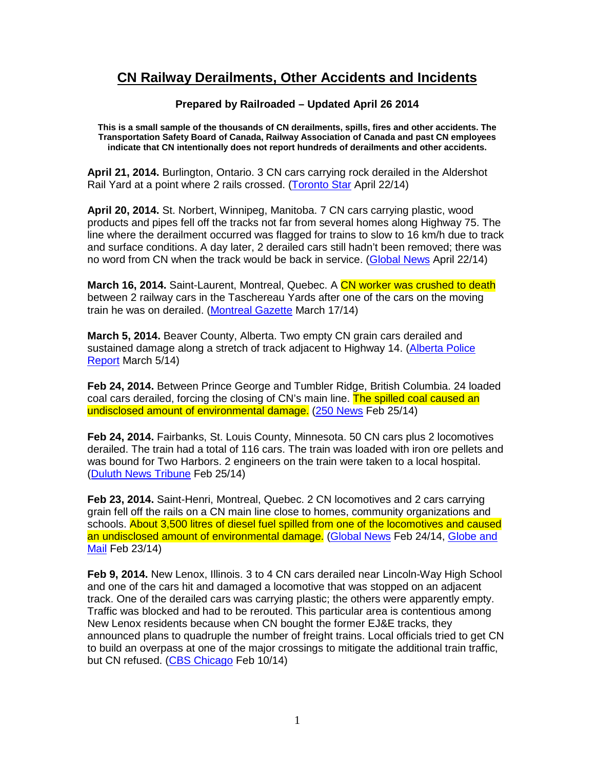## **CN Railway Derailments, Other Accidents and Incidents**

## **Prepared by Railroaded – Updated April 26 2014**

**This is a small sample of the thousands of CN derailments, spills, fires and other accidents. The Transportation Safety Board of Canada, Railway Association of Canada and past CN employees indicate that CN intentionally does not report hundreds of derailments and other accidents.** 

**April 21, 2014.** Burlington, Ontario. 3 CN cars carrying rock derailed in the Aldershot Rail Yard at a point where 2 rails crossed. (Toronto Star April 22/14)

**April 20, 2014.** St. Norbert, Winnipeg, Manitoba. 7 CN cars carrying plastic, wood products and pipes fell off the tracks not far from several homes along Highway 75. The line where the derailment occurred was flagged for trains to slow to 16 km/h due to track and surface conditions. A day later, 2 derailed cars still hadn't been removed; there was no word from CN when the track would be back in service. (Global News April 22/14)

**March 16, 2014.** Saint-Laurent, Montreal, Quebec. A CN worker was crushed to death between 2 railway cars in the Taschereau Yards after one of the cars on the moving train he was on derailed. (Montreal Gazette March 17/14)

**March 5, 2014.** Beaver County, Alberta. Two empty CN grain cars derailed and sustained damage along a stretch of track adjacent to Highway 14. (Alberta Police Report March 5/14)

**Feb 24, 2014.** Between Prince George and Tumbler Ridge, British Columbia. 24 loaded coal cars derailed, forcing the closing of CN's main line. The spilled coal caused an undisclosed amount of environmental damage. (250 News Feb 25/14)

**Feb 24, 2014.** Fairbanks, St. Louis County, Minnesota. 50 CN cars plus 2 locomotives derailed. The train had a total of 116 cars. The train was loaded with iron ore pellets and was bound for Two Harbors. 2 engineers on the train were taken to a local hospital. (Duluth News Tribune Feb 25/14)

**Feb 23, 2014.** Saint-Henri, Montreal, Quebec. 2 CN locomotives and 2 cars carrying grain fell off the rails on a CN main line close to homes, community organizations and schools. About 3,500 litres of diesel fuel spilled from one of the locomotives and caused an undisclosed amount of environmental damage. (Global News Feb 24/14, Globe and Mail Feb 23/14)

**Feb 9, 2014.** New Lenox, Illinois. 3 to 4 CN cars derailed near Lincoln-Way High School and one of the cars hit and damaged a locomotive that was stopped on an adjacent track. One of the derailed cars was carrying plastic; the others were apparently empty. Traffic was blocked and had to be rerouted. This particular area is contentious among New Lenox residents because when CN bought the former EJ&E tracks, they announced plans to quadruple the number of freight trains. Local officials tried to get CN to build an overpass at one of the major crossings to mitigate the additional train traffic, but CN refused. (CBS Chicago Feb 10/14)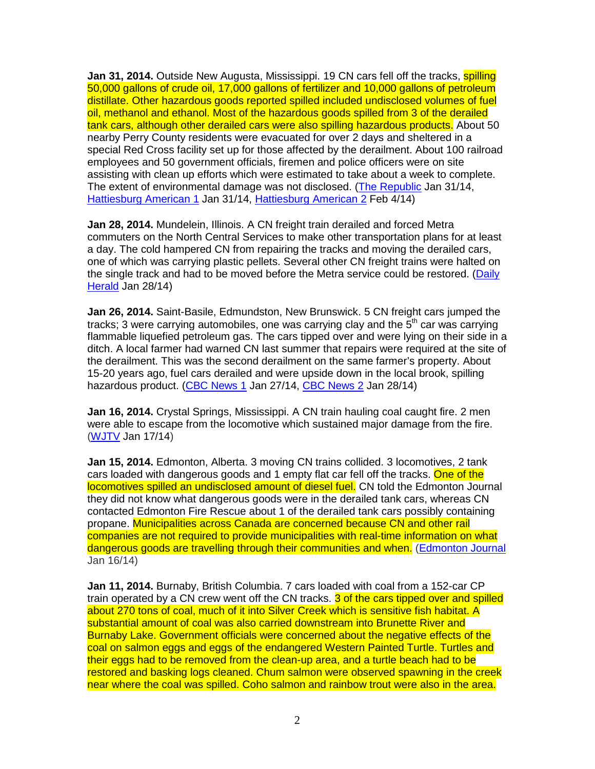**Jan 31, 2014.** Outside New Augusta, Mississippi. 19 CN cars fell off the tracks, **spilling** 50,000 gallons of crude oil, 17,000 gallons of fertilizer and 10,000 gallons of petroleum distillate. Other hazardous goods reported spilled included undisclosed volumes of fuel oil, methanol and ethanol. Most of the hazardous goods spilled from 3 of the derailed tank cars, although other derailed cars were also spilling hazardous products. About 50 nearby Perry County residents were evacuated for over 2 days and sheltered in a special Red Cross facility set up for those affected by the derailment. About 100 railroad employees and 50 government officials, firemen and police officers were on site assisting with clean up efforts which were estimated to take about a week to complete. The extent of environmental damage was not disclosed. (The Republic Jan 31/14, Hattiesburg American 1 Jan 31/14, Hattiesburg American 2 Feb 4/14)

**Jan 28, 2014.** Mundelein, Illinois. A CN freight train derailed and forced Metra commuters on the North Central Services to make other transportation plans for at least a day. The cold hampered CN from repairing the tracks and moving the derailed cars, one of which was carrying plastic pellets. Several other CN freight trains were halted on the single track and had to be moved before the Metra service could be restored. (Daily Herald Jan 28/14)

**Jan 26, 2014.** Saint-Basile, Edmundston, New Brunswick. 5 CN freight cars jumped the tracks; 3 were carrying automobiles, one was carrying clay and the  $5<sup>th</sup>$  car was carrying flammable liquefied petroleum gas. The cars tipped over and were lying on their side in a ditch. A local farmer had warned CN last summer that repairs were required at the site of the derailment. This was the second derailment on the same farmer's property. About 15-20 years ago, fuel cars derailed and were upside down in the local brook, spilling hazardous product. (CBC News 1 Jan 27/14, CBC News 2 Jan 28/14)

**Jan 16, 2014.** Crystal Springs, Mississippi. A CN train hauling coal caught fire. 2 men were able to escape from the locomotive which sustained major damage from the fire. (WJTV Jan 17/14)

**Jan 15, 2014.** Edmonton, Alberta. 3 moving CN trains collided. 3 locomotives, 2 tank cars loaded with dangerous goods and 1 empty flat car fell off the tracks. One of the locomotives spilled an undisclosed amount of diesel fuel. CN told the Edmonton Journal they did not know what dangerous goods were in the derailed tank cars, whereas CN contacted Edmonton Fire Rescue about 1 of the derailed tank cars possibly containing propane. Municipalities across Canada are concerned because CN and other rail companies are not required to provide municipalities with real-time information on what dangerous goods are travelling through their communities and when. (Edmonton Journal Jan 16/14)

**Jan 11, 2014.** Burnaby, British Columbia. 7 cars loaded with coal from a 152-car CP train operated by a CN crew went off the CN tracks. 3 of the cars tipped over and spilled about 270 tons of coal, much of it into Silver Creek which is sensitive fish habitat. A substantial amount of coal was also carried downstream into Brunette River and Burnaby Lake. Government officials were concerned about the negative effects of the coal on salmon eggs and eggs of the endangered Western Painted Turtle. Turtles and their eggs had to be removed from the clean-up area, and a turtle beach had to be restored and basking logs cleaned. Chum salmon were observed spawning in the creek near where the coal was spilled. Coho salmon and rainbow trout were also in the area.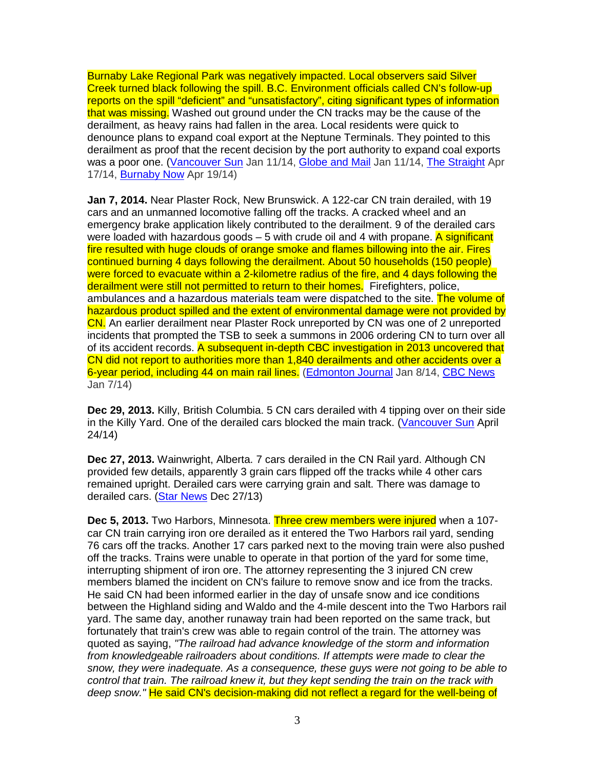Burnaby Lake Regional Park was negatively impacted. Local observers said Silver Creek turned black following the spill. B.C. Environment officials called CN's follow-up reports on the spill "deficient" and "unsatisfactory", citing significant types of information that was missing. Washed out ground under the CN tracks may be the cause of the derailment, as heavy rains had fallen in the area. Local residents were quick to denounce plans to expand coal export at the Neptune Terminals. They pointed to this derailment as proof that the recent decision by the port authority to expand coal exports was a poor one. (Vancouver Sun Jan 11/14, Globe and Mail Jan 11/14, The Straight Apr 17/14, Burnaby Now Apr 19/14)

**Jan 7, 2014.** Near Plaster Rock, New Brunswick. A 122-car CN train derailed, with 19 cars and an unmanned locomotive falling off the tracks. A cracked wheel and an emergency brake application likely contributed to the derailment. 9 of the derailed cars were loaded with hazardous goods  $-5$  with crude oil and 4 with propane. A significant fire resulted with huge clouds of orange smoke and flames billowing into the air. Fires continued burning 4 days following the derailment. About 50 households (150 people) were forced to evacuate within a 2-kilometre radius of the fire, and 4 days following the derailment were still not permitted to return to their homes. Firefighters, police, ambulances and a hazardous materials team were dispatched to the site. The volume of hazardous product spilled and the extent of environmental damage were not provided by CN. An earlier derailment near Plaster Rock unreported by CN was one of 2 unreported incidents that prompted the TSB to seek a summons in 2006 ordering CN to turn over all of its accident records. A subsequent in-depth CBC investigation in 2013 uncovered that CN did not report to authorities more than 1,840 derailments and other accidents over a 6-year period, including 44 on main rail lines. (Edmonton Journal Jan 8/14, CBC News Jan 7/14)

**Dec 29, 2013.** Killy, British Columbia. 5 CN cars derailed with 4 tipping over on their side in the Killy Yard. One of the derailed cars blocked the main track. (Vancouver Sun April 24/14)

**Dec 27, 2013.** Wainwright, Alberta. 7 cars derailed in the CN Rail yard. Although CN provided few details, apparently 3 grain cars flipped off the tracks while 4 other cars remained upright. Derailed cars were carrying grain and salt. There was damage to derailed cars. (Star News Dec 27/13)

**Dec 5, 2013.** Two Harbors, Minnesota. Three crew members were injured when a 107 car CN train carrying iron ore derailed as it entered the Two Harbors rail yard, sending 76 cars off the tracks. Another 17 cars parked next to the moving train were also pushed off the tracks. Trains were unable to operate in that portion of the yard for some time, interrupting shipment of iron ore. The attorney representing the 3 injured CN crew members blamed the incident on CN's failure to remove snow and ice from the tracks. He said CN had been informed earlier in the day of unsafe snow and ice conditions between the Highland siding and Waldo and the 4-mile descent into the Two Harbors rail yard. The same day, another runaway train had been reported on the same track, but fortunately that train's crew was able to regain control of the train. The attorney was quoted as saying, "The railroad had advance knowledge of the storm and information from knowledgeable railroaders about conditions. If attempts were made to clear the snow, they were inadequate. As a consequence, these guys were not going to be able to control that train. The railroad knew it, but they kept sending the train on the track with deep snow." He said CN's decision-making did not reflect a regard for the well-being of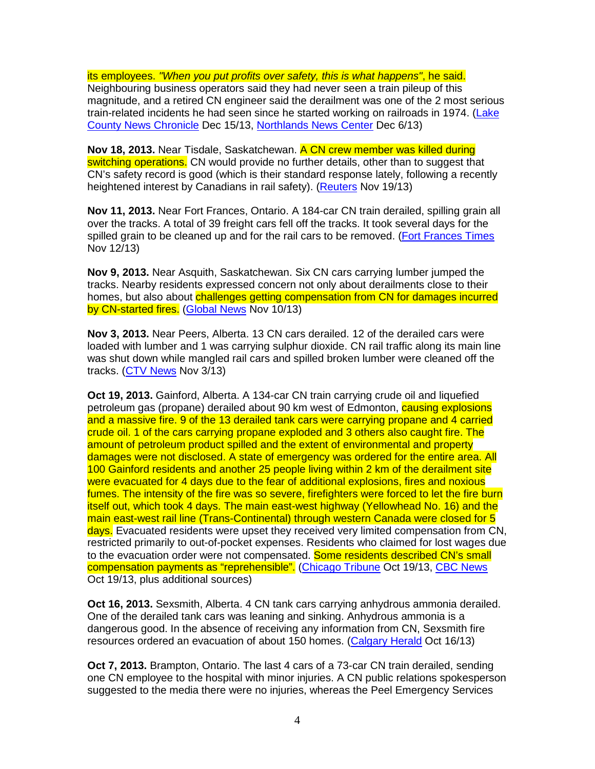its employees. "When you put profits over safety, this is what happens", he said. Neighbouring business operators said they had never seen a train pileup of this magnitude, and a retired CN engineer said the derailment was one of the 2 most serious train-related incidents he had seen since he started working on railroads in 1974. (Lake County News Chronicle Dec 15/13, Northlands News Center Dec 6/13)

**Nov 18, 2013.** Near Tisdale, Saskatchewan. A CN crew member was killed during switching operations. CN would provide no further details, other than to suggest that CN's safety record is good (which is their standard response lately, following a recently heightened interest by Canadians in rail safety). (Reuters Nov 19/13)

**Nov 11, 2013.** Near Fort Frances, Ontario. A 184-car CN train derailed, spilling grain all over the tracks. A total of 39 freight cars fell off the tracks. It took several days for the spilled grain to be cleaned up and for the rail cars to be removed. (Fort Frances Times Nov 12/13)

**Nov 9, 2013.** Near Asquith, Saskatchewan. Six CN cars carrying lumber jumped the tracks. Nearby residents expressed concern not only about derailments close to their homes, but also about challenges getting compensation from CN for damages incurred by CN-started fires. (Global News Nov 10/13)

**Nov 3, 2013.** Near Peers, Alberta. 13 CN cars derailed. 12 of the derailed cars were loaded with lumber and 1 was carrying sulphur dioxide. CN rail traffic along its main line was shut down while mangled rail cars and spilled broken lumber were cleaned off the tracks. (CTV News Nov 3/13)

**Oct 19, 2013.** Gainford, Alberta. A 134-car CN train carrying crude oil and liquefied petroleum gas (propane) derailed about 90 km west of Edmonton, causing explosions and a massive fire. 9 of the 13 derailed tank cars were carrying propane and 4 carried crude oil. 1 of the cars carrying propane exploded and 3 others also caught fire. The amount of petroleum product spilled and the extent of environmental and property damages were not disclosed. A state of emergency was ordered for the entire area. All 100 Gainford residents and another 25 people living within 2 km of the derailment site were evacuated for 4 days due to the fear of additional explosions, fires and noxious fumes. The intensity of the fire was so severe, firefighters were forced to let the fire burn itself out, which took 4 days. The main east-west highway (Yellowhead No. 16) and the main east-west rail line (Trans-Continental) through western Canada were closed for 5 days. Evacuated residents were upset they received very limited compensation from CN, restricted primarily to out-of-pocket expenses. Residents who claimed for lost wages due to the evacuation order were not compensated. Some residents described CN's small compensation payments as "reprehensible". (Chicago Tribune Oct 19/13, CBC News Oct 19/13, plus additional sources)

**Oct 16, 2013.** Sexsmith, Alberta. 4 CN tank cars carrying anhydrous ammonia derailed. One of the derailed tank cars was leaning and sinking. Anhydrous ammonia is a dangerous good. In the absence of receiving any information from CN, Sexsmith fire resources ordered an evacuation of about 150 homes. (Calgary Herald Oct 16/13)

**Oct 7, 2013.** Brampton, Ontario. The last 4 cars of a 73-car CN train derailed, sending one CN employee to the hospital with minor injuries. A CN public relations spokesperson suggested to the media there were no injuries, whereas the Peel Emergency Services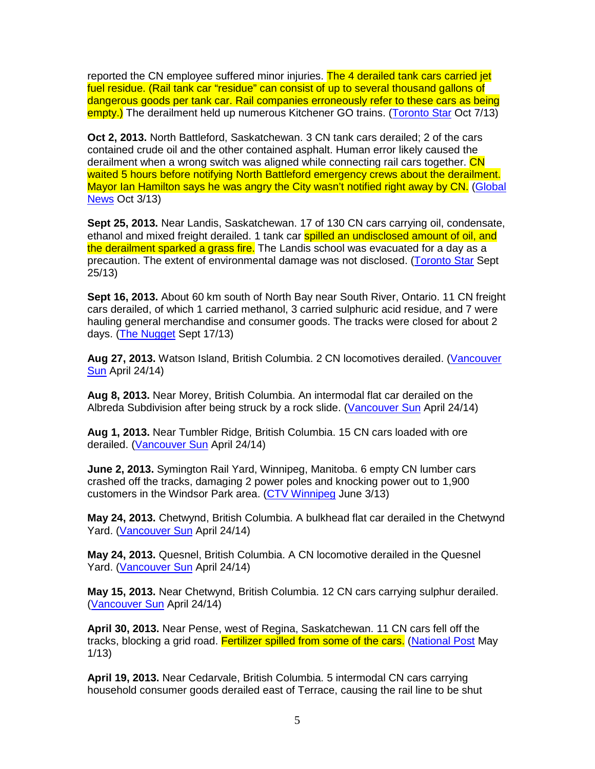reported the CN employee suffered minor injuries. The 4 derailed tank cars carried jet fuel residue. (Rail tank car "residue" can consist of up to several thousand gallons of dangerous goods per tank car. Rail companies erroneously refer to these cars as being empty.) The derailment held up numerous Kitchener GO trains. (Toronto Star Oct 7/13)

**Oct 2, 2013.** North Battleford, Saskatchewan. 3 CN tank cars derailed; 2 of the cars contained crude oil and the other contained asphalt. Human error likely caused the derailment when a wrong switch was aligned while connecting rail cars together. CN waited 5 hours before notifying North Battleford emergency crews about the derailment. Mayor Ian Hamilton says he was angry the City wasn't notified right away by CN. (Global News Oct 3/13)

**Sept 25, 2013.** Near Landis, Saskatchewan. 17 of 130 CN cars carrying oil, condensate, ethanol and mixed freight derailed. 1 tank car spilled an undisclosed amount of oil, and the derailment sparked a grass fire. The Landis school was evacuated for a dav as a precaution. The extent of environmental damage was not disclosed. (Toronto Star Sept 25/13)

**Sept 16, 2013.** About 60 km south of North Bay near South River, Ontario. 11 CN freight cars derailed, of which 1 carried methanol, 3 carried sulphuric acid residue, and 7 were hauling general merchandise and consumer goods. The tracks were closed for about 2 days. (The Nugget Sept 17/13)

Aug 27, 2013. Watson Island, British Columbia. 2 CN locomotives derailed. (Vancouver Sun April 24/14)

**Aug 8, 2013.** Near Morey, British Columbia. An intermodal flat car derailed on the Albreda Subdivision after being struck by a rock slide. (Vancouver Sun April 24/14)

**Aug 1, 2013.** Near Tumbler Ridge, British Columbia. 15 CN cars loaded with ore derailed. (Vancouver Sun April 24/14)

**June 2, 2013.** Symington Rail Yard, Winnipeg, Manitoba. 6 empty CN lumber cars crashed off the tracks, damaging 2 power poles and knocking power out to 1,900 customers in the Windsor Park area. (CTV Winnipeg June 3/13)

**May 24, 2013.** Chetwynd, British Columbia. A bulkhead flat car derailed in the Chetwynd Yard. (Vancouver Sun April 24/14)

**May 24, 2013.** Quesnel, British Columbia. A CN locomotive derailed in the Quesnel Yard. (Vancouver Sun April 24/14)

**May 15, 2013.** Near Chetwynd, British Columbia. 12 CN cars carrying sulphur derailed. (Vancouver Sun April 24/14)

**April 30, 2013.** Near Pense, west of Regina, Saskatchewan. 11 CN cars fell off the tracks, blocking a grid road. Fertilizer spilled from some of the cars. (National Post May 1/13)

**April 19, 2013.** Near Cedarvale, British Columbia. 5 intermodal CN cars carrying household consumer goods derailed east of Terrace, causing the rail line to be shut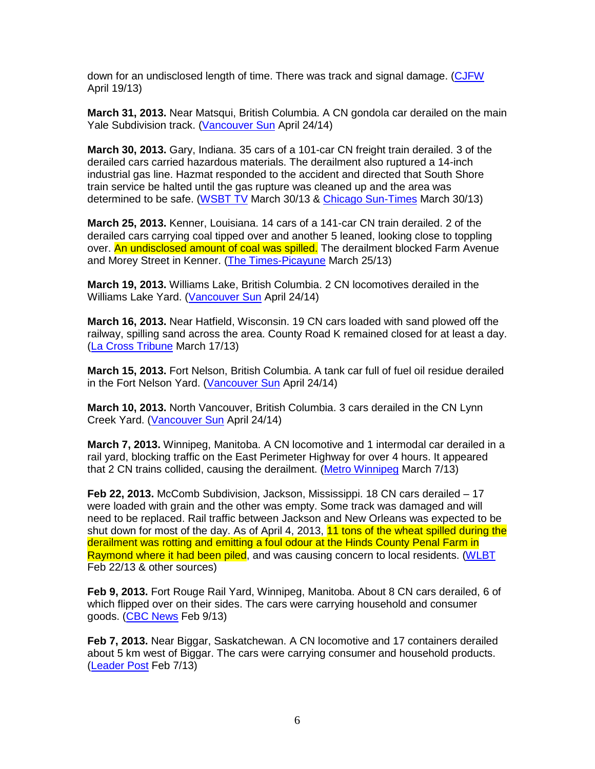down for an undisclosed length of time. There was track and signal damage. (CJFW April 19/13)

**March 31, 2013.** Near Matsqui, British Columbia. A CN gondola car derailed on the main Yale Subdivision track. (Vancouver Sun April 24/14)

**March 30, 2013.** Gary, Indiana. 35 cars of a 101-car CN freight train derailed. 3 of the derailed cars carried hazardous materials. The derailment also ruptured a 14-inch industrial gas line. Hazmat responded to the accident and directed that South Shore train service be halted until the gas rupture was cleaned up and the area was determined to be safe. (WSBT TV March 30/13 & Chicago Sun-Times March 30/13)

**March 25, 2013.** Kenner, Louisiana. 14 cars of a 141-car CN train derailed. 2 of the derailed cars carrying coal tipped over and another 5 leaned, looking close to toppling over. An undisclosed amount of coal was spilled. The derailment blocked Farm Avenue and Morey Street in Kenner. (The Times-Picayune March 25/13)

**March 19, 2013.** Williams Lake, British Columbia. 2 CN locomotives derailed in the Williams Lake Yard. (Vancouver Sun April 24/14)

**March 16, 2013.** Near Hatfield, Wisconsin. 19 CN cars loaded with sand plowed off the railway, spilling sand across the area. County Road K remained closed for at least a day. (La Cross Tribune March 17/13)

**March 15, 2013.** Fort Nelson, British Columbia. A tank car full of fuel oil residue derailed in the Fort Nelson Yard. (Vancouver Sun April 24/14)

**March 10, 2013.** North Vancouver, British Columbia. 3 cars derailed in the CN Lynn Creek Yard. (Vancouver Sun April 24/14)

**March 7, 2013.** Winnipeg, Manitoba. A CN locomotive and 1 intermodal car derailed in a rail yard, blocking traffic on the East Perimeter Highway for over 4 hours. It appeared that 2 CN trains collided, causing the derailment. (Metro Winnipeg March 7/13)

**Feb 22, 2013.** McComb Subdivision, Jackson, Mississippi. 18 CN cars derailed – 17 were loaded with grain and the other was empty. Some track was damaged and will need to be replaced. Rail traffic between Jackson and New Orleans was expected to be shut down for most of the day. As of April 4, 2013, 11 tons of the wheat spilled during the derailment was rotting and emitting a foul odour at the Hinds County Penal Farm in Raymond where it had been piled, and was causing concern to local residents. (WLBT Feb 22/13 & other sources)

**Feb 9, 2013.** Fort Rouge Rail Yard, Winnipeg, Manitoba. About 8 CN cars derailed, 6 of which flipped over on their sides. The cars were carrying household and consumer goods. (CBC News Feb 9/13)

**Feb 7, 2013.** Near Biggar, Saskatchewan. A CN locomotive and 17 containers derailed about 5 km west of Biggar. The cars were carrying consumer and household products. (Leader Post Feb 7/13)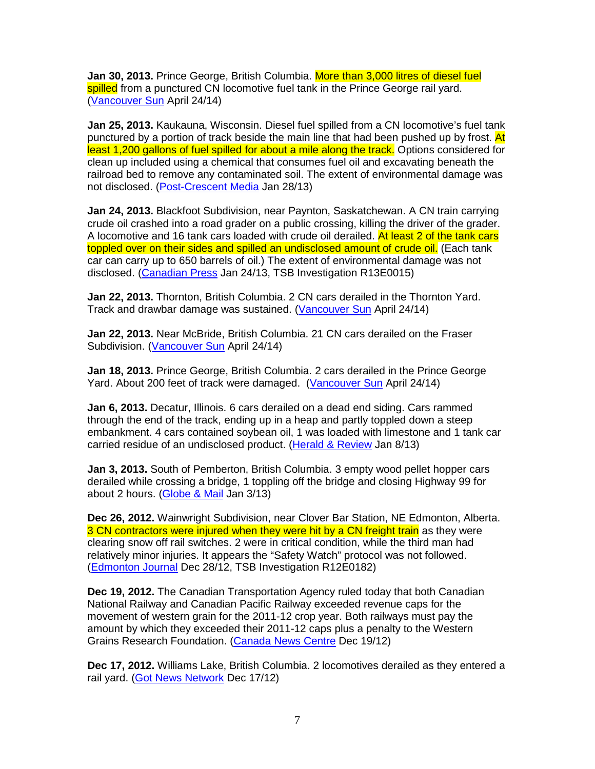**Jan 30, 2013.** Prince George, British Columbia. More than 3,000 litres of diesel fuel spilled from a punctured CN locomotive fuel tank in the Prince George rail yard. (Vancouver Sun April 24/14)

**Jan 25, 2013.** Kaukauna, Wisconsin. Diesel fuel spilled from a CN locomotive's fuel tank punctured by a portion of track beside the main line that had been pushed up by frost. At least 1,200 gallons of fuel spilled for about a mile along the track. Options considered for clean up included using a chemical that consumes fuel oil and excavating beneath the railroad bed to remove any contaminated soil. The extent of environmental damage was not disclosed. (Post-Crescent Media Jan 28/13)

**Jan 24, 2013.** Blackfoot Subdivision, near Paynton, Saskatchewan. A CN train carrying crude oil crashed into a road grader on a public crossing, killing the driver of the grader. A locomotive and 16 tank cars loaded with crude oil derailed. At least 2 of the tank cars toppled over on their sides and spilled an undisclosed amount of crude oil. (Each tank car can carry up to 650 barrels of oil.) The extent of environmental damage was not disclosed. (Canadian Press Jan 24/13, TSB Investigation R13E0015)

**Jan 22, 2013.** Thornton, British Columbia. 2 CN cars derailed in the Thornton Yard. Track and drawbar damage was sustained. (Vancouver Sun April 24/14)

**Jan 22, 2013.** Near McBride, British Columbia. 21 CN cars derailed on the Fraser Subdivision. (Vancouver Sun April 24/14)

**Jan 18, 2013.** Prince George, British Columbia. 2 cars derailed in the Prince George Yard. About 200 feet of track were damaged. (Vancouver Sun April 24/14)

**Jan 6, 2013.** Decatur, Illinois. 6 cars derailed on a dead end siding. Cars rammed through the end of the track, ending up in a heap and partly toppled down a steep embankment. 4 cars contained soybean oil, 1 was loaded with limestone and 1 tank car carried residue of an undisclosed product. (Herald & Review Jan 8/13)

**Jan 3, 2013.** South of Pemberton, British Columbia. 3 empty wood pellet hopper cars derailed while crossing a bridge, 1 toppling off the bridge and closing Highway 99 for about 2 hours. (Globe & Mail Jan 3/13)

**Dec 26, 2012.** Wainwright Subdivision, near Clover Bar Station, NE Edmonton, Alberta. 3 CN contractors were injured when they were hit by a CN freight train as they were clearing snow off rail switches. 2 were in critical condition, while the third man had relatively minor injuries. It appears the "Safety Watch" protocol was not followed. (Edmonton Journal Dec 28/12, TSB Investigation R12E0182)

**Dec 19, 2012.** The Canadian Transportation Agency ruled today that both Canadian National Railway and Canadian Pacific Railway exceeded revenue caps for the movement of western grain for the 2011-12 crop year. Both railways must pay the amount by which they exceeded their 2011-12 caps plus a penalty to the Western Grains Research Foundation. (Canada News Centre Dec 19/12)

**Dec 17, 2012.** Williams Lake, British Columbia. 2 locomotives derailed as they entered a rail yard. (Got News Network Dec 17/12)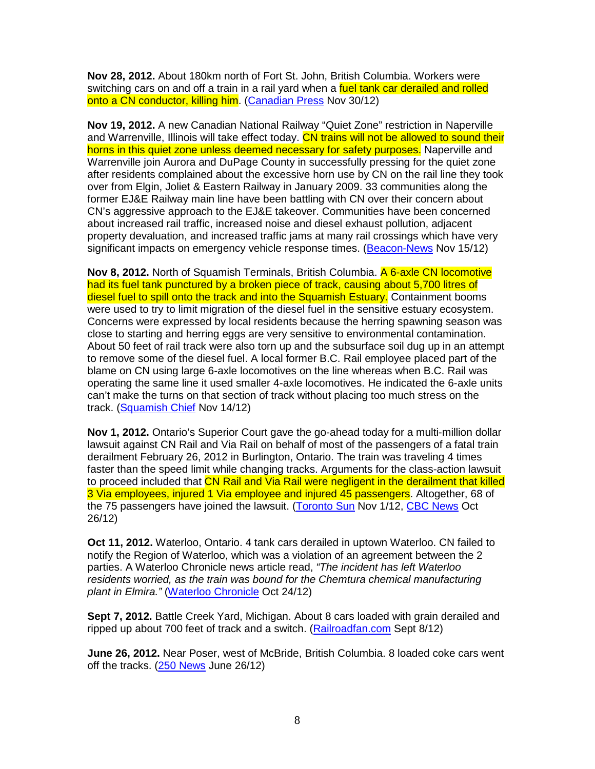**Nov 28, 2012.** About 180km north of Fort St. John, British Columbia. Workers were switching cars on and off a train in a rail yard when a fuel tank car derailed and rolled onto a CN conductor, killing him. (Canadian Press Nov 30/12)

**Nov 19, 2012.** A new Canadian National Railway "Quiet Zone" restriction in Naperville and Warrenville, Illinois will take effect today. CN trains will not be allowed to sound their horns in this quiet zone unless deemed necessary for safety purposes. Naperville and Warrenville join Aurora and DuPage County in successfully pressing for the quiet zone after residents complained about the excessive horn use by CN on the rail line they took over from Elgin, Joliet & Eastern Railway in January 2009. 33 communities along the former EJ&E Railway main line have been battling with CN over their concern about CN's aggressive approach to the EJ&E takeover. Communities have been concerned about increased rail traffic, increased noise and diesel exhaust pollution, adjacent property devaluation, and increased traffic jams at many rail crossings which have very significant impacts on emergency vehicle response times. (Beacon-News Nov 15/12)

**Nov 8, 2012.** North of Squamish Terminals, British Columbia. A 6-axle CN locomotive had its fuel tank punctured by a broken piece of track, causing about 5,700 litres of diesel fuel to spill onto the track and into the Squamish Estuary. Containment booms were used to try to limit migration of the diesel fuel in the sensitive estuary ecosystem. Concerns were expressed by local residents because the herring spawning season was close to starting and herring eggs are very sensitive to environmental contamination. About 50 feet of rail track were also torn up and the subsurface soil dug up in an attempt to remove some of the diesel fuel. A local former B.C. Rail employee placed part of the blame on CN using large 6-axle locomotives on the line whereas when B.C. Rail was operating the same line it used smaller 4-axle locomotives. He indicated the 6-axle units can't make the turns on that section of track without placing too much stress on the track. (Squamish Chief Nov 14/12)

**Nov 1, 2012.** Ontario's Superior Court gave the go-ahead today for a multi-million dollar lawsuit against CN Rail and Via Rail on behalf of most of the passengers of a fatal train derailment February 26, 2012 in Burlington, Ontario. The train was traveling 4 times faster than the speed limit while changing tracks. Arguments for the class-action lawsuit to proceed included that CN Rail and Via Rail were negligent in the derailment that killed 3 Via employees, injured 1 Via employee and injured 45 passengers. Altogether, 68 of the 75 passengers have joined the lawsuit. (Toronto Sun Nov 1/12, CBC News Oct 26/12)

**Oct 11, 2012.** Waterloo, Ontario. 4 tank cars derailed in uptown Waterloo. CN failed to notify the Region of Waterloo, which was a violation of an agreement between the 2 parties. A Waterloo Chronicle news article read, "The incident has left Waterloo residents worried, as the train was bound for the Chemtura chemical manufacturing plant in Elmira." (Waterloo Chronicle Oct 24/12)

**Sept 7, 2012.** Battle Creek Yard, Michigan. About 8 cars loaded with grain derailed and ripped up about 700 feet of track and a switch. (Railroadfan.com Sept 8/12)

**June 26, 2012.** Near Poser, west of McBride, British Columbia. 8 loaded coke cars went off the tracks. (250 News June 26/12)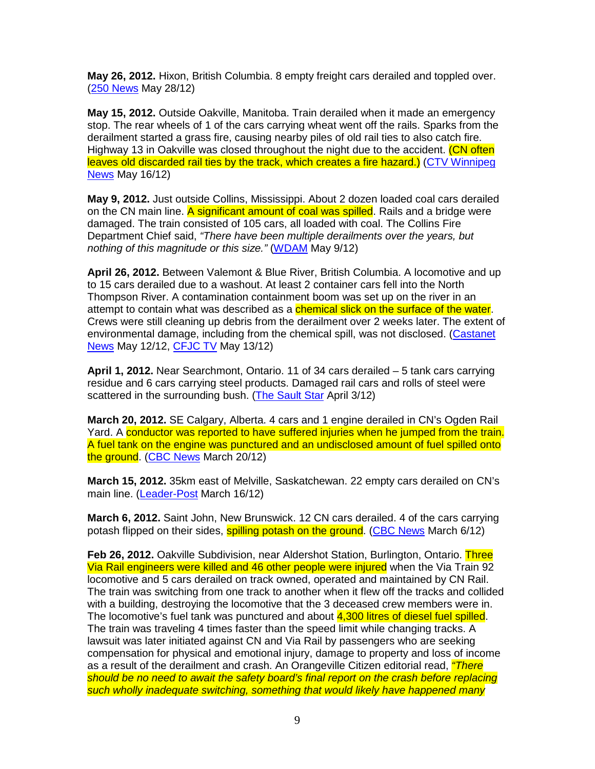**May 26, 2012.** Hixon, British Columbia. 8 empty freight cars derailed and toppled over. (250 News May 28/12)

**May 15, 2012.** Outside Oakville, Manitoba. Train derailed when it made an emergency stop. The rear wheels of 1 of the cars carrying wheat went off the rails. Sparks from the derailment started a grass fire, causing nearby piles of old rail ties to also catch fire. Highway 13 in Oakville was closed throughout the night due to the accident. (CN often leaves old discarded rail ties by the track, which creates a fire hazard.) (CTV Winnipeg News May 16/12)

**May 9, 2012.** Just outside Collins, Mississippi. About 2 dozen loaded coal cars derailed on the CN main line. A significant amount of coal was spilled. Rails and a bridge were damaged. The train consisted of 105 cars, all loaded with coal. The Collins Fire Department Chief said, "There have been multiple derailments over the years, but nothing of this magnitude or this size." (WDAM May 9/12)

**April 26, 2012.** Between Valemont & Blue River, British Columbia. A locomotive and up to 15 cars derailed due to a washout. At least 2 container cars fell into the North Thompson River. A contamination containment boom was set up on the river in an attempt to contain what was described as a *chemical slick on the surface of the water*. Crews were still cleaning up debris from the derailment over 2 weeks later. The extent of environmental damage, including from the chemical spill, was not disclosed. (Castanet News May 12/12, CFJC TV May 13/12)

**April 1, 2012.** Near Searchmont, Ontario. 11 of 34 cars derailed – 5 tank cars carrying residue and 6 cars carrying steel products. Damaged rail cars and rolls of steel were scattered in the surrounding bush. (The Sault Star April 3/12)

**March 20, 2012.** SE Calgary, Alberta. 4 cars and 1 engine derailed in CN's Ogden Rail Yard. A conductor was reported to have suffered injuries when he jumped from the train. A fuel tank on the engine was punctured and an undisclosed amount of fuel spilled onto the ground. (CBC News March 20/12)

**March 15, 2012.** 35km east of Melville, Saskatchewan. 22 empty cars derailed on CN's main line. (Leader-Post March 16/12)

**March 6, 2012.** Saint John, New Brunswick. 12 CN cars derailed. 4 of the cars carrying potash flipped on their sides, **spilling potash on the ground.** (CBC News March 6/12)

**Feb 26, 2012.** Oakville Subdivision, near Aldershot Station, Burlington, Ontario. Three Via Rail engineers were killed and 46 other people were injured when the Via Train 92 locomotive and 5 cars derailed on track owned, operated and maintained by CN Rail. The train was switching from one track to another when it flew off the tracks and collided with a building, destroying the locomotive that the 3 deceased crew members were in. The locomotive's fuel tank was punctured and about 4,300 litres of diesel fuel spilled. The train was traveling 4 times faster than the speed limit while changing tracks. A lawsuit was later initiated against CN and Via Rail by passengers who are seeking compensation for physical and emotional injury, damage to property and loss of income as a result of the derailment and crash. An Orangeville Citizen editorial read, "There should be no need to await the safety board's final report on the crash before replacing such wholly inadequate switching, something that would likely have happened many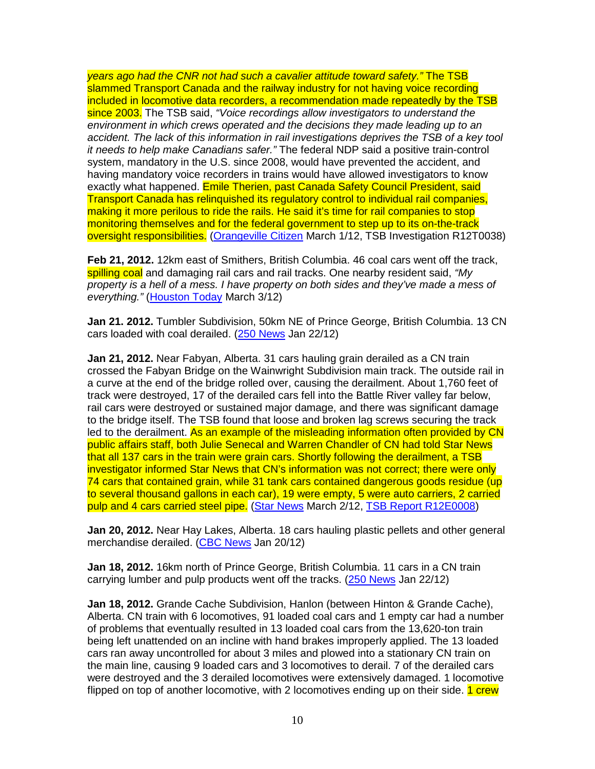years ago had the CNR not had such a cavalier attitude toward safety." The TSB slammed Transport Canada and the railway industry for not having voice recording included in locomotive data recorders, a recommendation made repeatedly by the TSB since 2003. The TSB said, "Voice recordings allow investigators to understand the environment in which crews operated and the decisions they made leading up to an accident. The lack of this information in rail investigations deprives the TSB of a key tool it needs to help make Canadians safer." The federal NDP said a positive train-control system, mandatory in the U.S. since 2008, would have prevented the accident, and having mandatory voice recorders in trains would have allowed investigators to know exactly what happened. Emile Therien, past Canada Safety Council President, said Transport Canada has relinquished its regulatory control to individual rail companies, making it more perilous to ride the rails. He said it's time for rail companies to stop monitoring themselves and for the federal government to step up to its on-the-track oversight responsibilities. (Orangeville Citizen March 1/12, TSB Investigation R12T0038)

**Feb 21, 2012.** 12km east of Smithers, British Columbia. 46 coal cars went off the track, spilling coal and damaging rail cars and rail tracks. One nearby resident said, "My property is a hell of a mess. I have property on both sides and they've made a mess of everything." (Houston Today March 3/12)

**Jan 21. 2012.** Tumbler Subdivision, 50km NE of Prince George, British Columbia. 13 CN cars loaded with coal derailed. (250 News Jan 22/12)

**Jan 21, 2012.** Near Fabyan, Alberta. 31 cars hauling grain derailed as a CN train crossed the Fabyan Bridge on the Wainwright Subdivision main track. The outside rail in a curve at the end of the bridge rolled over, causing the derailment. About 1,760 feet of track were destroyed, 17 of the derailed cars fell into the Battle River valley far below, rail cars were destroyed or sustained major damage, and there was significant damage to the bridge itself. The TSB found that loose and broken lag screws securing the track led to the derailment. As an example of the misleading information often provided by CN public affairs staff, both Julie Senecal and Warren Chandler of CN had told Star News that all 137 cars in the train were grain cars. Shortly following the derailment, a TSB investigator informed Star News that CN's information was not correct; there were only 74 cars that contained grain, while 31 tank cars contained dangerous goods residue (up to several thousand gallons in each car), 19 were empty, 5 were auto carriers, 2 carried pulp and 4 cars carried steel pipe. (Star News March 2/12, TSB Report R12E0008)

**Jan 20, 2012.** Near Hay Lakes, Alberta. 18 cars hauling plastic pellets and other general merchandise derailed. (CBC News Jan 20/12)

**Jan 18, 2012.** 16km north of Prince George, British Columbia. 11 cars in a CN train carrying lumber and pulp products went off the tracks. (250 News Jan 22/12)

**Jan 18, 2012.** Grande Cache Subdivision, Hanlon (between Hinton & Grande Cache), Alberta. CN train with 6 locomotives, 91 loaded coal cars and 1 empty car had a number of problems that eventually resulted in 13 loaded coal cars from the 13,620-ton train being left unattended on an incline with hand brakes improperly applied. The 13 loaded cars ran away uncontrolled for about 3 miles and plowed into a stationary CN train on the main line, causing 9 loaded cars and 3 locomotives to derail. 7 of the derailed cars were destroyed and the 3 derailed locomotives were extensively damaged. 1 locomotive flipped on top of another locomotive, with 2 locomotives ending up on their side. 1 crew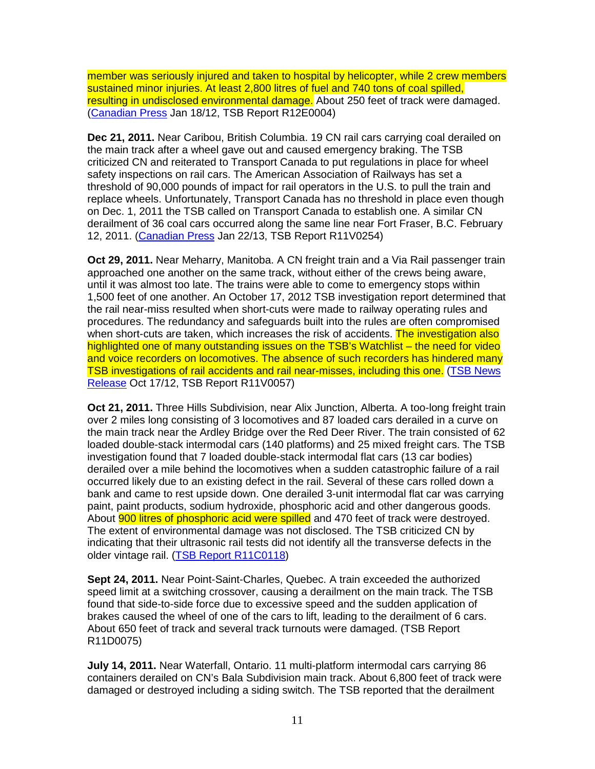member was seriously injured and taken to hospital by helicopter, while 2 crew members sustained minor injuries. At least 2,800 litres of fuel and 740 tons of coal spilled, resulting in undisclosed environmental damage. About 250 feet of track were damaged. (Canadian Press Jan 18/12, TSB Report R12E0004)

**Dec 21, 2011.** Near Caribou, British Columbia. 19 CN rail cars carrying coal derailed on the main track after a wheel gave out and caused emergency braking. The TSB criticized CN and reiterated to Transport Canada to put regulations in place for wheel safety inspections on rail cars. The American Association of Railways has set a threshold of 90,000 pounds of impact for rail operators in the U.S. to pull the train and replace wheels. Unfortunately, Transport Canada has no threshold in place even though on Dec. 1, 2011 the TSB called on Transport Canada to establish one. A similar CN derailment of 36 coal cars occurred along the same line near Fort Fraser, B.C. February 12, 2011. (Canadian Press Jan 22/13, TSB Report R11V0254)

**Oct 29, 2011.** Near Meharry, Manitoba. A CN freight train and a Via Rail passenger train approached one another on the same track, without either of the crews being aware, until it was almost too late. The trains were able to come to emergency stops within 1,500 feet of one another. An October 17, 2012 TSB investigation report determined that the rail near-miss resulted when short-cuts were made to railway operating rules and procedures. The redundancy and safeguards built into the rules are often compromised when short-cuts are taken, which increases the risk of accidents. The investigation also highlighted one of many outstanding issues on the TSB's Watchlist – the need for video and voice recorders on locomotives. The absence of such recorders has hindered many TSB investigations of rail accidents and rail near-misses, including this one. (TSB News Release Oct 17/12, TSB Report R11V0057)

**Oct 21, 2011.** Three Hills Subdivision, near Alix Junction, Alberta. A too-long freight train over 2 miles long consisting of 3 locomotives and 87 loaded cars derailed in a curve on the main track near the Ardley Bridge over the Red Deer River. The train consisted of 62 loaded double-stack intermodal cars (140 platforms) and 25 mixed freight cars. The TSB investigation found that 7 loaded double-stack intermodal flat cars (13 car bodies) derailed over a mile behind the locomotives when a sudden catastrophic failure of a rail occurred likely due to an existing defect in the rail. Several of these cars rolled down a bank and came to rest upside down. One derailed 3-unit intermodal flat car was carrying paint, paint products, sodium hydroxide, phosphoric acid and other dangerous goods. About **900 litres of phosphoric acid were spilled** and 470 feet of track were destroyed. The extent of environmental damage was not disclosed. The TSB criticized CN by indicating that their ultrasonic rail tests did not identify all the transverse defects in the older vintage rail. (TSB Report R11C0118)

**Sept 24, 2011.** Near Point-Saint-Charles, Quebec. A train exceeded the authorized speed limit at a switching crossover, causing a derailment on the main track. The TSB found that side-to-side force due to excessive speed and the sudden application of brakes caused the wheel of one of the cars to lift, leading to the derailment of 6 cars. About 650 feet of track and several track turnouts were damaged. (TSB Report R11D0075)

**July 14, 2011.** Near Waterfall, Ontario. 11 multi-platform intermodal cars carrying 86 containers derailed on CN's Bala Subdivision main track. About 6,800 feet of track were damaged or destroyed including a siding switch. The TSB reported that the derailment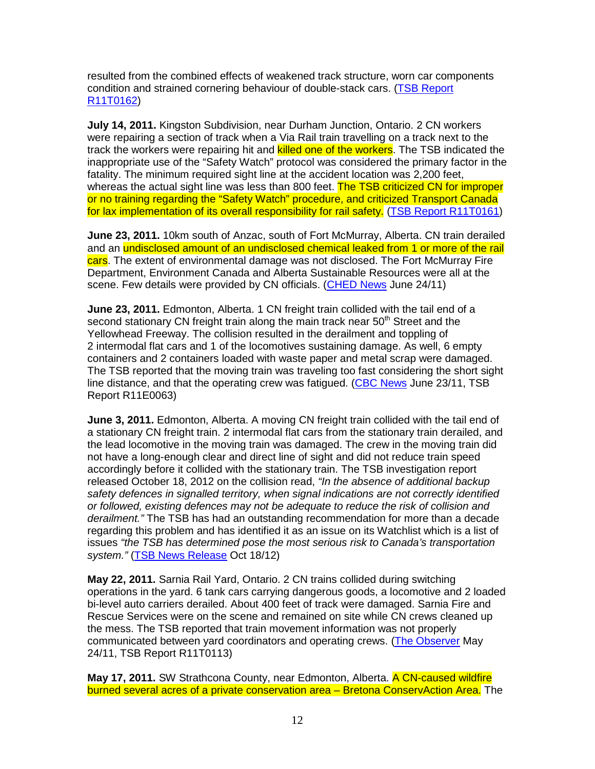resulted from the combined effects of weakened track structure, worn car components condition and strained cornering behaviour of double-stack cars. (TSB Report R11T0162)

**July 14, 2011.** Kingston Subdivision, near Durham Junction, Ontario. 2 CN workers were repairing a section of track when a Via Rail train travelling on a track next to the track the workers were repairing hit and **killed one of the workers**. The TSB indicated the inappropriate use of the "Safety Watch" protocol was considered the primary factor in the fatality. The minimum required sight line at the accident location was 2,200 feet, whereas the actual sight line was less than 800 feet. The TSB criticized CN for improper or no training regarding the "Safety Watch" procedure, and criticized Transport Canada for lax implementation of its overall responsibility for rail safety. (TSB Report R11T0161)

**June 23, 2011.** 10km south of Anzac, south of Fort McMurray, Alberta. CN train derailed and an undisclosed amount of an undisclosed chemical leaked from 1 or more of the rail cars. The extent of environmental damage was not disclosed. The Fort McMurray Fire Department, Environment Canada and Alberta Sustainable Resources were all at the scene. Few details were provided by CN officials. (CHED News June 24/11)

**June 23, 2011.** Edmonton, Alberta. 1 CN freight train collided with the tail end of a second stationary CN freight train along the main track near  $50<sup>th</sup>$  Street and the Yellowhead Freeway. The collision resulted in the derailment and toppling of 2 intermodal flat cars and 1 of the locomotives sustaining damage. As well, 6 empty containers and 2 containers loaded with waste paper and metal scrap were damaged. The TSB reported that the moving train was traveling too fast considering the short sight line distance, and that the operating crew was fatigued. (CBC News June 23/11, TSB Report R11E0063)

**June 3, 2011.** Edmonton, Alberta. A moving CN freight train collided with the tail end of a stationary CN freight train. 2 intermodal flat cars from the stationary train derailed, and the lead locomotive in the moving train was damaged. The crew in the moving train did not have a long-enough clear and direct line of sight and did not reduce train speed accordingly before it collided with the stationary train. The TSB investigation report released October 18, 2012 on the collision read, "In the absence of additional backup safety defences in signalled territory, when signal indications are not correctly identified or followed, existing defences may not be adequate to reduce the risk of collision and derailment." The TSB has had an outstanding recommendation for more than a decade regarding this problem and has identified it as an issue on its Watchlist which is a list of issues "the TSB has determined pose the most serious risk to Canada's transportation system." (TSB News Release Oct 18/12)

**May 22, 2011.** Sarnia Rail Yard, Ontario. 2 CN trains collided during switching operations in the yard. 6 tank cars carrying dangerous goods, a locomotive and 2 loaded bi-level auto carriers derailed. About 400 feet of track were damaged. Sarnia Fire and Rescue Services were on the scene and remained on site while CN crews cleaned up the mess. The TSB reported that train movement information was not properly communicated between yard coordinators and operating crews. (The Observer May 24/11, TSB Report R11T0113)

May 17, 2011. SW Strathcona County, near Edmonton, Alberta. A CN-caused wildfire burned several acres of a private conservation area – Bretona ConservAction Area. The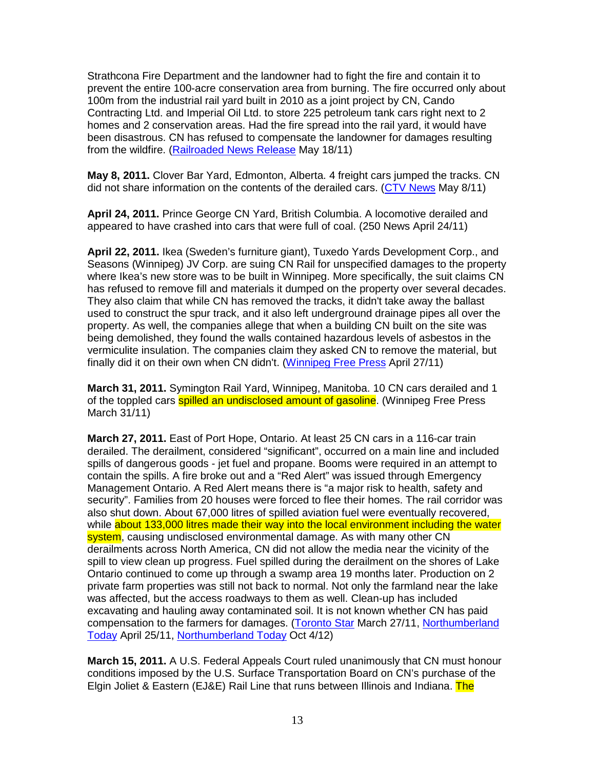Strathcona Fire Department and the landowner had to fight the fire and contain it to prevent the entire 100-acre conservation area from burning. The fire occurred only about 100m from the industrial rail yard built in 2010 as a joint project by CN, Cando Contracting Ltd. and Imperial Oil Ltd. to store 225 petroleum tank cars right next to 2 homes and 2 conservation areas. Had the fire spread into the rail yard, it would have been disastrous. CN has refused to compensate the landowner for damages resulting from the wildfire. (Railroaded News Release May 18/11)

**May 8, 2011.** Clover Bar Yard, Edmonton, Alberta. 4 freight cars jumped the tracks. CN did not share information on the contents of the derailed cars. (CTV News May 8/11)

**April 24, 2011.** Prince George CN Yard, British Columbia. A locomotive derailed and appeared to have crashed into cars that were full of coal. (250 News April 24/11)

**April 22, 2011.** Ikea (Sweden's furniture giant), Tuxedo Yards Development Corp., and Seasons (Winnipeg) JV Corp. are suing CN Rail for unspecified damages to the property where Ikea's new store was to be built in Winnipeg. More specifically, the suit claims CN has refused to remove fill and materials it dumped on the property over several decades. They also claim that while CN has removed the tracks, it didn't take away the ballast used to construct the spur track, and it also left underground drainage pipes all over the property. As well, the companies allege that when a building CN built on the site was being demolished, they found the walls contained hazardous levels of asbestos in the vermiculite insulation. The companies claim they asked CN to remove the material, but finally did it on their own when CN didn't. (Winnipeg Free Press April 27/11)

**March 31, 2011.** Symington Rail Yard, Winnipeg, Manitoba. 10 CN cars derailed and 1 of the toppled cars **spilled an undisclosed amount of gasoline**. (Winnipeg Free Press March 31/11)

**March 27, 2011.** East of Port Hope, Ontario. At least 25 CN cars in a 116-car train derailed. The derailment, considered "significant", occurred on a main line and included spills of dangerous goods - jet fuel and propane. Booms were required in an attempt to contain the spills. A fire broke out and a "Red Alert" was issued through Emergency Management Ontario. A Red Alert means there is "a major risk to health, safety and security". Families from 20 houses were forced to flee their homes. The rail corridor was also shut down. About 67,000 litres of spilled aviation fuel were eventually recovered, while about 133,000 litres made their way into the local environment including the water system, causing undisclosed environmental damage. As with many other CN derailments across North America, CN did not allow the media near the vicinity of the spill to view clean up progress. Fuel spilled during the derailment on the shores of Lake Ontario continued to come up through a swamp area 19 months later. Production on 2 private farm properties was still not back to normal. Not only the farmland near the lake was affected, but the access roadways to them as well. Clean-up has included excavating and hauling away contaminated soil. It is not known whether CN has paid compensation to the farmers for damages. (Toronto Star March 27/11, Northumberland Today April 25/11, Northumberland Today Oct 4/12)

**March 15, 2011.** A U.S. Federal Appeals Court ruled unanimously that CN must honour conditions imposed by the U.S. Surface Transportation Board on CN's purchase of the Elgin Joliet & Eastern (EJ&E) Rail Line that runs between Illinois and Indiana. The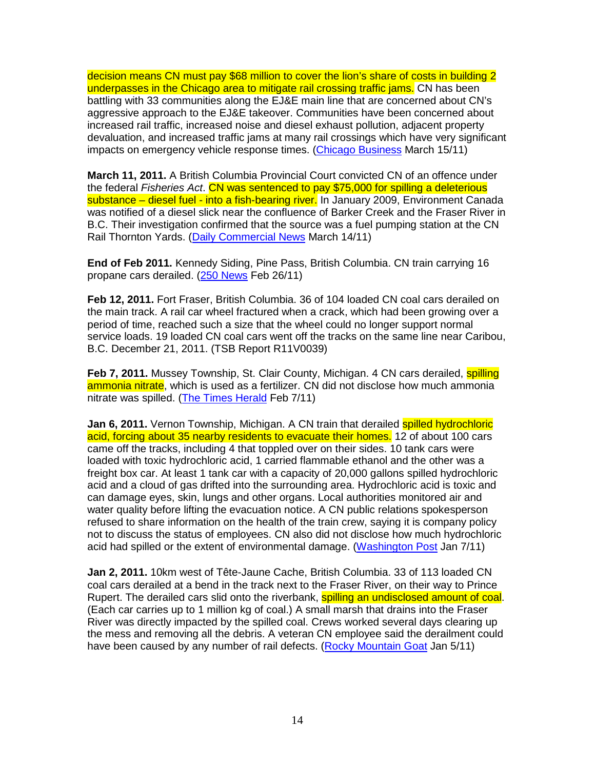decision means CN must pay \$68 million to cover the lion's share of costs in building 2 underpasses in the Chicago area to mitigate rail crossing traffic jams. CN has been battling with 33 communities along the EJ&E main line that are concerned about CN's aggressive approach to the EJ&E takeover. Communities have been concerned about increased rail traffic, increased noise and diesel exhaust pollution, adjacent property devaluation, and increased traffic jams at many rail crossings which have very significant impacts on emergency vehicle response times. (Chicago Business March 15/11)

**March 11, 2011.** A British Columbia Provincial Court convicted CN of an offence under the federal Fisheries Act. CN was sentenced to pay \$75,000 for spilling a deleterious substance – diesel fuel - into a fish-bearing river. In January 2009, Environment Canada was notified of a diesel slick near the confluence of Barker Creek and the Fraser River in B.C. Their investigation confirmed that the source was a fuel pumping station at the CN Rail Thornton Yards. (Daily Commercial News March 14/11)

**End of Feb 2011.** Kennedy Siding, Pine Pass, British Columbia. CN train carrying 16 propane cars derailed. (250 News Feb 26/11)

**Feb 12, 2011.** Fort Fraser, British Columbia. 36 of 104 loaded CN coal cars derailed on the main track. A rail car wheel fractured when a crack, which had been growing over a period of time, reached such a size that the wheel could no longer support normal service loads. 19 loaded CN coal cars went off the tracks on the same line near Caribou, B.C. December 21, 2011. (TSB Report R11V0039)

**Feb 7, 2011.** Mussey Township, St. Clair County, Michigan. 4 CN cars derailed, **spilling** ammonia nitrate, which is used as a fertilizer. CN did not disclose how much ammonia nitrate was spilled. (The Times Herald Feb 7/11)

**Jan 6, 2011.** Vernon Township, Michigan. A CN train that derailed spilled hydrochloric acid, forcing about 35 nearby residents to evacuate their homes. 12 of about 100 cars came off the tracks, including 4 that toppled over on their sides. 10 tank cars were loaded with toxic hydrochloric acid, 1 carried flammable ethanol and the other was a freight box car. At least 1 tank car with a capacity of 20,000 gallons spilled hydrochloric acid and a cloud of gas drifted into the surrounding area. Hydrochloric acid is toxic and can damage eyes, skin, lungs and other organs. Local authorities monitored air and water quality before lifting the evacuation notice. A CN public relations spokesperson refused to share information on the health of the train crew, saying it is company policy not to discuss the status of employees. CN also did not disclose how much hydrochloric acid had spilled or the extent of environmental damage. (Washington Post Jan 7/11)

**Jan 2, 2011.** 10km west of Tête-Jaune Cache, British Columbia. 33 of 113 loaded CN coal cars derailed at a bend in the track next to the Fraser River, on their way to Prince Rupert. The derailed cars slid onto the riverbank, **spilling an undisclosed amount of coal**. (Each car carries up to 1 million kg of coal.) A small marsh that drains into the Fraser River was directly impacted by the spilled coal. Crews worked several days clearing up the mess and removing all the debris. A veteran CN employee said the derailment could have been caused by any number of rail defects. (Rocky Mountain Goat Jan 5/11)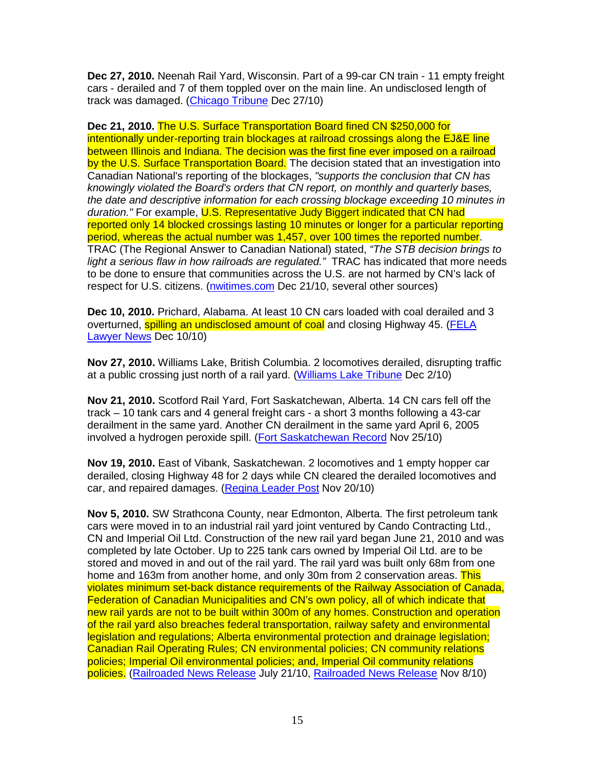**Dec 27, 2010.** Neenah Rail Yard, Wisconsin. Part of a 99-car CN train - 11 empty freight cars - derailed and 7 of them toppled over on the main line. An undisclosed length of track was damaged. (Chicago Tribune Dec 27/10)

**Dec 21, 2010.** The U.S. Surface Transportation Board fined CN \$250,000 for intentionally under-reporting train blockages at railroad crossings along the EJ&E line between Illinois and Indiana. The decision was the first fine ever imposed on a railroad by the U.S. Surface Transportation Board. The decision stated that an investigation into Canadian National's reporting of the blockages, "supports the conclusion that CN has knowingly violated the Board's orders that CN report, on monthly and quarterly bases, the date and descriptive information for each crossing blockage exceeding 10 minutes in duration." For example, U.S. Representative Judy Biggert indicated that CN had reported only 14 blocked crossings lasting 10 minutes or longer for a particular reporting period, whereas the actual number was 1,457, over 100 times the reported number. TRAC (The Regional Answer to Canadian National) stated, "The STB decision brings to light a serious flaw in how railroads are regulated." TRAC has indicated that more needs to be done to ensure that communities across the U.S. are not harmed by CN's lack of respect for U.S. citizens. (nwitimes.com Dec 21/10, several other sources)

**Dec 10, 2010.** Prichard, Alabama. At least 10 CN cars loaded with coal derailed and 3 overturned, spilling an undisclosed amount of coal and closing Highway 45. (FELA Lawyer News Dec 10/10)

**Nov 27, 2010.** Williams Lake, British Columbia. 2 locomotives derailed, disrupting traffic at a public crossing just north of a rail yard. (Williams Lake Tribune Dec 2/10)

**Nov 21, 2010.** Scotford Rail Yard, Fort Saskatchewan, Alberta. 14 CN cars fell off the track – 10 tank cars and 4 general freight cars - a short 3 months following a 43-car derailment in the same yard. Another CN derailment in the same yard April 6, 2005 involved a hydrogen peroxide spill. (Fort Saskatchewan Record Nov 25/10)

**Nov 19, 2010.** East of Vibank, Saskatchewan. 2 locomotives and 1 empty hopper car derailed, closing Highway 48 for 2 days while CN cleared the derailed locomotives and car, and repaired damages. (Regina Leader Post Nov 20/10)

**Nov 5, 2010.** SW Strathcona County, near Edmonton, Alberta. The first petroleum tank cars were moved in to an industrial rail yard joint ventured by Cando Contracting Ltd., CN and Imperial Oil Ltd. Construction of the new rail yard began June 21, 2010 and was completed by late October. Up to 225 tank cars owned by Imperial Oil Ltd. are to be stored and moved in and out of the rail yard. The rail yard was built only 68m from one home and 163m from another home, and only 30m from 2 conservation areas. This violates minimum set-back distance requirements of the Railway Association of Canada, Federation of Canadian Municipalities and CN's own policy, all of which indicate that new rail yards are not to be built within 300m of any homes. Construction and operation of the rail yard also breaches federal transportation, railway safety and environmental legislation and regulations; Alberta environmental protection and drainage legislation; Canadian Rail Operating Rules; CN environmental policies; CN community relations policies; Imperial Oil environmental policies; and, Imperial Oil community relations policies. (Railroaded News Release July 21/10, Railroaded News Release Nov 8/10)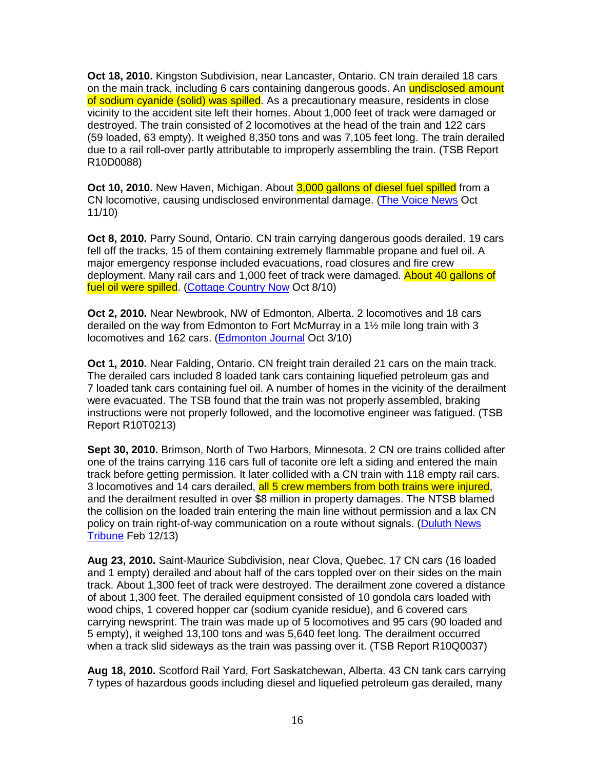**Oct 18, 2010.** Kingston Subdivision, near Lancaster, Ontario. CN train derailed 18 cars on the main track, including 6 cars containing dangerous goods. An **undisclosed amount** of sodium cyanide (solid) was spilled. As a precautionary measure, residents in close vicinity to the accident site left their homes. About 1,000 feet of track were damaged or destroyed. The train consisted of 2 locomotives at the head of the train and 122 cars (59 loaded, 63 empty). It weighed 8,350 tons and was 7,105 feet long. The train derailed due to a rail roll-over partly attributable to improperly assembling the train. (TSB Report R10D0088)

**Oct 10, 2010.** New Haven, Michigan. About 3,000 gallons of diesel fuel spilled from a CN locomotive, causing undisclosed environmental damage. (The Voice News Oct 11/10)

**Oct 8, 2010.** Parry Sound, Ontario. CN train carrying dangerous goods derailed. 19 cars fell off the tracks, 15 of them containing extremely flammable propane and fuel oil. A major emergency response included evacuations, road closures and fire crew deployment. Many rail cars and 1,000 feet of track were damaged. About 40 gallons of fuel oil were spilled. (Cottage Country Now Oct 8/10)

**Oct 2, 2010.** Near Newbrook, NW of Edmonton, Alberta. 2 locomotives and 18 cars derailed on the way from Edmonton to Fort McMurray in a 1½ mile long train with 3 locomotives and 162 cars. (Edmonton Journal Oct 3/10)

**Oct 1, 2010.** Near Falding, Ontario. CN freight train derailed 21 cars on the main track. The derailed cars included 8 loaded tank cars containing liquefied petroleum gas and 7 loaded tank cars containing fuel oil. A number of homes in the vicinity of the derailment were evacuated. The TSB found that the train was not properly assembled, braking instructions were not properly followed, and the locomotive engineer was fatigued. (TSB Report R10T0213)

**Sept 30, 2010.** Brimson, North of Two Harbors, Minnesota. 2 CN ore trains collided after one of the trains carrying 116 cars full of taconite ore left a siding and entered the main track before getting permission. It later collided with a CN train with 118 empty rail cars. 3 locomotives and 14 cars derailed, all 5 crew members from both trains were injured, and the derailment resulted in over \$8 million in property damages. The NTSB blamed the collision on the loaded train entering the main line without permission and a lax CN policy on train right-of-way communication on a route without signals. (Duluth News Tribune Feb 12/13)

**Aug 23, 2010.** Saint-Maurice Subdivision, near Clova, Quebec. 17 CN cars (16 loaded and 1 empty) derailed and about half of the cars toppled over on their sides on the main track. About 1,300 feet of track were destroyed. The derailment zone covered a distance of about 1,300 feet. The derailed equipment consisted of 10 gondola cars loaded with wood chips, 1 covered hopper car (sodium cyanide residue), and 6 covered cars carrying newsprint. The train was made up of 5 locomotives and 95 cars (90 loaded and 5 empty), it weighed 13,100 tons and was 5,640 feet long. The derailment occurred when a track slid sideways as the train was passing over it. (TSB Report R10Q0037)

**Aug 18, 2010.** Scotford Rail Yard, Fort Saskatchewan, Alberta. 43 CN tank cars carrying 7 types of hazardous goods including diesel and liquefied petroleum gas derailed, many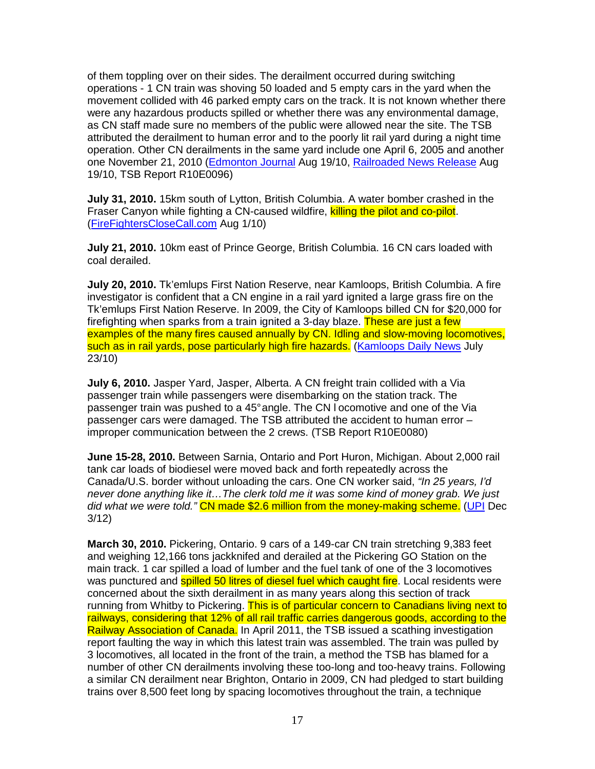of them toppling over on their sides. The derailment occurred during switching operations - 1 CN train was shoving 50 loaded and 5 empty cars in the yard when the movement collided with 46 parked empty cars on the track. It is not known whether there were any hazardous products spilled or whether there was any environmental damage, as CN staff made sure no members of the public were allowed near the site. The TSB attributed the derailment to human error and to the poorly lit rail yard during a night time operation. Other CN derailments in the same yard include one April 6, 2005 and another one November 21, 2010 (Edmonton Journal Aug 19/10, Railroaded News Release Aug 19/10, TSB Report R10E0096)

**July 31, 2010.** 15km south of Lytton, British Columbia. A water bomber crashed in the Fraser Canyon while fighting a CN-caused wildfire, killing the pilot and co-pilot. (FireFightersCloseCall.com Aug 1/10)

**July 21, 2010.** 10km east of Prince George, British Columbia. 16 CN cars loaded with coal derailed.

**July 20, 2010.** Tk'emlups First Nation Reserve, near Kamloops, British Columbia. A fire investigator is confident that a CN engine in a rail yard ignited a large grass fire on the Tk'emlups First Nation Reserve. In 2009, the City of Kamloops billed CN for \$20,000 for firefighting when sparks from a train ignited a 3-day blaze. These are just a few examples of the many fires caused annually by CN. Idling and slow-moving locomotives, such as in rail yards, pose particularly high fire hazards. (Kamloops Daily News July 23/10)

**July 6, 2010.** Jasper Yard, Jasper, Alberta. A CN freight train collided with a Via passenger train while passengers were disembarking on the station track. The passenger train was pushed to a 45° angle. The CN l ocomotive and one of the Via passenger cars were damaged. The TSB attributed the accident to human error – improper communication between the 2 crews. (TSB Report R10E0080)

**June 15-28, 2010.** Between Sarnia, Ontario and Port Huron, Michigan. About 2,000 rail tank car loads of biodiesel were moved back and forth repeatedly across the Canada/U.S. border without unloading the cars. One CN worker said, "In 25 years, I'd never done anything like it…The clerk told me it was some kind of money grab. We just did what we were told." CN made \$2.6 million from the money-making scheme. (UPI Dec 3/12)

**March 30, 2010.** Pickering, Ontario. 9 cars of a 149-car CN train stretching 9,383 feet and weighing 12,166 tons jackknifed and derailed at the Pickering GO Station on the main track. 1 car spilled a load of lumber and the fuel tank of one of the 3 locomotives was punctured and **spilled 50 litres of diesel fuel which caught fire**. Local residents were concerned about the sixth derailment in as many years along this section of track running from Whitby to Pickering. This is of particular concern to Canadians living next to railways, considering that 12% of all rail traffic carries dangerous goods, according to the Railway Association of Canada. In April 2011, the TSB issued a scathing investigation report faulting the way in which this latest train was assembled. The train was pulled by 3 locomotives, all located in the front of the train, a method the TSB has blamed for a number of other CN derailments involving these too-long and too-heavy trains. Following a similar CN derailment near Brighton, Ontario in 2009, CN had pledged to start building trains over 8,500 feet long by spacing locomotives throughout the train, a technique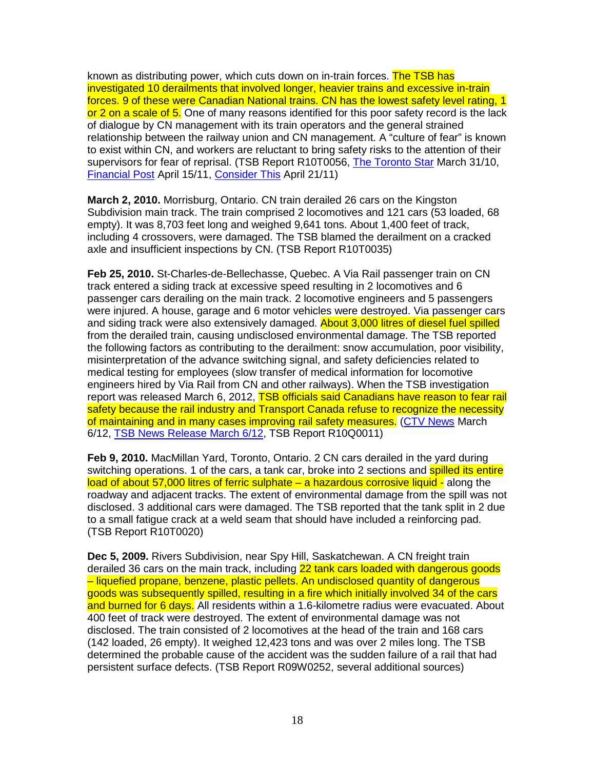known as distributing power, which cuts down on in-train forces. The TSB has investigated 10 derailments that involved longer, heavier trains and excessive in-train forces. 9 of these were Canadian National trains. CN has the lowest safety level rating, 1 or 2 on a scale of 5. One of many reasons identified for this poor safety record is the lack of dialogue by CN management with its train operators and the general strained relationship between the railway union and CN management. A "culture of fear" is known to exist within CN, and workers are reluctant to bring safety risks to the attention of their supervisors for fear of reprisal. (TSB Report R10T0056, The Toronto Star March 31/10, Financial Post April 15/11, Consider This April 21/11)

**March 2, 2010.** Morrisburg, Ontario. CN train derailed 26 cars on the Kingston Subdivision main track. The train comprised 2 locomotives and 121 cars (53 loaded, 68 empty). It was 8,703 feet long and weighed 9,641 tons. About 1,400 feet of track, including 4 crossovers, were damaged. The TSB blamed the derailment on a cracked axle and insufficient inspections by CN. (TSB Report R10T0035)

**Feb 25, 2010.** St-Charles-de-Bellechasse, Quebec. A Via Rail passenger train on CN track entered a siding track at excessive speed resulting in 2 locomotives and 6 passenger cars derailing on the main track. 2 locomotive engineers and 5 passengers were injured. A house, garage and 6 motor vehicles were destroyed. Via passenger cars and siding track were also extensively damaged. About 3,000 litres of diesel fuel spilled from the derailed train, causing undisclosed environmental damage. The TSB reported the following factors as contributing to the derailment: snow accumulation, poor visibility, misinterpretation of the advance switching signal, and safety deficiencies related to medical testing for employees (slow transfer of medical information for locomotive engineers hired by Via Rail from CN and other railways). When the TSB investigation report was released March 6, 2012, **TSB officials said Canadians have reason to fear rail** safety because the rail industry and Transport Canada refuse to recognize the necessity of maintaining and in many cases improving rail safety measures. (CTV News March 6/12, TSB News Release March 6/12, TSB Report R10Q0011)

**Feb 9, 2010.** MacMillan Yard, Toronto, Ontario. 2 CN cars derailed in the yard during switching operations. 1 of the cars, a tank car, broke into 2 sections and spilled its entire load of about 57,000 litres of ferric sulphate – a hazardous corrosive liquid - along the roadway and adjacent tracks. The extent of environmental damage from the spill was not disclosed. 3 additional cars were damaged. The TSB reported that the tank split in 2 due to a small fatigue crack at a weld seam that should have included a reinforcing pad. (TSB Report R10T0020)

**Dec 5, 2009.** Rivers Subdivision, near Spy Hill, Saskatchewan. A CN freight train derailed 36 cars on the main track, including 22 tank cars loaded with dangerous goods – liquefied propane, benzene, plastic pellets. An undisclosed quantity of dangerous goods was subsequently spilled, resulting in a fire which initially involved 34 of the cars and burned for 6 days. All residents within a 1.6-kilometre radius were evacuated. About 400 feet of track were destroyed. The extent of environmental damage was not disclosed. The train consisted of 2 locomotives at the head of the train and 168 cars (142 loaded, 26 empty). It weighed 12,423 tons and was over 2 miles long. The TSB determined the probable cause of the accident was the sudden failure of a rail that had persistent surface defects. (TSB Report R09W0252, several additional sources)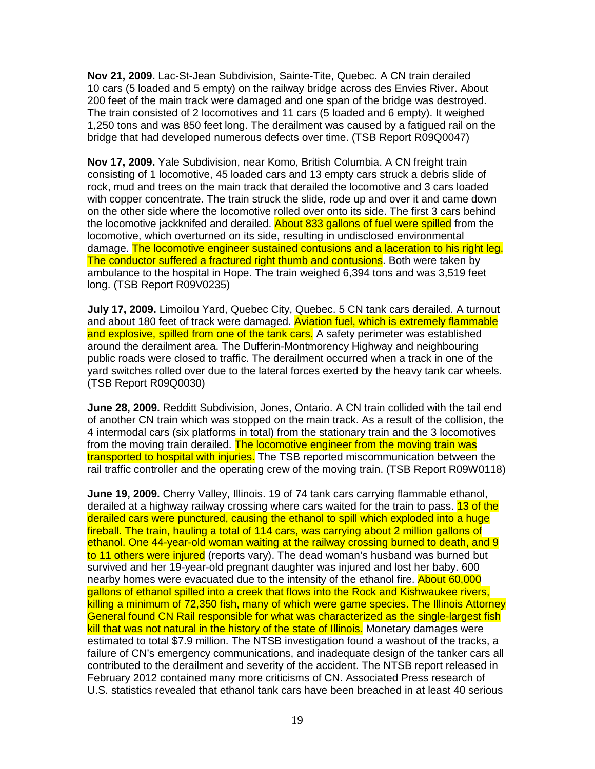**Nov 21, 2009.** Lac-St-Jean Subdivision, Sainte-Tite, Quebec. A CN train derailed 10 cars (5 loaded and 5 empty) on the railway bridge across des Envies River. About 200 feet of the main track were damaged and one span of the bridge was destroyed. The train consisted of 2 locomotives and 11 cars (5 loaded and 6 empty). It weighed 1,250 tons and was 850 feet long. The derailment was caused by a fatigued rail on the bridge that had developed numerous defects over time. (TSB Report R09Q0047)

**Nov 17, 2009.** Yale Subdivision, near Komo, British Columbia. A CN freight train consisting of 1 locomotive, 45 loaded cars and 13 empty cars struck a debris slide of rock, mud and trees on the main track that derailed the locomotive and 3 cars loaded with copper concentrate. The train struck the slide, rode up and over it and came down on the other side where the locomotive rolled over onto its side. The first 3 cars behind the locomotive jackknifed and derailed. About 833 gallons of fuel were spilled from the locomotive, which overturned on its side, resulting in undisclosed environmental damage. The locomotive engineer sustained contusions and a laceration to his right leg. The conductor suffered a fractured right thumb and contusions. Both were taken by ambulance to the hospital in Hope. The train weighed 6,394 tons and was 3,519 feet long. (TSB Report R09V0235)

**July 17, 2009.** Limoilou Yard, Quebec City, Quebec. 5 CN tank cars derailed. A turnout and about 180 feet of track were damaged. Aviation fuel, which is extremely flammable and explosive, spilled from one of the tank cars. A safety perimeter was established around the derailment area. The Dufferin-Montmorency Highway and neighbouring public roads were closed to traffic. The derailment occurred when a track in one of the yard switches rolled over due to the lateral forces exerted by the heavy tank car wheels. (TSB Report R09Q0030)

**June 28, 2009.** Redditt Subdivision, Jones, Ontario. A CN train collided with the tail end of another CN train which was stopped on the main track. As a result of the collision, the 4 intermodal cars (six platforms in total) from the stationary train and the 3 locomotives from the moving train derailed. The locomotive engineer from the moving train was transported to hospital with injuries. The TSB reported miscommunication between the rail traffic controller and the operating crew of the moving train. (TSB Report R09W0118)

**June 19, 2009.** Cherry Valley, Illinois. 19 of 74 tank cars carrying flammable ethanol, derailed at a highway railway crossing where cars waited for the train to pass. 13 of the derailed cars were punctured, causing the ethanol to spill which exploded into a huge fireball. The train, hauling a total of 114 cars, was carrying about 2 million gallons of ethanol. One 44-year-old woman waiting at the railway crossing burned to death, and 9 to 11 others were injured (reports vary). The dead woman's husband was burned but survived and her 19-year-old pregnant daughter was injured and lost her baby. 600 nearby homes were evacuated due to the intensity of the ethanol fire. About 60,000 gallons of ethanol spilled into a creek that flows into the Rock and Kishwaukee rivers, killing a minimum of 72,350 fish, many of which were game species. The Illinois Attorney General found CN Rail responsible for what was characterized as the single-largest fish kill that was not natural in the history of the state of Illinois. Monetary damages were estimated to total \$7.9 million. The NTSB investigation found a washout of the tracks, a failure of CN's emergency communications, and inadequate design of the tanker cars all contributed to the derailment and severity of the accident. The NTSB report released in February 2012 contained many more criticisms of CN. Associated Press research of U.S. statistics revealed that ethanol tank cars have been breached in at least 40 serious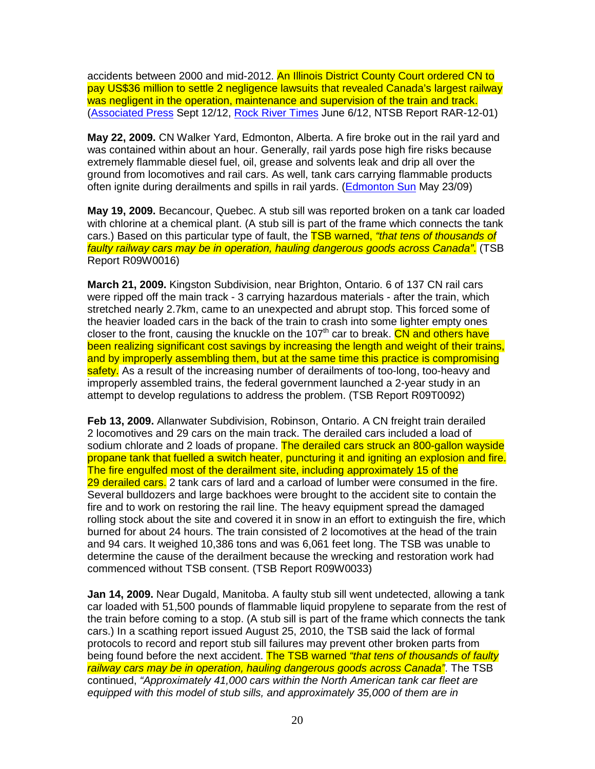accidents between 2000 and mid-2012. An Illinois District County Court ordered CN to pay US\$36 million to settle 2 negligence lawsuits that revealed Canada's largest railway was negligent in the operation, maintenance and supervision of the train and track. (Associated Press Sept 12/12, Rock River Times June 6/12, NTSB Report RAR-12-01)

**May 22, 2009.** CN Walker Yard, Edmonton, Alberta. A fire broke out in the rail yard and was contained within about an hour. Generally, rail yards pose high fire risks because extremely flammable diesel fuel, oil, grease and solvents leak and drip all over the ground from locomotives and rail cars. As well, tank cars carrying flammable products often ignite during derailments and spills in rail yards. (Edmonton Sun May 23/09)

**May 19, 2009.** Becancour, Quebec. A stub sill was reported broken on a tank car loaded with chlorine at a chemical plant. (A stub sill is part of the frame which connects the tank cars.) Based on this particular type of fault, the **TSB warned, "that tens of thousands of** faulty railway cars may be in operation, hauling dangerous goods across Canada". (TSB Report R09W0016)

**March 21, 2009.** Kingston Subdivision, near Brighton, Ontario. 6 of 137 CN rail cars were ripped off the main track - 3 carrying hazardous materials - after the train, which stretched nearly 2.7km, came to an unexpected and abrupt stop. This forced some of the heavier loaded cars in the back of the train to crash into some lighter empty ones closer to the front, causing the knuckle on the 107<sup>th</sup> car to break. CN and others have been realizing significant cost savings by increasing the length and weight of their trains, and by improperly assembling them, but at the same time this practice is compromising safety. As a result of the increasing number of derailments of too-long, too-heavy and improperly assembled trains, the federal government launched a 2-year study in an attempt to develop regulations to address the problem. (TSB Report R09T0092)

**Feb 13, 2009.** Allanwater Subdivision, Robinson, Ontario. A CN freight train derailed 2 locomotives and 29 cars on the main track. The derailed cars included a load of sodium chlorate and 2 loads of propane. The derailed cars struck an 800-gallon wayside propane tank that fuelled a switch heater, puncturing it and igniting an explosion and fire. The fire engulfed most of the derailment site, including approximately 15 of the 29 derailed cars. 2 tank cars of lard and a carload of lumber were consumed in the fire. Several bulldozers and large backhoes were brought to the accident site to contain the fire and to work on restoring the rail line. The heavy equipment spread the damaged rolling stock about the site and covered it in snow in an effort to extinguish the fire, which burned for about 24 hours. The train consisted of 2 locomotives at the head of the train and 94 cars. It weighed 10,386 tons and was 6,061 feet long. The TSB was unable to determine the cause of the derailment because the wrecking and restoration work had commenced without TSB consent. (TSB Report R09W0033)

**Jan 14, 2009.** Near Dugald, Manitoba. A faulty stub sill went undetected, allowing a tank car loaded with 51,500 pounds of flammable liquid propylene to separate from the rest of the train before coming to a stop. (A stub sill is part of the frame which connects the tank cars.) In a scathing report issued August 25, 2010, the TSB said the lack of formal protocols to record and report stub sill failures may prevent other broken parts from being found before the next accident. The TSB warned "that tens of thousands of faulty railway cars may be in operation, hauling dangerous goods across Canada". The TSB continued, "Approximately 41,000 cars within the North American tank car fleet are equipped with this model of stub sills, and approximately 35,000 of them are in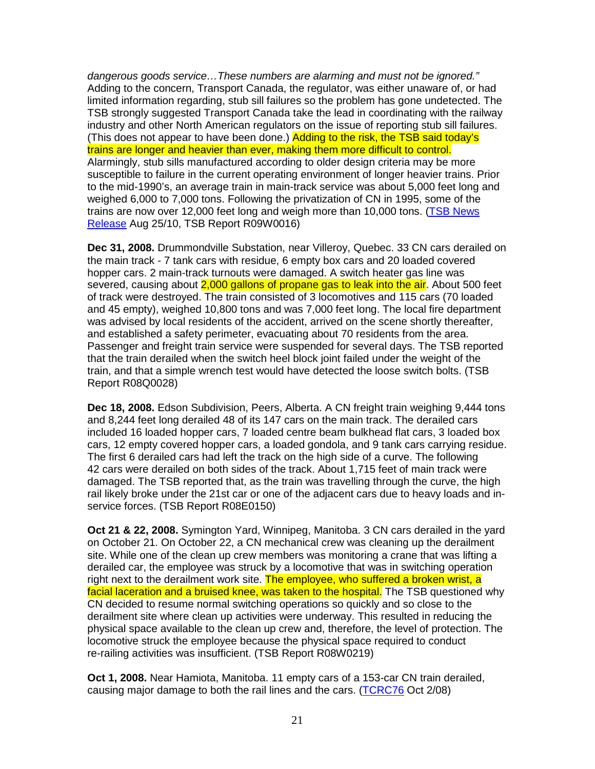dangerous goods service…These numbers are alarming and must not be ignored." Adding to the concern, Transport Canada, the regulator, was either unaware of, or had limited information regarding, stub sill failures so the problem has gone undetected. The TSB strongly suggested Transport Canada take the lead in coordinating with the railway industry and other North American regulators on the issue of reporting stub sill failures. (This does not appear to have been done.) Adding to the risk, the TSB said today's trains are longer and heavier than ever, making them more difficult to control. Alarmingly, stub sills manufactured according to older design criteria may be more susceptible to failure in the current operating environment of longer heavier trains. Prior to the mid-1990's, an average train in main-track service was about 5,000 feet long and weighed 6,000 to 7,000 tons. Following the privatization of CN in 1995, some of the trains are now over 12,000 feet long and weigh more than 10,000 tons. (TSB News Release Aug 25/10, TSB Report R09W0016)

**Dec 31, 2008.** Drummondville Substation, near Villeroy, Quebec. 33 CN cars derailed on the main track - 7 tank cars with residue, 6 empty box cars and 20 loaded covered hopper cars. 2 main-track turnouts were damaged. A switch heater gas line was severed, causing about 2,000 gallons of propane gas to leak into the air. About 500 feet of track were destroyed. The train consisted of 3 locomotives and 115 cars (70 loaded and 45 empty), weighed 10,800 tons and was 7,000 feet long. The local fire department was advised by local residents of the accident, arrived on the scene shortly thereafter, and established a safety perimeter, evacuating about 70 residents from the area. Passenger and freight train service were suspended for several days. The TSB reported that the train derailed when the switch heel block joint failed under the weight of the train, and that a simple wrench test would have detected the loose switch bolts. (TSB Report R08Q0028)

**Dec 18, 2008.** Edson Subdivision, Peers, Alberta. A CN freight train weighing 9,444 tons and 8,244 feet long derailed 48 of its 147 cars on the main track. The derailed cars included 16 loaded hopper cars, 7 loaded centre beam bulkhead flat cars, 3 loaded box cars, 12 empty covered hopper cars, a loaded gondola, and 9 tank cars carrying residue. The first 6 derailed cars had left the track on the high side of a curve. The following 42 cars were derailed on both sides of the track. About 1,715 feet of main track were damaged. The TSB reported that, as the train was travelling through the curve, the high rail likely broke under the 21st car or one of the adjacent cars due to heavy loads and inservice forces. (TSB Report R08E0150)

**Oct 21 & 22, 2008.** Symington Yard, Winnipeg, Manitoba. 3 CN cars derailed in the yard on October 21. On October 22, a CN mechanical crew was cleaning up the derailment site. While one of the clean up crew members was monitoring a crane that was lifting a derailed car, the employee was struck by a locomotive that was in switching operation right next to the derailment work site. The employee, who suffered a broken wrist, a facial laceration and a bruised knee, was taken to the hospital. The TSB questioned why CN decided to resume normal switching operations so quickly and so close to the derailment site where clean up activities were underway. This resulted in reducing the physical space available to the clean up crew and, therefore, the level of protection. The locomotive struck the employee because the physical space required to conduct re-railing activities was insufficient. (TSB Report R08W0219)

**Oct 1, 2008.** Near Hamiota, Manitoba. 11 empty cars of a 153-car CN train derailed, causing major damage to both the rail lines and the cars. (TCRC76 Oct 2/08)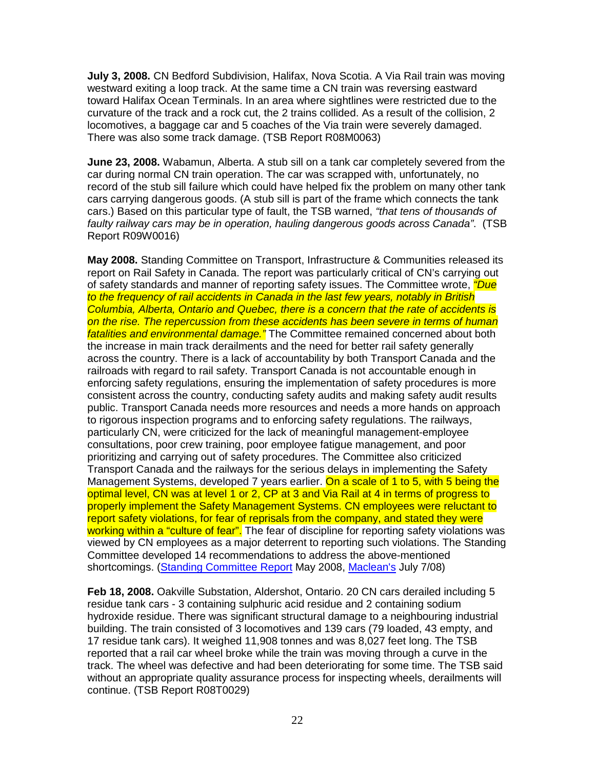**July 3, 2008.** CN Bedford Subdivision, Halifax, Nova Scotia. A Via Rail train was moving westward exiting a loop track. At the same time a CN train was reversing eastward toward Halifax Ocean Terminals. In an area where sightlines were restricted due to the curvature of the track and a rock cut, the 2 trains collided. As a result of the collision, 2 locomotives, a baggage car and 5 coaches of the Via train were severely damaged. There was also some track damage. (TSB Report R08M0063)

**June 23, 2008.** Wabamun, Alberta. A stub sill on a tank car completely severed from the car during normal CN train operation. The car was scrapped with, unfortunately, no record of the stub sill failure which could have helped fix the problem on many other tank cars carrying dangerous goods. (A stub sill is part of the frame which connects the tank cars.) Based on this particular type of fault, the TSB warned, "that tens of thousands of faulty railway cars may be in operation, hauling dangerous goods across Canada". (TSB Report R09W0016)

**May 2008.** Standing Committee on Transport, Infrastructure & Communities released its report on Rail Safety in Canada. The report was particularly critical of CN's carrying out of safety standards and manner of reporting safety issues. The Committee wrote, "Due to the frequency of rail accidents in Canada in the last few years, notably in British Columbia, Alberta, Ontario and Quebec, there is a concern that the rate of accidents is on the rise. The repercussion from these accidents has been severe in terms of human fatalities and environmental damage." The Committee remained concerned about both the increase in main track derailments and the need for better rail safety generally across the country. There is a lack of accountability by both Transport Canada and the railroads with regard to rail safety. Transport Canada is not accountable enough in enforcing safety regulations, ensuring the implementation of safety procedures is more consistent across the country, conducting safety audits and making safety audit results public. Transport Canada needs more resources and needs a more hands on approach to rigorous inspection programs and to enforcing safety regulations. The railways, particularly CN, were criticized for the lack of meaningful management-employee consultations, poor crew training, poor employee fatigue management, and poor prioritizing and carrying out of safety procedures. The Committee also criticized Transport Canada and the railways for the serious delays in implementing the Safety Management Systems, developed 7 years earlier. On a scale of 1 to 5, with 5 being the optimal level, CN was at level 1 or 2, CP at 3 and Via Rail at 4 in terms of progress to properly implement the Safety Management Systems. CN employees were reluctant to report safety violations, for fear of reprisals from the company, and stated they were working within a "culture of fear". The fear of discipline for reporting safety violations was viewed by CN employees as a major deterrent to reporting such violations. The Standing Committee developed 14 recommendations to address the above-mentioned shortcomings. (Standing Committee Report May 2008, Maclean's July 7/08)

**Feb 18, 2008.** Oakville Substation, Aldershot, Ontario. 20 CN cars derailed including 5 residue tank cars - 3 containing sulphuric acid residue and 2 containing sodium hydroxide residue. There was significant structural damage to a neighbouring industrial building. The train consisted of 3 locomotives and 139 cars (79 loaded, 43 empty, and 17 residue tank cars). It weighed 11,908 tonnes and was 8,027 feet long. The TSB reported that a rail car wheel broke while the train was moving through a curve in the track. The wheel was defective and had been deteriorating for some time. The TSB said without an appropriate quality assurance process for inspecting wheels, derailments will continue. (TSB Report R08T0029)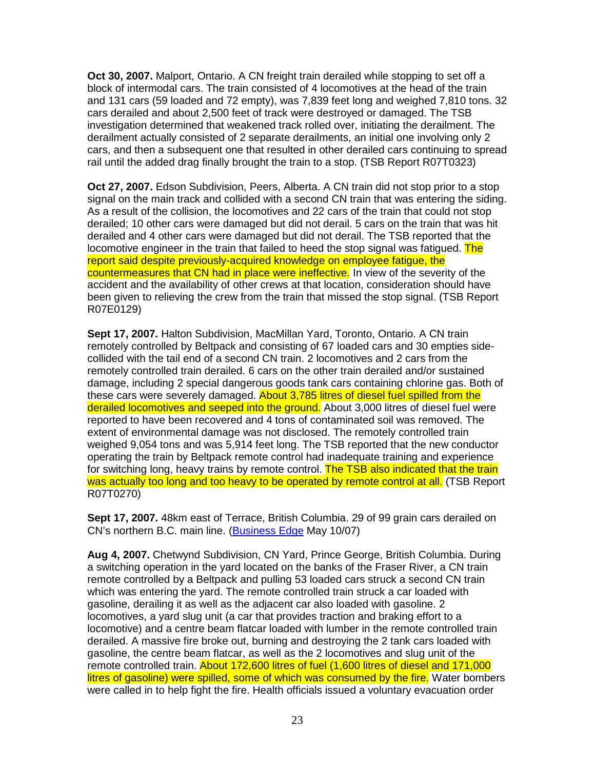**Oct 30, 2007.** Malport, Ontario. A CN freight train derailed while stopping to set off a block of intermodal cars. The train consisted of 4 locomotives at the head of the train and 131 cars (59 loaded and 72 empty), was 7,839 feet long and weighed 7,810 tons. 32 cars derailed and about 2,500 feet of track were destroyed or damaged. The TSB investigation determined that weakened track rolled over, initiating the derailment. The derailment actually consisted of 2 separate derailments, an initial one involving only 2 cars, and then a subsequent one that resulted in other derailed cars continuing to spread rail until the added drag finally brought the train to a stop. (TSB Report R07T0323)

**Oct 27, 2007.** Edson Subdivision, Peers, Alberta. A CN train did not stop prior to a stop signal on the main track and collided with a second CN train that was entering the siding. As a result of the collision, the locomotives and 22 cars of the train that could not stop derailed; 10 other cars were damaged but did not derail. 5 cars on the train that was hit derailed and 4 other cars were damaged but did not derail. The TSB reported that the locomotive engineer in the train that failed to heed the stop signal was fatigued. The report said despite previously-acquired knowledge on employee fatigue, the countermeasures that CN had in place were ineffective. In view of the severity of the accident and the availability of other crews at that location, consideration should have been given to relieving the crew from the train that missed the stop signal. (TSB Report R07E0129)

**Sept 17, 2007.** Halton Subdivision, MacMillan Yard, Toronto, Ontario. A CN train remotely controlled by Beltpack and consisting of 67 loaded cars and 30 empties sidecollided with the tail end of a second CN train. 2 locomotives and 2 cars from the remotely controlled train derailed. 6 cars on the other train derailed and/or sustained damage, including 2 special dangerous goods tank cars containing chlorine gas. Both of these cars were severely damaged. About 3,785 litres of diesel fuel spilled from the derailed locomotives and seeped into the ground. About 3,000 litres of diesel fuel were reported to have been recovered and 4 tons of contaminated soil was removed. The extent of environmental damage was not disclosed. The remotely controlled train weighed 9,054 tons and was 5,914 feet long. The TSB reported that the new conductor operating the train by Beltpack remote control had inadequate training and experience for switching long, heavy trains by remote control. The TSB also indicated that the train was actually too long and too heavy to be operated by remote control at all. (TSB Report R07T0270)

**Sept 17, 2007.** 48km east of Terrace, British Columbia. 29 of 99 grain cars derailed on CN's northern B.C. main line. (Business Edge May 10/07)

**Aug 4, 2007.** Chetwynd Subdivision, CN Yard, Prince George, British Columbia. During a switching operation in the yard located on the banks of the Fraser River, a CN train remote controlled by a Beltpack and pulling 53 loaded cars struck a second CN train which was entering the yard. The remote controlled train struck a car loaded with gasoline, derailing it as well as the adjacent car also loaded with gasoline. 2 locomotives, a yard slug unit (a car that provides traction and braking effort to a locomotive) and a centre beam flatcar loaded with lumber in the remote controlled train derailed. A massive fire broke out, burning and destroying the 2 tank cars loaded with gasoline, the centre beam flatcar, as well as the 2 locomotives and slug unit of the remote controlled train. About 172,600 litres of fuel (1,600 litres of diesel and 171,000 litres of gasoline) were spilled, some of which was consumed by the fire. Water bombers were called in to help fight the fire. Health officials issued a voluntary evacuation order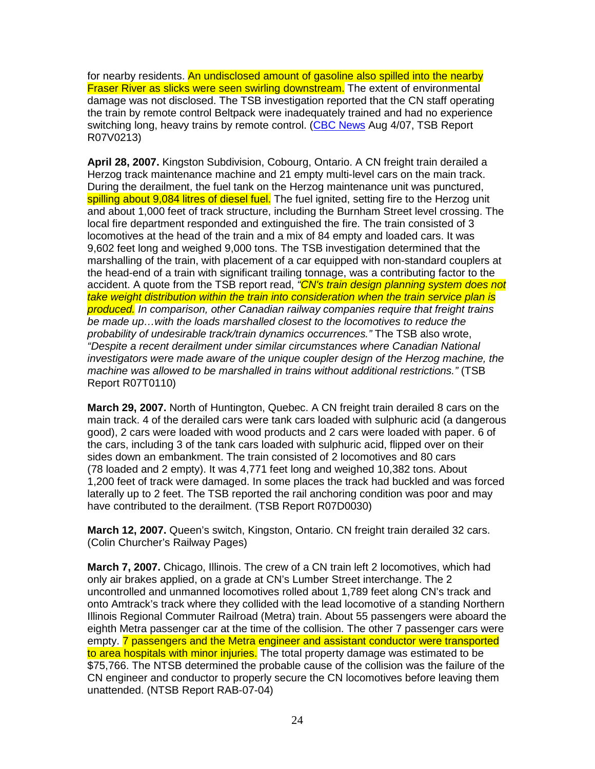for nearby residents. An undisclosed amount of gasoline also spilled into the nearby Fraser River as slicks were seen swirling downstream. The extent of environmental damage was not disclosed. The TSB investigation reported that the CN staff operating the train by remote control Beltpack were inadequately trained and had no experience switching long, heavy trains by remote control. (CBC News Aug 4/07, TSB Report R07V0213)

**April 28, 2007.** Kingston Subdivision, Cobourg, Ontario. A CN freight train derailed a Herzog track maintenance machine and 21 empty multi-level cars on the main track. During the derailment, the fuel tank on the Herzog maintenance unit was punctured, spilling about 9,084 litres of diesel fuel. The fuel ignited, setting fire to the Herzog unit and about 1,000 feet of track structure, including the Burnham Street level crossing. The local fire department responded and extinguished the fire. The train consisted of 3 locomotives at the head of the train and a mix of 84 empty and loaded cars. It was 9,602 feet long and weighed 9,000 tons. The TSB investigation determined that the marshalling of the train, with placement of a car equipped with non-standard couplers at the head-end of a train with significant trailing tonnage, was a contributing factor to the accident. A quote from the TSB report read, "CN's train design planning system does not take weight distribution within the train into consideration when the train service plan is produced. In comparison, other Canadian railway companies require that freight trains be made up…with the loads marshalled closest to the locomotives to reduce the probability of undesirable track/train dynamics occurrences." The TSB also wrote, "Despite a recent derailment under similar circumstances where Canadian National investigators were made aware of the unique coupler design of the Herzog machine, the machine was allowed to be marshalled in trains without additional restrictions." (TSB Report R07T0110)

**March 29, 2007.** North of Huntington, Quebec. A CN freight train derailed 8 cars on the main track. 4 of the derailed cars were tank cars loaded with sulphuric acid (a dangerous good), 2 cars were loaded with wood products and 2 cars were loaded with paper. 6 of the cars, including 3 of the tank cars loaded with sulphuric acid, flipped over on their sides down an embankment. The train consisted of 2 locomotives and 80 cars (78 loaded and 2 empty). It was 4,771 feet long and weighed 10,382 tons. About 1,200 feet of track were damaged. In some places the track had buckled and was forced laterally up to 2 feet. The TSB reported the rail anchoring condition was poor and may have contributed to the derailment. (TSB Report R07D0030)

**March 12, 2007.** Queen's switch, Kingston, Ontario. CN freight train derailed 32 cars. (Colin Churcher's Railway Pages)

**March 7, 2007.** Chicago, Illinois. The crew of a CN train left 2 locomotives, which had only air brakes applied, on a grade at CN's Lumber Street interchange. The 2 uncontrolled and unmanned locomotives rolled about 1,789 feet along CN's track and onto Amtrack's track where they collided with the lead locomotive of a standing Northern Illinois Regional Commuter Railroad (Metra) train. About 55 passengers were aboard the eighth Metra passenger car at the time of the collision. The other 7 passenger cars were empty. 7 passengers and the Metra engineer and assistant conductor were transported to area hospitals with minor injuries. The total property damage was estimated to be \$75,766. The NTSB determined the probable cause of the collision was the failure of the CN engineer and conductor to properly secure the CN locomotives before leaving them unattended. (NTSB Report RAB-07-04)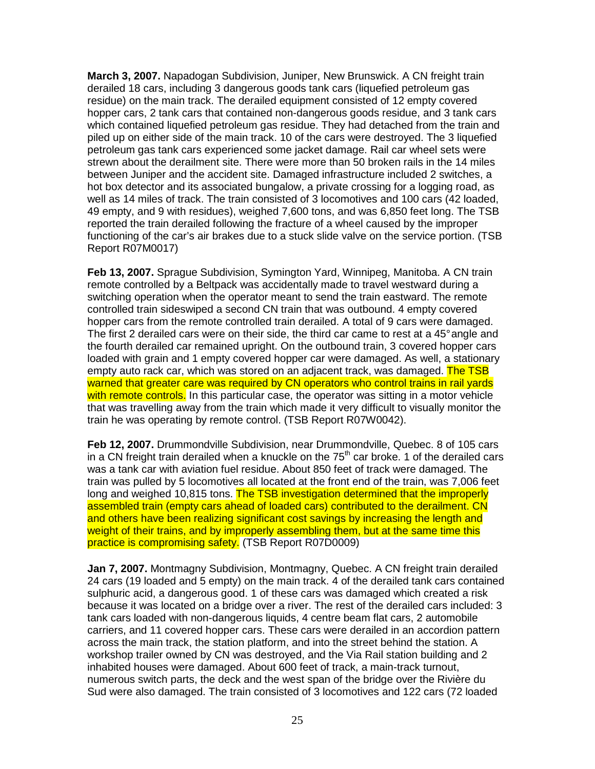**March 3, 2007.** Napadogan Subdivision, Juniper, New Brunswick. A CN freight train derailed 18 cars, including 3 dangerous goods tank cars (liquefied petroleum gas residue) on the main track. The derailed equipment consisted of 12 empty covered hopper cars, 2 tank cars that contained non-dangerous goods residue, and 3 tank cars which contained liquefied petroleum gas residue. They had detached from the train and piled up on either side of the main track. 10 of the cars were destroyed. The 3 liquefied petroleum gas tank cars experienced some jacket damage. Rail car wheel sets were strewn about the derailment site. There were more than 50 broken rails in the 14 miles between Juniper and the accident site. Damaged infrastructure included 2 switches, a hot box detector and its associated bungalow, a private crossing for a logging road, as well as 14 miles of track. The train consisted of 3 locomotives and 100 cars (42 loaded, 49 empty, and 9 with residues), weighed 7,600 tons, and was 6,850 feet long. The TSB reported the train derailed following the fracture of a wheel caused by the improper functioning of the car's air brakes due to a stuck slide valve on the service portion. (TSB Report R07M0017)

**Feb 13, 2007.** Sprague Subdivision, Symington Yard, Winnipeg, Manitoba. A CN train remote controlled by a Beltpack was accidentally made to travel westward during a switching operation when the operator meant to send the train eastward. The remote controlled train sideswiped a second CN train that was outbound. 4 empty covered hopper cars from the remote controlled train derailed. A total of 9 cars were damaged. The first 2 derailed cars were on their side, the third car came to rest at a 45° angle and the fourth derailed car remained upright. On the outbound train, 3 covered hopper cars loaded with grain and 1 empty covered hopper car were damaged. As well, a stationary empty auto rack car, which was stored on an adiacent track, was damaged. The TSB warned that greater care was required by CN operators who control trains in rail yards with remote controls. In this particular case, the operator was sitting in a motor vehicle that was travelling away from the train which made it very difficult to visually monitor the train he was operating by remote control. (TSB Report R07W0042).

**Feb 12, 2007.** Drummondville Subdivision, near Drummondville, Quebec. 8 of 105 cars in a CN freight train derailed when a knuckle on the  $75<sup>th</sup>$  car broke. 1 of the derailed cars was a tank car with aviation fuel residue. About 850 feet of track were damaged. The train was pulled by 5 locomotives all located at the front end of the train, was 7,006 feet long and weighed 10,815 tons. The TSB investigation determined that the improperly assembled train (empty cars ahead of loaded cars) contributed to the derailment. CN and others have been realizing significant cost savings by increasing the length and weight of their trains, and by improperly assembling them, but at the same time this practice is compromising safety. (TSB Report R07D0009)

**Jan 7, 2007.** Montmagny Subdivision, Montmagny, Quebec. A CN freight train derailed 24 cars (19 loaded and 5 empty) on the main track. 4 of the derailed tank cars contained sulphuric acid, a dangerous good. 1 of these cars was damaged which created a risk because it was located on a bridge over a river. The rest of the derailed cars included: 3 tank cars loaded with non-dangerous liquids, 4 centre beam flat cars, 2 automobile carriers, and 11 covered hopper cars. These cars were derailed in an accordion pattern across the main track, the station platform, and into the street behind the station. A workshop trailer owned by CN was destroyed, and the Via Rail station building and 2 inhabited houses were damaged. About 600 feet of track, a main-track turnout, numerous switch parts, the deck and the west span of the bridge over the Rivière du Sud were also damaged. The train consisted of 3 locomotives and 122 cars (72 loaded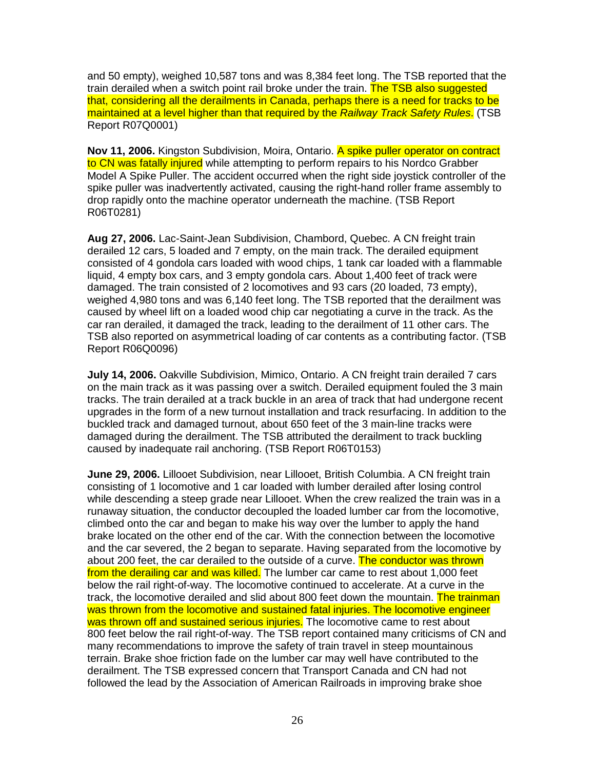and 50 empty), weighed 10,587 tons and was 8,384 feet long. The TSB reported that the train derailed when a switch point rail broke under the train. The TSB also suggested that, considering all the derailments in Canada, perhaps there is a need for tracks to be maintained at a level higher than that required by the Railway Track Safety Rules. (TSB Report R07Q0001)

**Nov 11, 2006.** Kingston Subdivision, Moira, Ontario. A spike puller operator on contract to CN was fatally injured while attempting to perform repairs to his Nordco Grabber Model A Spike Puller. The accident occurred when the right side joystick controller of the spike puller was inadvertently activated, causing the right-hand roller frame assembly to drop rapidly onto the machine operator underneath the machine. (TSB Report R06T0281)

**Aug 27, 2006.** Lac-Saint-Jean Subdivision, Chambord, Quebec. A CN freight train derailed 12 cars, 5 loaded and 7 empty, on the main track. The derailed equipment consisted of 4 gondola cars loaded with wood chips, 1 tank car loaded with a flammable liquid, 4 empty box cars, and 3 empty gondola cars. About 1,400 feet of track were damaged. The train consisted of 2 locomotives and 93 cars (20 loaded, 73 empty), weighed 4,980 tons and was 6,140 feet long. The TSB reported that the derailment was caused by wheel lift on a loaded wood chip car negotiating a curve in the track. As the car ran derailed, it damaged the track, leading to the derailment of 11 other cars. The TSB also reported on asymmetrical loading of car contents as a contributing factor. (TSB Report R06Q0096)

**July 14, 2006.** Oakville Subdivision, Mimico, Ontario. A CN freight train derailed 7 cars on the main track as it was passing over a switch. Derailed equipment fouled the 3 main tracks. The train derailed at a track buckle in an area of track that had undergone recent upgrades in the form of a new turnout installation and track resurfacing. In addition to the buckled track and damaged turnout, about 650 feet of the 3 main-line tracks were damaged during the derailment. The TSB attributed the derailment to track buckling caused by inadequate rail anchoring. (TSB Report R06T0153)

**June 29, 2006.** Lillooet Subdivision, near Lillooet, British Columbia. A CN freight train consisting of 1 locomotive and 1 car loaded with lumber derailed after losing control while descending a steep grade near Lillooet. When the crew realized the train was in a runaway situation, the conductor decoupled the loaded lumber car from the locomotive, climbed onto the car and began to make his way over the lumber to apply the hand brake located on the other end of the car. With the connection between the locomotive and the car severed, the 2 began to separate. Having separated from the locomotive by about 200 feet, the car derailed to the outside of a curve. The conductor was thrown from the derailing car and was killed. The lumber car came to rest about 1,000 feet below the rail right-of-way. The locomotive continued to accelerate. At a curve in the track, the locomotive derailed and slid about 800 feet down the mountain. The trainman was thrown from the locomotive and sustained fatal injuries. The locomotive engineer was thrown off and sustained serious injuries. The locomotive came to rest about 800 feet below the rail right-of-way. The TSB report contained many criticisms of CN and many recommendations to improve the safety of train travel in steep mountainous terrain. Brake shoe friction fade on the lumber car may well have contributed to the derailment. The TSB expressed concern that Transport Canada and CN had not followed the lead by the Association of American Railroads in improving brake shoe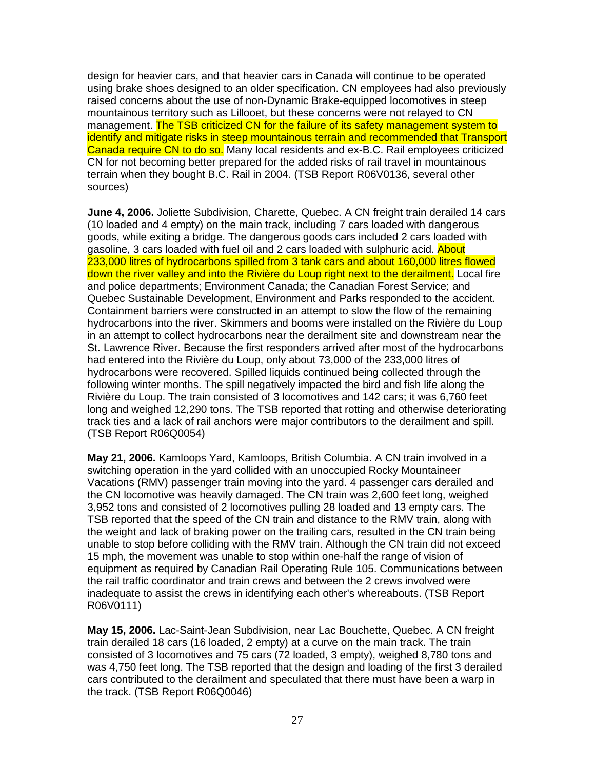design for heavier cars, and that heavier cars in Canada will continue to be operated using brake shoes designed to an older specification. CN employees had also previously raised concerns about the use of non-Dynamic Brake-equipped locomotives in steep mountainous territory such as Lillooet, but these concerns were not relayed to CN management. The TSB criticized CN for the failure of its safety management system to identify and mitigate risks in steep mountainous terrain and recommended that Transport Canada require CN to do so. Many local residents and ex-B.C. Rail employees criticized CN for not becoming better prepared for the added risks of rail travel in mountainous terrain when they bought B.C. Rail in 2004. (TSB Report R06V0136, several other sources)

**June 4, 2006.** Joliette Subdivision, Charette, Quebec. A CN freight train derailed 14 cars (10 loaded and 4 empty) on the main track, including 7 cars loaded with dangerous goods, while exiting a bridge. The dangerous goods cars included 2 cars loaded with gasoline, 3 cars loaded with fuel oil and 2 cars loaded with sulphuric acid. About 233,000 litres of hydrocarbons spilled from 3 tank cars and about 160,000 litres flowed down the river valley and into the Rivière du Loup right next to the derailment. Local fire and police departments; Environment Canada; the Canadian Forest Service; and Quebec Sustainable Development, Environment and Parks responded to the accident. Containment barriers were constructed in an attempt to slow the flow of the remaining hydrocarbons into the river. Skimmers and booms were installed on the Rivière du Loup in an attempt to collect hydrocarbons near the derailment site and downstream near the St. Lawrence River. Because the first responders arrived after most of the hydrocarbons had entered into the Rivière du Loup, only about 73,000 of the 233,000 litres of hydrocarbons were recovered. Spilled liquids continued being collected through the following winter months. The spill negatively impacted the bird and fish life along the Rivière du Loup. The train consisted of 3 locomotives and 142 cars; it was 6,760 feet long and weighed 12,290 tons. The TSB reported that rotting and otherwise deteriorating track ties and a lack of rail anchors were major contributors to the derailment and spill. (TSB Report R06Q0054)

**May 21, 2006.** Kamloops Yard, Kamloops, British Columbia. A CN train involved in a switching operation in the yard collided with an unoccupied Rocky Mountaineer Vacations (RMV) passenger train moving into the yard. 4 passenger cars derailed and the CN locomotive was heavily damaged. The CN train was 2,600 feet long, weighed 3,952 tons and consisted of 2 locomotives pulling 28 loaded and 13 empty cars. The TSB reported that the speed of the CN train and distance to the RMV train, along with the weight and lack of braking power on the trailing cars, resulted in the CN train being unable to stop before colliding with the RMV train. Although the CN train did not exceed 15 mph, the movement was unable to stop within one-half the range of vision of equipment as required by Canadian Rail Operating Rule 105. Communications between the rail traffic coordinator and train crews and between the 2 crews involved were inadequate to assist the crews in identifying each other's whereabouts. (TSB Report R06V0111)

**May 15, 2006.** Lac-Saint-Jean Subdivision, near Lac Bouchette, Quebec. A CN freight train derailed 18 cars (16 loaded, 2 empty) at a curve on the main track. The train consisted of 3 locomotives and 75 cars (72 loaded, 3 empty), weighed 8,780 tons and was 4,750 feet long. The TSB reported that the design and loading of the first 3 derailed cars contributed to the derailment and speculated that there must have been a warp in the track. (TSB Report R06Q0046)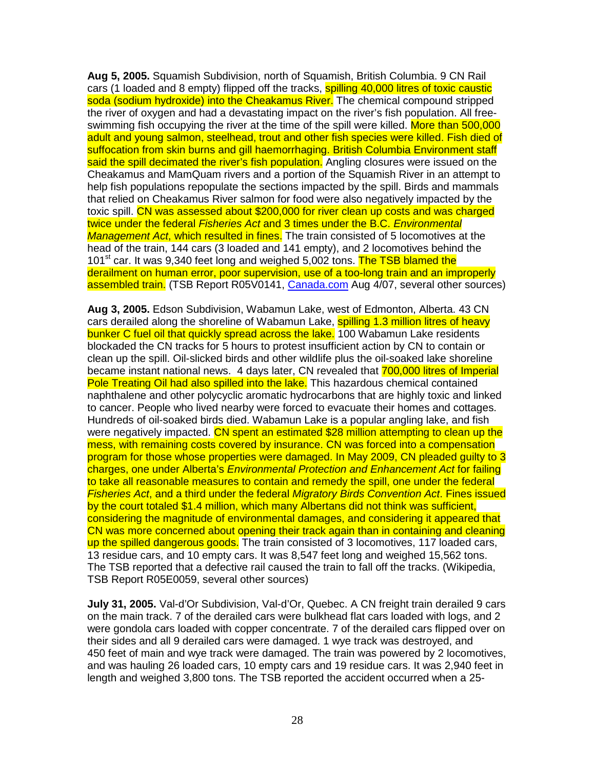**Aug 5, 2005.** Squamish Subdivision, north of Squamish, British Columbia. 9 CN Rail cars (1 loaded and 8 empty) flipped off the tracks, **spilling 40,000 litres of toxic caustic** soda (sodium hydroxide) into the Cheakamus River. The chemical compound stripped the river of oxygen and had a devastating impact on the river's fish population. All freeswimming fish occupying the river at the time of the spill were killed. More than 500,000 adult and young salmon, steelhead, trout and other fish species were killed. Fish died of suffocation from skin burns and gill haemorrhaging. British Columbia Environment staff said the spill decimated the river's fish population. Angling closures were issued on the Cheakamus and MamQuam rivers and a portion of the Squamish River in an attempt to help fish populations repopulate the sections impacted by the spill. Birds and mammals that relied on Cheakamus River salmon for food were also negatively impacted by the toxic spill. CN was assessed about \$200,000 for river clean up costs and was charged twice under the federal Fisheries Act and 3 times under the B.C. Environmental Management Act, which resulted in fines. The train consisted of 5 locomotives at the head of the train, 144 cars (3 loaded and 141 empty), and 2 locomotives behind the 101<sup>st</sup> car. It was 9,340 feet long and weighed 5,002 tons. The TSB blamed the derailment on human error, poor supervision, use of a too-long train and an improperly assembled train. (TSB Report R05V0141, Canada.com Aug 4/07, several other sources)

**Aug 3, 2005.** Edson Subdivision, Wabamun Lake, west of Edmonton, Alberta. 43 CN cars derailed along the shoreline of Wabamun Lake, spilling 1.3 million litres of heavy bunker C fuel oil that quickly spread across the lake. 100 Wabamun Lake residents blockaded the CN tracks for 5 hours to protest insufficient action by CN to contain or clean up the spill. Oil-slicked birds and other wildlife plus the oil-soaked lake shoreline became instant national news. 4 days later, CN revealed that 700,000 litres of Imperial Pole Treating Oil had also spilled into the lake. This hazardous chemical contained naphthalene and other polycyclic aromatic hydrocarbons that are highly toxic and linked to cancer. People who lived nearby were forced to evacuate their homes and cottages. Hundreds of oil-soaked birds died. Wabamun Lake is a popular angling lake, and fish were negatively impacted. CN spent an estimated \$28 million attempting to clean up the mess, with remaining costs covered by insurance. CN was forced into a compensation program for those whose properties were damaged. In May 2009, CN pleaded guilty to 3 charges, one under Alberta's Environmental Protection and Enhancement Act for failing to take all reasonable measures to contain and remedy the spill, one under the federal Fisheries Act, and a third under the federal Migratory Birds Convention Act. Fines issued by the court totaled \$1.4 million, which many Albertans did not think was sufficient, considering the magnitude of environmental damages, and considering it appeared that CN was more concerned about opening their track again than in containing and cleaning up the spilled dangerous goods. The train consisted of 3 locomotives, 117 loaded cars, 13 residue cars, and 10 empty cars. It was 8,547 feet long and weighed 15,562 tons. The TSB reported that a defective rail caused the train to fall off the tracks. (Wikipedia, TSB Report R05E0059, several other sources)

**July 31, 2005.** Val-d'Or Subdivision, Val-d'Or, Quebec. A CN freight train derailed 9 cars on the main track. 7 of the derailed cars were bulkhead flat cars loaded with logs, and 2 were gondola cars loaded with copper concentrate. 7 of the derailed cars flipped over on their sides and all 9 derailed cars were damaged. 1 wye track was destroyed, and 450 feet of main and wye track were damaged. The train was powered by 2 locomotives, and was hauling 26 loaded cars, 10 empty cars and 19 residue cars. It was 2,940 feet in length and weighed 3,800 tons. The TSB reported the accident occurred when a 25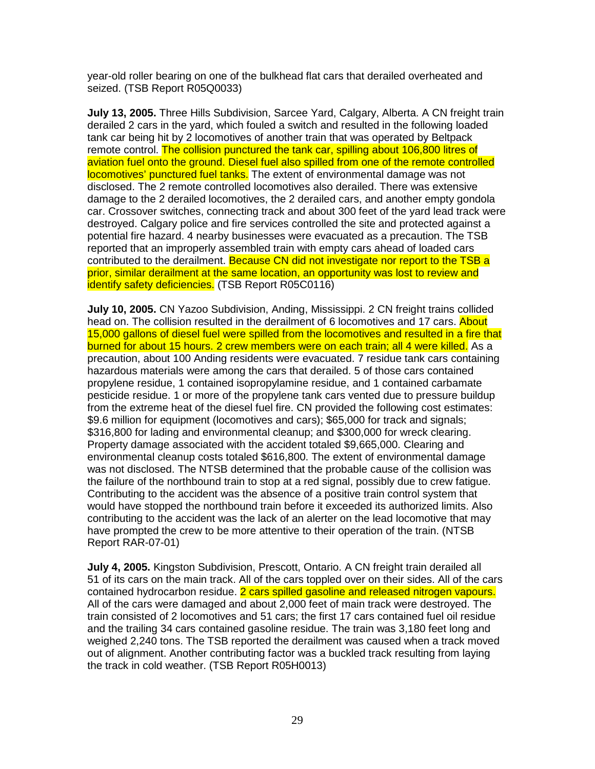year-old roller bearing on one of the bulkhead flat cars that derailed overheated and seized. (TSB Report R05Q0033)

**July 13, 2005.** Three Hills Subdivision, Sarcee Yard, Calgary, Alberta. A CN freight train derailed 2 cars in the yard, which fouled a switch and resulted in the following loaded tank car being hit by 2 locomotives of another train that was operated by Beltpack remote control. The collision punctured the tank car, spilling about 106,800 litres of aviation fuel onto the ground. Diesel fuel also spilled from one of the remote controlled locomotives' punctured fuel tanks. The extent of environmental damage was not disclosed. The 2 remote controlled locomotives also derailed. There was extensive damage to the 2 derailed locomotives, the 2 derailed cars, and another empty gondola car. Crossover switches, connecting track and about 300 feet of the yard lead track were destroyed. Calgary police and fire services controlled the site and protected against a potential fire hazard. 4 nearby businesses were evacuated as a precaution. The TSB reported that an improperly assembled train with empty cars ahead of loaded cars contributed to the derailment. Because CN did not investigate nor report to the TSB a prior, similar derailment at the same location, an opportunity was lost to review and identify safety deficiencies. (TSB Report R05C0116)

**July 10, 2005.** CN Yazoo Subdivision, Anding, Mississippi. 2 CN freight trains collided head on. The collision resulted in the derailment of 6 locomotives and 17 cars. About 15,000 gallons of diesel fuel were spilled from the locomotives and resulted in a fire that burned for about 15 hours. 2 crew members were on each train; all 4 were killed. As a precaution, about 100 Anding residents were evacuated. 7 residue tank cars containing hazardous materials were among the cars that derailed. 5 of those cars contained propylene residue, 1 contained isopropylamine residue, and 1 contained carbamate pesticide residue. 1 or more of the propylene tank cars vented due to pressure buildup from the extreme heat of the diesel fuel fire. CN provided the following cost estimates: \$9.6 million for equipment (locomotives and cars); \$65,000 for track and signals; \$316,800 for lading and environmental cleanup; and \$300,000 for wreck clearing. Property damage associated with the accident totaled \$9,665,000. Clearing and environmental cleanup costs totaled \$616,800. The extent of environmental damage was not disclosed. The NTSB determined that the probable cause of the collision was the failure of the northbound train to stop at a red signal, possibly due to crew fatigue. Contributing to the accident was the absence of a positive train control system that would have stopped the northbound train before it exceeded its authorized limits. Also contributing to the accident was the lack of an alerter on the lead locomotive that may have prompted the crew to be more attentive to their operation of the train. (NTSB Report RAR-07-01)

**July 4, 2005.** Kingston Subdivision, Prescott, Ontario. A CN freight train derailed all 51 of its cars on the main track. All of the cars toppled over on their sides. All of the cars contained hydrocarbon residue. 2 cars spilled gasoline and released nitrogen vapours. All of the cars were damaged and about 2,000 feet of main track were destroyed. The train consisted of 2 locomotives and 51 cars; the first 17 cars contained fuel oil residue and the trailing 34 cars contained gasoline residue. The train was 3,180 feet long and weighed 2,240 tons. The TSB reported the derailment was caused when a track moved out of alignment. Another contributing factor was a buckled track resulting from laying the track in cold weather. (TSB Report R05H0013)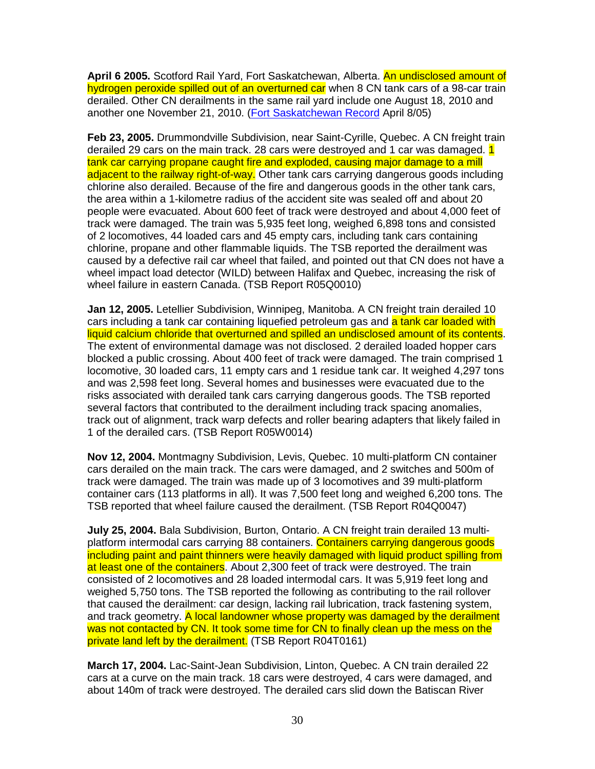**April 6 2005.** Scotford Rail Yard, Fort Saskatchewan, Alberta. An undisclosed amount of hydrogen peroxide spilled out of an overturned car when 8 CN tank cars of a 98-car train derailed. Other CN derailments in the same rail yard include one August 18, 2010 and another one November 21, 2010. (Fort Saskatchewan Record April 8/05)

**Feb 23, 2005.** Drummondville Subdivision, near Saint-Cyrille, Quebec. A CN freight train derailed 29 cars on the main track. 28 cars were destroyed and 1 car was damaged. 1 tank car carrying propane caught fire and exploded, causing major damage to a mill adjacent to the railway right-of-way. Other tank cars carrying dangerous goods including chlorine also derailed. Because of the fire and dangerous goods in the other tank cars, the area within a 1-kilometre radius of the accident site was sealed off and about 20 people were evacuated. About 600 feet of track were destroyed and about 4,000 feet of track were damaged. The train was 5,935 feet long, weighed 6,898 tons and consisted of 2 locomotives, 44 loaded cars and 45 empty cars, including tank cars containing chlorine, propane and other flammable liquids. The TSB reported the derailment was caused by a defective rail car wheel that failed, and pointed out that CN does not have a wheel impact load detector (WILD) between Halifax and Quebec, increasing the risk of wheel failure in eastern Canada. (TSB Report R05Q0010)

**Jan 12, 2005.** Letellier Subdivision, Winnipeg, Manitoba. A CN freight train derailed 10 cars including a tank car containing liquefied petroleum gas and a tank car loaded with liquid calcium chloride that overturned and spilled an undisclosed amount of its contents. The extent of environmental damage was not disclosed. 2 derailed loaded hopper cars blocked a public crossing. About 400 feet of track were damaged. The train comprised 1 locomotive, 30 loaded cars, 11 empty cars and 1 residue tank car. It weighed 4,297 tons and was 2,598 feet long. Several homes and businesses were evacuated due to the risks associated with derailed tank cars carrying dangerous goods. The TSB reported several factors that contributed to the derailment including track spacing anomalies, track out of alignment, track warp defects and roller bearing adapters that likely failed in 1 of the derailed cars. (TSB Report R05W0014)

**Nov 12, 2004.** Montmagny Subdivision, Levis, Quebec. 10 multi-platform CN container cars derailed on the main track. The cars were damaged, and 2 switches and 500m of track were damaged. The train was made up of 3 locomotives and 39 multi-platform container cars (113 platforms in all). It was 7,500 feet long and weighed 6,200 tons. The TSB reported that wheel failure caused the derailment. (TSB Report R04Q0047)

**July 25, 2004.** Bala Subdivision, Burton, Ontario. A CN freight train derailed 13 multiplatform intermodal cars carrying 88 containers. Containers carrying dangerous goods including paint and paint thinners were heavily damaged with liquid product spilling from at least one of the containers. About 2,300 feet of track were destroyed. The train consisted of 2 locomotives and 28 loaded intermodal cars. It was 5,919 feet long and weighed 5,750 tons. The TSB reported the following as contributing to the rail rollover that caused the derailment: car design, lacking rail lubrication, track fastening system, and track geometry. A local landowner whose property was damaged by the derailment was not contacted by CN. It took some time for CN to finally clean up the mess on the private land left by the derailment. (TSB Report R04T0161)

**March 17, 2004.** Lac-Saint-Jean Subdivision, Linton, Quebec. A CN train derailed 22 cars at a curve on the main track. 18 cars were destroyed, 4 cars were damaged, and about 140m of track were destroyed. The derailed cars slid down the Batiscan River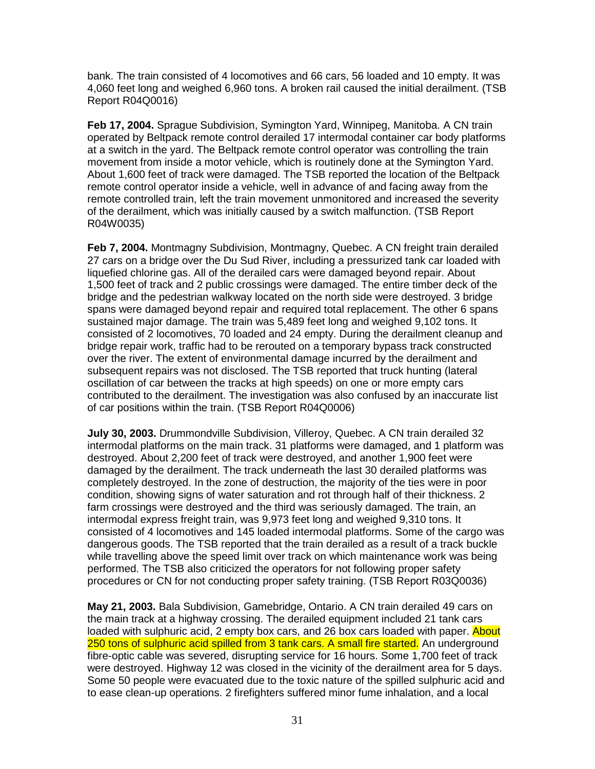bank. The train consisted of 4 locomotives and 66 cars, 56 loaded and 10 empty. It was 4,060 feet long and weighed 6,960 tons. A broken rail caused the initial derailment. (TSB Report R04Q0016)

**Feb 17, 2004.** Sprague Subdivision, Symington Yard, Winnipeg, Manitoba. A CN train operated by Beltpack remote control derailed 17 intermodal container car body platforms at a switch in the yard. The Beltpack remote control operator was controlling the train movement from inside a motor vehicle, which is routinely done at the Symington Yard. About 1,600 feet of track were damaged. The TSB reported the location of the Beltpack remote control operator inside a vehicle, well in advance of and facing away from the remote controlled train, left the train movement unmonitored and increased the severity of the derailment, which was initially caused by a switch malfunction. (TSB Report R04W0035)

**Feb 7, 2004.** Montmagny Subdivision, Montmagny, Quebec. A CN freight train derailed 27 cars on a bridge over the Du Sud River, including a pressurized tank car loaded with liquefied chlorine gas. All of the derailed cars were damaged beyond repair. About 1,500 feet of track and 2 public crossings were damaged. The entire timber deck of the bridge and the pedestrian walkway located on the north side were destroyed. 3 bridge spans were damaged beyond repair and required total replacement. The other 6 spans sustained major damage. The train was 5,489 feet long and weighed 9,102 tons. It consisted of 2 locomotives, 70 loaded and 24 empty. During the derailment cleanup and bridge repair work, traffic had to be rerouted on a temporary bypass track constructed over the river. The extent of environmental damage incurred by the derailment and subsequent repairs was not disclosed. The TSB reported that truck hunting (lateral oscillation of car between the tracks at high speeds) on one or more empty cars contributed to the derailment. The investigation was also confused by an inaccurate list of car positions within the train. (TSB Report R04Q0006)

**July 30, 2003.** Drummondville Subdivision, Villeroy, Quebec. A CN train derailed 32 intermodal platforms on the main track. 31 platforms were damaged, and 1 platform was destroyed. About 2,200 feet of track were destroyed, and another 1,900 feet were damaged by the derailment. The track underneath the last 30 derailed platforms was completely destroyed. In the zone of destruction, the majority of the ties were in poor condition, showing signs of water saturation and rot through half of their thickness. 2 farm crossings were destroyed and the third was seriously damaged. The train, an intermodal express freight train, was 9,973 feet long and weighed 9,310 tons. It consisted of 4 locomotives and 145 loaded intermodal platforms. Some of the cargo was dangerous goods. The TSB reported that the train derailed as a result of a track buckle while travelling above the speed limit over track on which maintenance work was being performed. The TSB also criticized the operators for not following proper safety procedures or CN for not conducting proper safety training. (TSB Report R03Q0036)

**May 21, 2003.** Bala Subdivision, Gamebridge, Ontario. A CN train derailed 49 cars on the main track at a highway crossing. The derailed equipment included 21 tank cars loaded with sulphuric acid, 2 empty box cars, and 26 box cars loaded with paper. About 250 tons of sulphuric acid spilled from 3 tank cars. A small fire started. An underground fibre-optic cable was severed, disrupting service for 16 hours. Some 1,700 feet of track were destroyed. Highway 12 was closed in the vicinity of the derailment area for 5 days. Some 50 people were evacuated due to the toxic nature of the spilled sulphuric acid and to ease clean-up operations. 2 firefighters suffered minor fume inhalation, and a local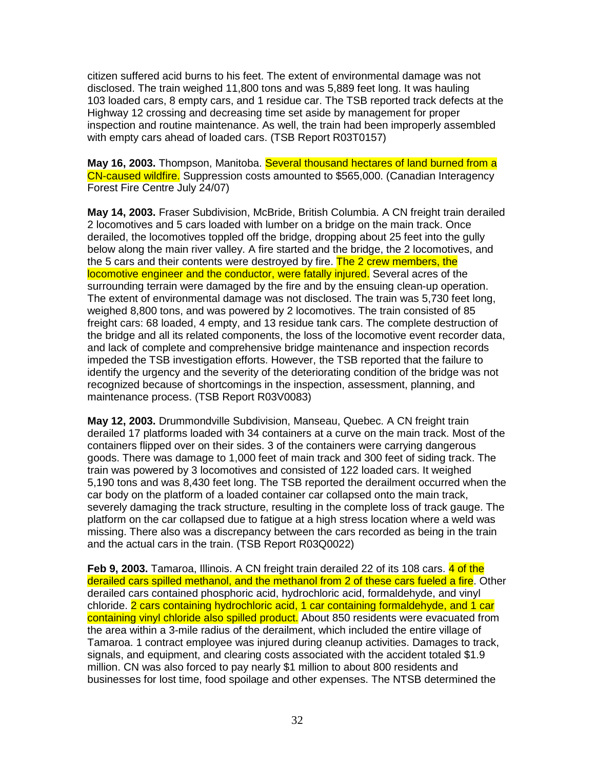citizen suffered acid burns to his feet. The extent of environmental damage was not disclosed. The train weighed 11,800 tons and was 5,889 feet long. It was hauling 103 loaded cars, 8 empty cars, and 1 residue car. The TSB reported track defects at the Highway 12 crossing and decreasing time set aside by management for proper inspection and routine maintenance. As well, the train had been improperly assembled with empty cars ahead of loaded cars. (TSB Report R03T0157)

**May 16, 2003.** Thompson, Manitoba. Several thousand hectares of land burned from a CN-caused wildfire. Suppression costs amounted to \$565,000. (Canadian Interagency Forest Fire Centre July 24/07)

**May 14, 2003.** Fraser Subdivision, McBride, British Columbia. A CN freight train derailed 2 locomotives and 5 cars loaded with lumber on a bridge on the main track. Once derailed, the locomotives toppled off the bridge, dropping about 25 feet into the gully below along the main river valley. A fire started and the bridge, the 2 locomotives, and the 5 cars and their contents were destroyed by fire. The 2 crew members, the locomotive engineer and the conductor, were fatally injured. Several acres of the surrounding terrain were damaged by the fire and by the ensuing clean-up operation. The extent of environmental damage was not disclosed. The train was 5,730 feet long, weighed 8,800 tons, and was powered by 2 locomotives. The train consisted of 85 freight cars: 68 loaded, 4 empty, and 13 residue tank cars. The complete destruction of the bridge and all its related components, the loss of the locomotive event recorder data, and lack of complete and comprehensive bridge maintenance and inspection records impeded the TSB investigation efforts. However, the TSB reported that the failure to identify the urgency and the severity of the deteriorating condition of the bridge was not recognized because of shortcomings in the inspection, assessment, planning, and maintenance process. (TSB Report R03V0083)

**May 12, 2003.** Drummondville Subdivision, Manseau, Quebec. A CN freight train derailed 17 platforms loaded with 34 containers at a curve on the main track. Most of the containers flipped over on their sides. 3 of the containers were carrying dangerous goods. There was damage to 1,000 feet of main track and 300 feet of siding track. The train was powered by 3 locomotives and consisted of 122 loaded cars. It weighed 5,190 tons and was 8,430 feet long. The TSB reported the derailment occurred when the car body on the platform of a loaded container car collapsed onto the main track, severely damaging the track structure, resulting in the complete loss of track gauge. The platform on the car collapsed due to fatigue at a high stress location where a weld was missing. There also was a discrepancy between the cars recorded as being in the train and the actual cars in the train. (TSB Report R03Q0022)

**Feb 9, 2003.** Tamaroa, Illinois. A CN freight train derailed 22 of its 108 cars. 4 of the derailed cars spilled methanol, and the methanol from 2 of these cars fueled a fire. Other derailed cars contained phosphoric acid, hydrochloric acid, formaldehyde, and vinyl chloride. 2 cars containing hydrochloric acid, 1 car containing formaldehyde, and 1 car containing vinyl chloride also spilled product. About 850 residents were evacuated from the area within a 3-mile radius of the derailment, which included the entire village of Tamaroa. 1 contract employee was injured during cleanup activities. Damages to track, signals, and equipment, and clearing costs associated with the accident totaled \$1.9 million. CN was also forced to pay nearly \$1 million to about 800 residents and businesses for lost time, food spoilage and other expenses. The NTSB determined the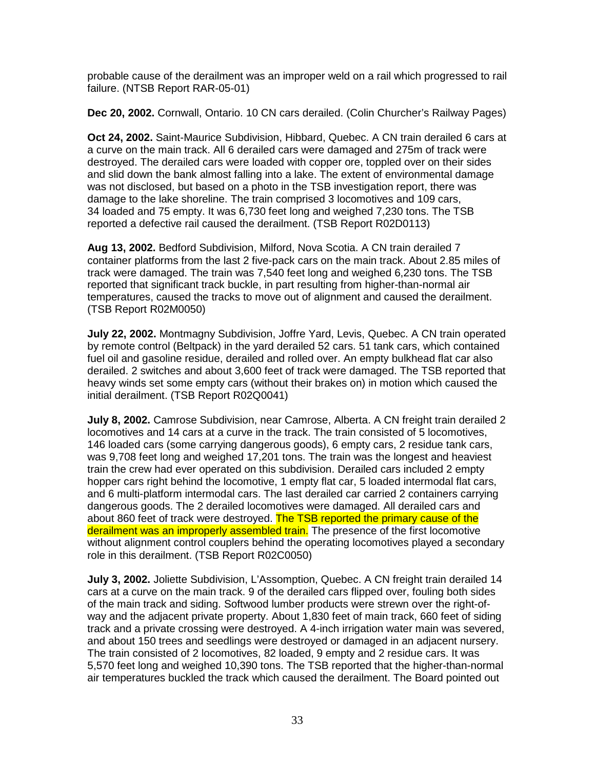probable cause of the derailment was an improper weld on a rail which progressed to rail failure. (NTSB Report RAR-05-01)

**Dec 20, 2002.** Cornwall, Ontario. 10 CN cars derailed. (Colin Churcher's Railway Pages)

**Oct 24, 2002.** Saint-Maurice Subdivision, Hibbard, Quebec. A CN train derailed 6 cars at a curve on the main track. All 6 derailed cars were damaged and 275m of track were destroyed. The derailed cars were loaded with copper ore, toppled over on their sides and slid down the bank almost falling into a lake. The extent of environmental damage was not disclosed, but based on a photo in the TSB investigation report, there was damage to the lake shoreline. The train comprised 3 locomotives and 109 cars, 34 loaded and 75 empty. It was 6,730 feet long and weighed 7,230 tons. The TSB reported a defective rail caused the derailment. (TSB Report R02D0113)

**Aug 13, 2002.** Bedford Subdivision, Milford, Nova Scotia. A CN train derailed 7 container platforms from the last 2 five-pack cars on the main track. About 2.85 miles of track were damaged. The train was 7,540 feet long and weighed 6,230 tons. The TSB reported that significant track buckle, in part resulting from higher-than-normal air temperatures, caused the tracks to move out of alignment and caused the derailment. (TSB Report R02M0050)

**July 22, 2002.** Montmagny Subdivision, Joffre Yard, Levis, Quebec. A CN train operated by remote control (Beltpack) in the yard derailed 52 cars. 51 tank cars, which contained fuel oil and gasoline residue, derailed and rolled over. An empty bulkhead flat car also derailed. 2 switches and about 3,600 feet of track were damaged. The TSB reported that heavy winds set some empty cars (without their brakes on) in motion which caused the initial derailment. (TSB Report R02Q0041)

**July 8, 2002.** Camrose Subdivision, near Camrose, Alberta. A CN freight train derailed 2 locomotives and 14 cars at a curve in the track. The train consisted of 5 locomotives, 146 loaded cars (some carrying dangerous goods), 6 empty cars, 2 residue tank cars, was 9,708 feet long and weighed 17,201 tons. The train was the longest and heaviest train the crew had ever operated on this subdivision. Derailed cars included 2 empty hopper cars right behind the locomotive, 1 empty flat car, 5 loaded intermodal flat cars, and 6 multi-platform intermodal cars. The last derailed car carried 2 containers carrying dangerous goods. The 2 derailed locomotives were damaged. All derailed cars and about 860 feet of track were destroyed. The TSB reported the primary cause of the derailment was an improperly assembled train. The presence of the first locomotive without alignment control couplers behind the operating locomotives played a secondary role in this derailment. (TSB Report R02C0050)

**July 3, 2002.** Joliette Subdivision, L'Assomption, Quebec. A CN freight train derailed 14 cars at a curve on the main track. 9 of the derailed cars flipped over, fouling both sides of the main track and siding. Softwood lumber products were strewn over the right-ofway and the adjacent private property. About 1,830 feet of main track, 660 feet of siding track and a private crossing were destroyed. A 4-inch irrigation water main was severed, and about 150 trees and seedlings were destroyed or damaged in an adjacent nursery. The train consisted of 2 locomotives, 82 loaded, 9 empty and 2 residue cars. It was 5,570 feet long and weighed 10,390 tons. The TSB reported that the higher-than-normal air temperatures buckled the track which caused the derailment. The Board pointed out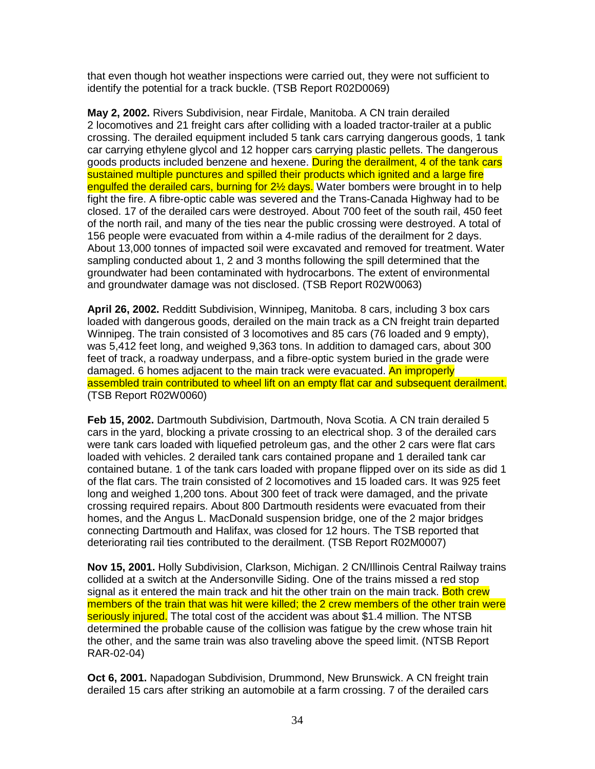that even though hot weather inspections were carried out, they were not sufficient to identify the potential for a track buckle. (TSB Report R02D0069)

**May 2, 2002.** Rivers Subdivision, near Firdale, Manitoba. A CN train derailed 2 locomotives and 21 freight cars after colliding with a loaded tractor-trailer at a public crossing. The derailed equipment included 5 tank cars carrying dangerous goods, 1 tank car carrying ethylene glycol and 12 hopper cars carrying plastic pellets. The dangerous goods products included benzene and hexene. During the derailment, 4 of the tank cars sustained multiple punctures and spilled their products which ignited and a large fire engulfed the derailed cars, burning for 2<sup>1/2</sup> days. Water bombers were brought in to help fight the fire. A fibre-optic cable was severed and the Trans-Canada Highway had to be closed. 17 of the derailed cars were destroyed. About 700 feet of the south rail, 450 feet of the north rail, and many of the ties near the public crossing were destroyed. A total of 156 people were evacuated from within a 4-mile radius of the derailment for 2 days. About 13,000 tonnes of impacted soil were excavated and removed for treatment. Water sampling conducted about 1, 2 and 3 months following the spill determined that the groundwater had been contaminated with hydrocarbons. The extent of environmental and groundwater damage was not disclosed. (TSB Report R02W0063)

**April 26, 2002.** Redditt Subdivision, Winnipeg, Manitoba. 8 cars, including 3 box cars loaded with dangerous goods, derailed on the main track as a CN freight train departed Winnipeg. The train consisted of 3 locomotives and 85 cars (76 loaded and 9 empty), was 5,412 feet long, and weighed 9,363 tons. In addition to damaged cars, about 300 feet of track, a roadway underpass, and a fibre-optic system buried in the grade were damaged. 6 homes adjacent to the main track were evacuated. An improperly assembled train contributed to wheel lift on an empty flat car and subsequent derailment. (TSB Report R02W0060)

**Feb 15, 2002.** Dartmouth Subdivision, Dartmouth, Nova Scotia. A CN train derailed 5 cars in the yard, blocking a private crossing to an electrical shop. 3 of the derailed cars were tank cars loaded with liquefied petroleum gas, and the other 2 cars were flat cars loaded with vehicles. 2 derailed tank cars contained propane and 1 derailed tank car contained butane. 1 of the tank cars loaded with propane flipped over on its side as did 1 of the flat cars. The train consisted of 2 locomotives and 15 loaded cars. It was 925 feet long and weighed 1,200 tons. About 300 feet of track were damaged, and the private crossing required repairs. About 800 Dartmouth residents were evacuated from their homes, and the Angus L. MacDonald suspension bridge, one of the 2 major bridges connecting Dartmouth and Halifax, was closed for 12 hours. The TSB reported that deteriorating rail ties contributed to the derailment. (TSB Report R02M0007)

**Nov 15, 2001.** Holly Subdivision, Clarkson, Michigan. 2 CN/Illinois Central Railway trains collided at a switch at the Andersonville Siding. One of the trains missed a red stop signal as it entered the main track and hit the other train on the main track. Both crew members of the train that was hit were killed; the 2 crew members of the other train were seriously injured. The total cost of the accident was about \$1.4 million. The NTSB determined the probable cause of the collision was fatigue by the crew whose train hit the other, and the same train was also traveling above the speed limit. (NTSB Report RAR-02-04)

**Oct 6, 2001.** Napadogan Subdivision, Drummond, New Brunswick. A CN freight train derailed 15 cars after striking an automobile at a farm crossing. 7 of the derailed cars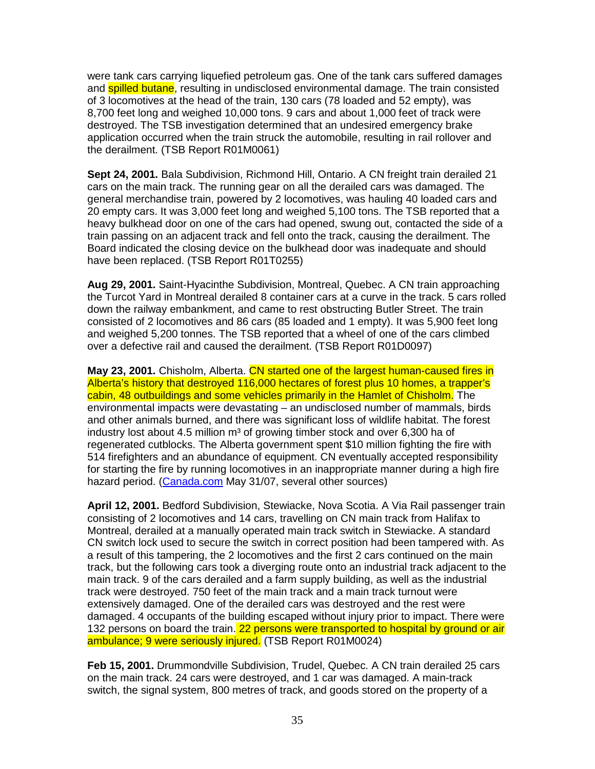were tank cars carrying liquefied petroleum gas. One of the tank cars suffered damages and **spilled butane**, resulting in undisclosed environmental damage. The train consisted of 3 locomotives at the head of the train, 130 cars (78 loaded and 52 empty), was 8,700 feet long and weighed 10,000 tons. 9 cars and about 1,000 feet of track were destroyed. The TSB investigation determined that an undesired emergency brake application occurred when the train struck the automobile, resulting in rail rollover and the derailment. (TSB Report R01M0061)

**Sept 24, 2001.** Bala Subdivision, Richmond Hill, Ontario. A CN freight train derailed 21 cars on the main track. The running gear on all the derailed cars was damaged. The general merchandise train, powered by 2 locomotives, was hauling 40 loaded cars and 20 empty cars. It was 3,000 feet long and weighed 5,100 tons. The TSB reported that a heavy bulkhead door on one of the cars had opened, swung out, contacted the side of a train passing on an adjacent track and fell onto the track, causing the derailment. The Board indicated the closing device on the bulkhead door was inadequate and should have been replaced. (TSB Report R01T0255)

**Aug 29, 2001.** Saint-Hyacinthe Subdivision, Montreal, Quebec. A CN train approaching the Turcot Yard in Montreal derailed 8 container cars at a curve in the track. 5 cars rolled down the railway embankment, and came to rest obstructing Butler Street. The train consisted of 2 locomotives and 86 cars (85 loaded and 1 empty). It was 5,900 feet long and weighed 5,200 tonnes. The TSB reported that a wheel of one of the cars climbed over a defective rail and caused the derailment. (TSB Report R01D0097)

**May 23, 2001.** Chisholm, Alberta. CN started one of the largest human-caused fires in Alberta's history that destroyed 116,000 hectares of forest plus 10 homes, a trapper's cabin, 48 outbuildings and some vehicles primarily in the Hamlet of Chisholm. The environmental impacts were devastating – an undisclosed number of mammals, birds and other animals burned, and there was significant loss of wildlife habitat. The forest industry lost about 4.5 million m<sup>3</sup> of growing timber stock and over 6,300 ha of regenerated cutblocks. The Alberta government spent \$10 million fighting the fire with 514 firefighters and an abundance of equipment. CN eventually accepted responsibility for starting the fire by running locomotives in an inappropriate manner during a high fire hazard period. (Canada.com May 31/07, several other sources)

**April 12, 2001.** Bedford Subdivision, Stewiacke, Nova Scotia. A Via Rail passenger train consisting of 2 locomotives and 14 cars, travelling on CN main track from Halifax to Montreal, derailed at a manually operated main track switch in Stewiacke. A standard CN switch lock used to secure the switch in correct position had been tampered with. As a result of this tampering, the 2 locomotives and the first 2 cars continued on the main track, but the following cars took a diverging route onto an industrial track adjacent to the main track. 9 of the cars derailed and a farm supply building, as well as the industrial track were destroyed. 750 feet of the main track and a main track turnout were extensively damaged. One of the derailed cars was destroyed and the rest were damaged. 4 occupants of the building escaped without injury prior to impact. There were 132 persons on board the train. 22 persons were transported to hospital by ground or air ambulance; 9 were seriously injured. (TSB Report R01M0024)

**Feb 15, 2001.** Drummondville Subdivision, Trudel, Quebec. A CN train derailed 25 cars on the main track. 24 cars were destroyed, and 1 car was damaged. A main-track switch, the signal system, 800 metres of track, and goods stored on the property of a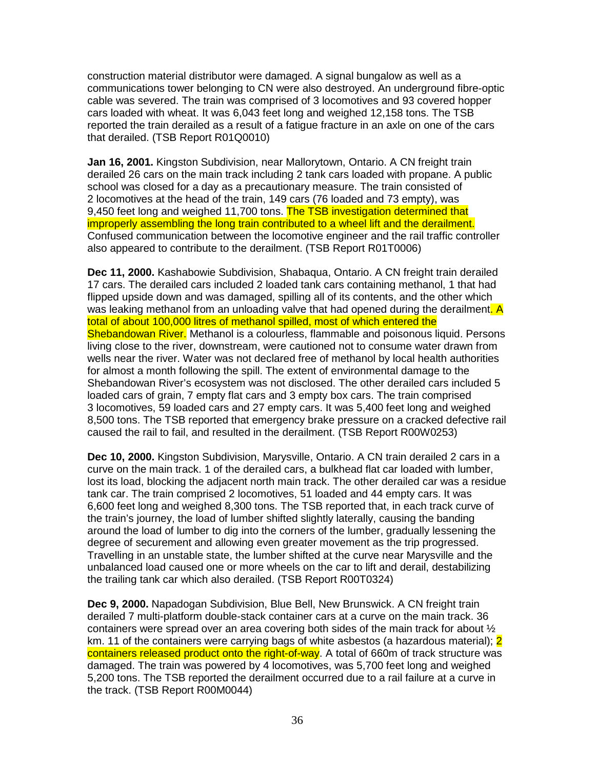construction material distributor were damaged. A signal bungalow as well as a communications tower belonging to CN were also destroyed. An underground fibre-optic cable was severed. The train was comprised of 3 locomotives and 93 covered hopper cars loaded with wheat. It was 6,043 feet long and weighed 12,158 tons. The TSB reported the train derailed as a result of a fatigue fracture in an axle on one of the cars that derailed. (TSB Report R01Q0010)

**Jan 16, 2001.** Kingston Subdivision, near Mallorytown, Ontario. A CN freight train derailed 26 cars on the main track including 2 tank cars loaded with propane. A public school was closed for a day as a precautionary measure. The train consisted of 2 locomotives at the head of the train, 149 cars (76 loaded and 73 empty), was 9,450 feet long and weighed 11,700 tons. The TSB investigation determined that improperly assembling the long train contributed to a wheel lift and the derailment. Confused communication between the locomotive engineer and the rail traffic controller also appeared to contribute to the derailment. (TSB Report R01T0006)

**Dec 11, 2000.** Kashabowie Subdivision, Shabaqua, Ontario. A CN freight train derailed 17 cars. The derailed cars included 2 loaded tank cars containing methanol, 1 that had flipped upside down and was damaged, spilling all of its contents, and the other which was leaking methanol from an unloading valve that had opened during the derailment. A total of about 100,000 litres of methanol spilled, most of which entered the Shebandowan River. Methanol is a colourless, flammable and poisonous liquid. Persons living close to the river, downstream, were cautioned not to consume water drawn from wells near the river. Water was not declared free of methanol by local health authorities for almost a month following the spill. The extent of environmental damage to the Shebandowan River's ecosystem was not disclosed. The other derailed cars included 5 loaded cars of grain, 7 empty flat cars and 3 empty box cars. The train comprised 3 locomotives, 59 loaded cars and 27 empty cars. It was 5,400 feet long and weighed 8,500 tons. The TSB reported that emergency brake pressure on a cracked defective rail caused the rail to fail, and resulted in the derailment. (TSB Report R00W0253)

**Dec 10, 2000.** Kingston Subdivision, Marysville, Ontario. A CN train derailed 2 cars in a curve on the main track. 1 of the derailed cars, a bulkhead flat car loaded with lumber, lost its load, blocking the adjacent north main track. The other derailed car was a residue tank car. The train comprised 2 locomotives, 51 loaded and 44 empty cars. It was 6,600 feet long and weighed 8,300 tons. The TSB reported that, in each track curve of the train's journey, the load of lumber shifted slightly laterally, causing the banding around the load of lumber to dig into the corners of the lumber, gradually lessening the degree of securement and allowing even greater movement as the trip progressed. Travelling in an unstable state, the lumber shifted at the curve near Marysville and the unbalanced load caused one or more wheels on the car to lift and derail, destabilizing the trailing tank car which also derailed. (TSB Report R00T0324)

**Dec 9, 2000.** Napadogan Subdivision, Blue Bell, New Brunswick. A CN freight train derailed 7 multi-platform double-stack container cars at a curve on the main track. 36 containers were spread over an area covering both sides of the main track for about  $\frac{1}{2}$ km. 11 of the containers were carrying bags of white asbestos (a hazardous material); 2 containers released product onto the right-of-way. A total of 660m of track structure was damaged. The train was powered by 4 locomotives, was 5,700 feet long and weighed 5,200 tons. The TSB reported the derailment occurred due to a rail failure at a curve in the track. (TSB Report R00M0044)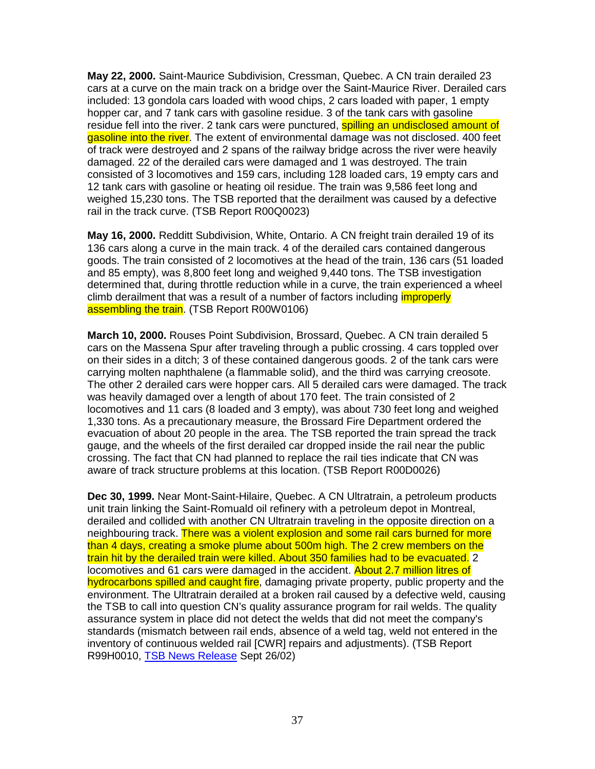**May 22, 2000.** Saint-Maurice Subdivision, Cressman, Quebec. A CN train derailed 23 cars at a curve on the main track on a bridge over the Saint-Maurice River. Derailed cars included: 13 gondola cars loaded with wood chips, 2 cars loaded with paper, 1 empty hopper car, and 7 tank cars with gasoline residue. 3 of the tank cars with gasoline residue fell into the river. 2 tank cars were punctured, **spilling an undisclosed amount of** gasoline into the river. The extent of environmental damage was not disclosed. 400 feet of track were destroyed and 2 spans of the railway bridge across the river were heavily damaged. 22 of the derailed cars were damaged and 1 was destroyed. The train consisted of 3 locomotives and 159 cars, including 128 loaded cars, 19 empty cars and 12 tank cars with gasoline or heating oil residue. The train was 9,586 feet long and weighed 15,230 tons. The TSB reported that the derailment was caused by a defective rail in the track curve. (TSB Report R00Q0023)

**May 16, 2000.** Redditt Subdivision, White, Ontario. A CN freight train derailed 19 of its 136 cars along a curve in the main track. 4 of the derailed cars contained dangerous goods. The train consisted of 2 locomotives at the head of the train, 136 cars (51 loaded and 85 empty), was 8,800 feet long and weighed 9,440 tons. The TSB investigation determined that, during throttle reduction while in a curve, the train experienced a wheel climb derailment that was a result of a number of factors including *improperly* assembling the train. (TSB Report R00W0106)

**March 10, 2000.** Rouses Point Subdivision, Brossard, Quebec. A CN train derailed 5 cars on the Massena Spur after traveling through a public crossing. 4 cars toppled over on their sides in a ditch; 3 of these contained dangerous goods. 2 of the tank cars were carrying molten naphthalene (a flammable solid), and the third was carrying creosote. The other 2 derailed cars were hopper cars. All 5 derailed cars were damaged. The track was heavily damaged over a length of about 170 feet. The train consisted of 2 locomotives and 11 cars (8 loaded and 3 empty), was about 730 feet long and weighed 1,330 tons. As a precautionary measure, the Brossard Fire Department ordered the evacuation of about 20 people in the area. The TSB reported the train spread the track gauge, and the wheels of the first derailed car dropped inside the rail near the public crossing. The fact that CN had planned to replace the rail ties indicate that CN was aware of track structure problems at this location. (TSB Report R00D0026)

**Dec 30, 1999.** Near Mont-Saint-Hilaire, Quebec. A CN Ultratrain, a petroleum products unit train linking the Saint-Romuald oil refinery with a petroleum depot in Montreal, derailed and collided with another CN Ultratrain traveling in the opposite direction on a neighbouring track. There was a violent explosion and some rail cars burned for more than 4 days, creating a smoke plume about 500m high. The 2 crew members on the train hit by the derailed train were killed. About 350 families had to be evacuated. 2 locomotives and 61 cars were damaged in the accident. About 2.7 million litres of hydrocarbons spilled and caught fire, damaging private property, public property and the environment. The Ultratrain derailed at a broken rail caused by a defective weld, causing the TSB to call into question CN's quality assurance program for rail welds. The quality assurance system in place did not detect the welds that did not meet the company's standards (mismatch between rail ends, absence of a weld tag, weld not entered in the inventory of continuous welded rail [CWR] repairs and adjustments). (TSB Report R99H0010, TSB News Release Sept 26/02)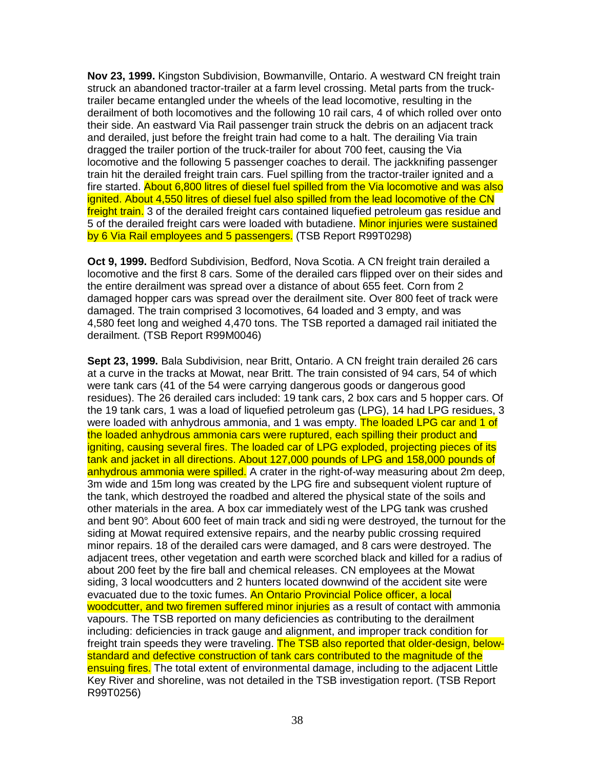**Nov 23, 1999.** Kingston Subdivision, Bowmanville, Ontario. A westward CN freight train struck an abandoned tractor-trailer at a farm level crossing. Metal parts from the trucktrailer became entangled under the wheels of the lead locomotive, resulting in the derailment of both locomotives and the following 10 rail cars, 4 of which rolled over onto their side. An eastward Via Rail passenger train struck the debris on an adjacent track and derailed, just before the freight train had come to a halt. The derailing Via train dragged the trailer portion of the truck-trailer for about 700 feet, causing the Via locomotive and the following 5 passenger coaches to derail. The jackknifing passenger train hit the derailed freight train cars. Fuel spilling from the tractor-trailer ignited and a fire started. About 6,800 litres of diesel fuel spilled from the Via locomotive and was also ignited. About 4,550 litres of diesel fuel also spilled from the lead locomotive of the CN freight train. 3 of the derailed freight cars contained liquefied petroleum gas residue and 5 of the derailed freight cars were loaded with butadiene. Minor injuries were sustained by 6 Via Rail employees and 5 passengers. (TSB Report R99T0298)

**Oct 9, 1999.** Bedford Subdivision, Bedford, Nova Scotia. A CN freight train derailed a locomotive and the first 8 cars. Some of the derailed cars flipped over on their sides and the entire derailment was spread over a distance of about 655 feet. Corn from 2 damaged hopper cars was spread over the derailment site. Over 800 feet of track were damaged. The train comprised 3 locomotives, 64 loaded and 3 empty, and was 4,580 feet long and weighed 4,470 tons. The TSB reported a damaged rail initiated the derailment. (TSB Report R99M0046)

**Sept 23, 1999.** Bala Subdivision, near Britt, Ontario. A CN freight train derailed 26 cars at a curve in the tracks at Mowat, near Britt. The train consisted of 94 cars, 54 of which were tank cars (41 of the 54 were carrying dangerous goods or dangerous good residues). The 26 derailed cars included: 19 tank cars, 2 box cars and 5 hopper cars. Of the 19 tank cars, 1 was a load of liquefied petroleum gas (LPG), 14 had LPG residues, 3 were loaded with anhydrous ammonia, and 1 was empty. The loaded LPG car and 1 of the loaded anhydrous ammonia cars were ruptured, each spilling their product and igniting, causing several fires. The loaded car of LPG exploded, projecting pieces of its tank and jacket in all directions. About 127,000 pounds of LPG and 158,000 pounds of anhydrous ammonia were spilled. A crater in the right-of-way measuring about 2m deep, 3m wide and 15m long was created by the LPG fire and subsequent violent rupture of the tank, which destroyed the roadbed and altered the physical state of the soils and other materials in the area. A box car immediately west of the LPG tank was crushed and bent 90°. About 600 feet of main track and sidi ng were destroyed, the turnout for the siding at Mowat required extensive repairs, and the nearby public crossing required minor repairs. 18 of the derailed cars were damaged, and 8 cars were destroyed. The adjacent trees, other vegetation and earth were scorched black and killed for a radius of about 200 feet by the fire ball and chemical releases. CN employees at the Mowat siding, 3 local woodcutters and 2 hunters located downwind of the accident site were evacuated due to the toxic fumes. An Ontario Provincial Police officer, a local woodcutter, and two firemen suffered minor injuries as a result of contact with ammonia vapours. The TSB reported on many deficiencies as contributing to the derailment including: deficiencies in track gauge and alignment, and improper track condition for freight train speeds they were traveling. The TSB also reported that older-design, belowstandard and defective construction of tank cars contributed to the magnitude of the ensuing fires. The total extent of environmental damage, including to the adjacent Little Key River and shoreline, was not detailed in the TSB investigation report. (TSB Report R99T0256)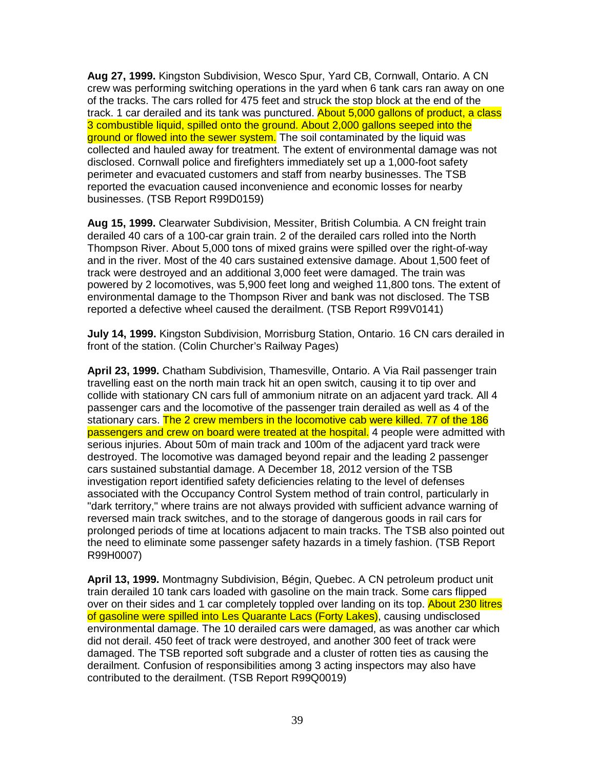**Aug 27, 1999.** Kingston Subdivision, Wesco Spur, Yard CB, Cornwall, Ontario. A CN crew was performing switching operations in the yard when 6 tank cars ran away on one of the tracks. The cars rolled for 475 feet and struck the stop block at the end of the track. 1 car derailed and its tank was punctured. About 5,000 gallons of product, a class 3 combustible liquid, spilled onto the ground. About 2,000 gallons seeped into the ground or flowed into the sewer system. The soil contaminated by the liquid was collected and hauled away for treatment. The extent of environmental damage was not disclosed. Cornwall police and firefighters immediately set up a 1,000-foot safety perimeter and evacuated customers and staff from nearby businesses. The TSB reported the evacuation caused inconvenience and economic losses for nearby businesses. (TSB Report R99D0159)

**Aug 15, 1999.** Clearwater Subdivision, Messiter, British Columbia. A CN freight train derailed 40 cars of a 100-car grain train. 2 of the derailed cars rolled into the North Thompson River. About 5,000 tons of mixed grains were spilled over the right-of-way and in the river. Most of the 40 cars sustained extensive damage. About 1,500 feet of track were destroyed and an additional 3,000 feet were damaged. The train was powered by 2 locomotives, was 5,900 feet long and weighed 11,800 tons. The extent of environmental damage to the Thompson River and bank was not disclosed. The TSB reported a defective wheel caused the derailment. (TSB Report R99V0141)

**July 14, 1999.** Kingston Subdivision, Morrisburg Station, Ontario. 16 CN cars derailed in front of the station. (Colin Churcher's Railway Pages)

**April 23, 1999.** Chatham Subdivision, Thamesville, Ontario. A Via Rail passenger train travelling east on the north main track hit an open switch, causing it to tip over and collide with stationary CN cars full of ammonium nitrate on an adjacent yard track. All 4 passenger cars and the locomotive of the passenger train derailed as well as 4 of the stationary cars. The 2 crew members in the locomotive cab were killed. 77 of the 186 passengers and crew on board were treated at the hospital. 4 people were admitted with serious injuries. About 50m of main track and 100m of the adjacent yard track were destroyed. The locomotive was damaged beyond repair and the leading 2 passenger cars sustained substantial damage. A December 18, 2012 version of the TSB investigation report identified safety deficiencies relating to the level of defenses associated with the Occupancy Control System method of train control, particularly in "dark territory," where trains are not always provided with sufficient advance warning of reversed main track switches, and to the storage of dangerous goods in rail cars for prolonged periods of time at locations adjacent to main tracks. The TSB also pointed out the need to eliminate some passenger safety hazards in a timely fashion. (TSB Report R99H0007)

**April 13, 1999.** Montmagny Subdivision, Bégin, Quebec. A CN petroleum product unit train derailed 10 tank cars loaded with gasoline on the main track. Some cars flipped over on their sides and 1 car completely toppled over landing on its top. About 230 litres of gasoline were spilled into Les Quarante Lacs (Forty Lakes), causing undisclosed environmental damage. The 10 derailed cars were damaged, as was another car which did not derail. 450 feet of track were destroyed, and another 300 feet of track were damaged. The TSB reported soft subgrade and a cluster of rotten ties as causing the derailment. Confusion of responsibilities among 3 acting inspectors may also have contributed to the derailment. (TSB Report R99Q0019)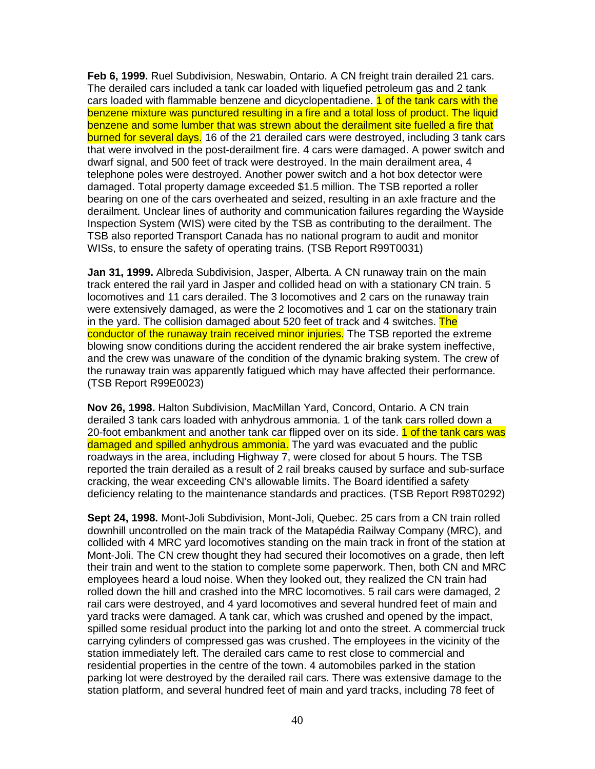**Feb 6, 1999.** Ruel Subdivision, Neswabin, Ontario. A CN freight train derailed 21 cars. The derailed cars included a tank car loaded with liquefied petroleum gas and 2 tank cars loaded with flammable benzene and dicyclopentadiene. 1 of the tank cars with the benzene mixture was punctured resulting in a fire and a total loss of product. The liquid benzene and some lumber that was strewn about the derailment site fuelled a fire that burned for several days. 16 of the 21 derailed cars were destroyed, including 3 tank cars that were involved in the post-derailment fire. 4 cars were damaged. A power switch and dwarf signal, and 500 feet of track were destroyed. In the main derailment area, 4 telephone poles were destroyed. Another power switch and a hot box detector were damaged. Total property damage exceeded \$1.5 million. The TSB reported a roller bearing on one of the cars overheated and seized, resulting in an axle fracture and the derailment. Unclear lines of authority and communication failures regarding the Wayside Inspection System (WIS) were cited by the TSB as contributing to the derailment. The TSB also reported Transport Canada has no national program to audit and monitor WISs, to ensure the safety of operating trains. (TSB Report R99T0031)

**Jan 31, 1999.** Albreda Subdivision, Jasper, Alberta. A CN runaway train on the main track entered the rail yard in Jasper and collided head on with a stationary CN train. 5 locomotives and 11 cars derailed. The 3 locomotives and 2 cars on the runaway train were extensively damaged, as were the 2 locomotives and 1 car on the stationary train in the yard. The collision damaged about 520 feet of track and 4 switches. The conductor of the runaway train received minor injuries. The TSB reported the extreme blowing snow conditions during the accident rendered the air brake system ineffective, and the crew was unaware of the condition of the dynamic braking system. The crew of the runaway train was apparently fatigued which may have affected their performance. (TSB Report R99E0023)

**Nov 26, 1998.** Halton Subdivision, MacMillan Yard, Concord, Ontario. A CN train derailed 3 tank cars loaded with anhydrous ammonia. 1 of the tank cars rolled down a 20-foot embankment and another tank car flipped over on its side. 1 of the tank cars was damaged and spilled anhydrous ammonia. The yard was evacuated and the public roadways in the area, including Highway 7, were closed for about 5 hours. The TSB reported the train derailed as a result of 2 rail breaks caused by surface and sub-surface cracking, the wear exceeding CN's allowable limits. The Board identified a safety deficiency relating to the maintenance standards and practices. (TSB Report R98T0292)

**Sept 24, 1998.** Mont-Joli Subdivision, Mont-Joli, Quebec. 25 cars from a CN train rolled downhill uncontrolled on the main track of the Matapédia Railway Company (MRC), and collided with 4 MRC yard locomotives standing on the main track in front of the station at Mont-Joli. The CN crew thought they had secured their locomotives on a grade, then left their train and went to the station to complete some paperwork. Then, both CN and MRC employees heard a loud noise. When they looked out, they realized the CN train had rolled down the hill and crashed into the MRC locomotives. 5 rail cars were damaged, 2 rail cars were destroyed, and 4 yard locomotives and several hundred feet of main and yard tracks were damaged. A tank car, which was crushed and opened by the impact, spilled some residual product into the parking lot and onto the street. A commercial truck carrying cylinders of compressed gas was crushed. The employees in the vicinity of the station immediately left. The derailed cars came to rest close to commercial and residential properties in the centre of the town. 4 automobiles parked in the station parking lot were destroyed by the derailed rail cars. There was extensive damage to the station platform, and several hundred feet of main and yard tracks, including 78 feet of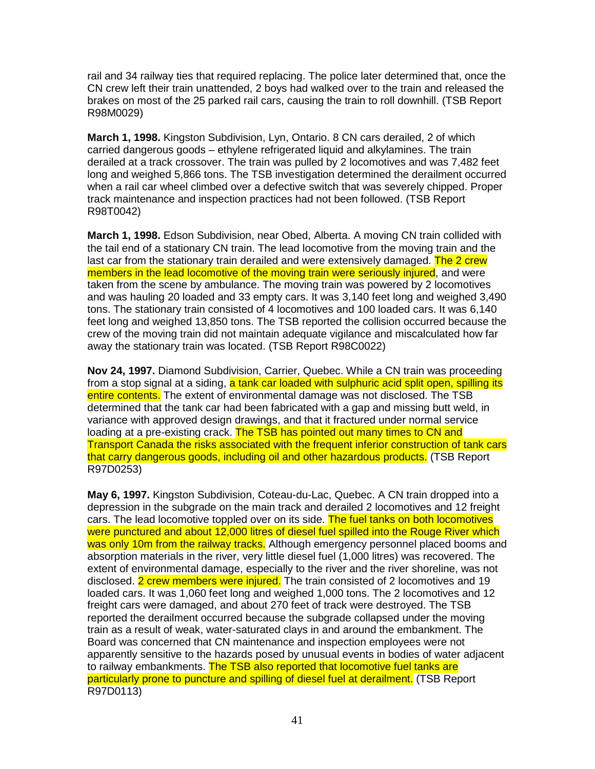rail and 34 railway ties that required replacing. The police later determined that, once the CN crew left their train unattended, 2 boys had walked over to the train and released the brakes on most of the 25 parked rail cars, causing the train to roll downhill. (TSB Report R98M0029)

**March 1, 1998.** Kingston Subdivision, Lyn, Ontario. 8 CN cars derailed, 2 of which carried dangerous goods – ethylene refrigerated liquid and alkylamines. The train derailed at a track crossover. The train was pulled by 2 locomotives and was 7,482 feet long and weighed 5,866 tons. The TSB investigation determined the derailment occurred when a rail car wheel climbed over a defective switch that was severely chipped. Proper track maintenance and inspection practices had not been followed. (TSB Report R98T0042)

**March 1, 1998.** Edson Subdivision, near Obed, Alberta. A moving CN train collided with the tail end of a stationary CN train. The lead locomotive from the moving train and the last car from the stationary train derailed and were extensively damaged. The 2 crew members in the lead locomotive of the moving train were seriously injured, and were taken from the scene by ambulance. The moving train was powered by 2 locomotives and was hauling 20 loaded and 33 empty cars. It was 3,140 feet long and weighed 3,490 tons. The stationary train consisted of 4 locomotives and 100 loaded cars. It was 6,140 feet long and weighed 13,850 tons. The TSB reported the collision occurred because the crew of the moving train did not maintain adequate vigilance and miscalculated how far away the stationary train was located. (TSB Report R98C0022)

**Nov 24, 1997.** Diamond Subdivision, Carrier, Quebec. While a CN train was proceeding from a stop signal at a siding, a tank car loaded with sulphuric acid split open, spilling its entire contents. The extent of environmental damage was not disclosed. The TSB determined that the tank car had been fabricated with a gap and missing butt weld, in variance with approved design drawings, and that it fractured under normal service loading at a pre-existing crack. The TSB has pointed out many times to CN and Transport Canada the risks associated with the frequent inferior construction of tank cars that carry dangerous goods, including oil and other hazardous products. (TSB Report R97D0253)

**May 6, 1997.** Kingston Subdivision, Coteau-du-Lac, Quebec. A CN train dropped into a depression in the subgrade on the main track and derailed 2 locomotives and 12 freight cars. The lead locomotive toppled over on its side. The fuel tanks on both locomotives were punctured and about 12,000 litres of diesel fuel spilled into the Rouge River which was only 10m from the railway tracks. Although emergency personnel placed booms and absorption materials in the river, very little diesel fuel (1,000 litres) was recovered. The extent of environmental damage, especially to the river and the river shoreline, was not disclosed. 2 crew members were injured. The train consisted of 2 locomotives and 19 loaded cars. It was 1,060 feet long and weighed 1,000 tons. The 2 locomotives and 12 freight cars were damaged, and about 270 feet of track were destroyed. The TSB reported the derailment occurred because the subgrade collapsed under the moving train as a result of weak, water-saturated clays in and around the embankment. The Board was concerned that CN maintenance and inspection employees were not apparently sensitive to the hazards posed by unusual events in bodies of water adjacent to railway embankments. The TSB also reported that locomotive fuel tanks are particularly prone to puncture and spilling of diesel fuel at derailment. (TSB Report R97D0113)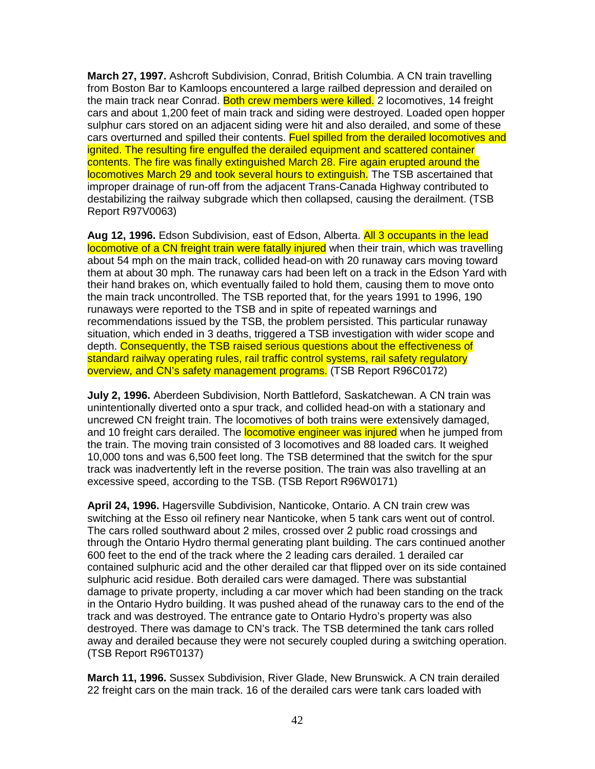**March 27, 1997.** Ashcroft Subdivision, Conrad, British Columbia. A CN train travelling from Boston Bar to Kamloops encountered a large railbed depression and derailed on the main track near Conrad. Both crew members were killed. 2 locomotives, 14 freight cars and about 1,200 feet of main track and siding were destroyed. Loaded open hopper sulphur cars stored on an adjacent siding were hit and also derailed, and some of these cars overturned and spilled their contents. Fuel spilled from the derailed locomotives and ignited. The resulting fire engulfed the derailed equipment and scattered container contents. The fire was finally extinguished March 28. Fire again erupted around the locomotives March 29 and took several hours to extinguish. The TSB ascertained that improper drainage of run-off from the adjacent Trans-Canada Highway contributed to destabilizing the railway subgrade which then collapsed, causing the derailment. (TSB Report R97V0063)

**Aug 12, 1996.** Edson Subdivision, east of Edson, Alberta. All 3 occupants in the lead locomotive of a CN freight train were fatally injured when their train, which was travelling about 54 mph on the main track, collided head-on with 20 runaway cars moving toward them at about 30 mph. The runaway cars had been left on a track in the Edson Yard with their hand brakes on, which eventually failed to hold them, causing them to move onto the main track uncontrolled. The TSB reported that, for the years 1991 to 1996, 190 runaways were reported to the TSB and in spite of repeated warnings and recommendations issued by the TSB, the problem persisted. This particular runaway situation, which ended in 3 deaths, triggered a TSB investigation with wider scope and depth. Consequently, the TSB raised serious questions about the effectiveness of standard railway operating rules, rail traffic control systems, rail safety regulatory overview, and CN's safety management programs. (TSB Report R96C0172)

**July 2, 1996.** Aberdeen Subdivision, North Battleford, Saskatchewan. A CN train was unintentionally diverted onto a spur track, and collided head-on with a stationary and uncrewed CN freight train. The locomotives of both trains were extensively damaged, and 10 freight cars derailed. The **locomotive engineer was injured** when he jumped from the train. The moving train consisted of 3 locomotives and 88 loaded cars. It weighed 10,000 tons and was 6,500 feet long. The TSB determined that the switch for the spur track was inadvertently left in the reverse position. The train was also travelling at an excessive speed, according to the TSB. (TSB Report R96W0171)

**April 24, 1996.** Hagersville Subdivision, Nanticoke, Ontario. A CN train crew was switching at the Esso oil refinery near Nanticoke, when 5 tank cars went out of control. The cars rolled southward about 2 miles, crossed over 2 public road crossings and through the Ontario Hydro thermal generating plant building. The cars continued another 600 feet to the end of the track where the 2 leading cars derailed. 1 derailed car contained sulphuric acid and the other derailed car that flipped over on its side contained sulphuric acid residue. Both derailed cars were damaged. There was substantial damage to private property, including a car mover which had been standing on the track in the Ontario Hydro building. It was pushed ahead of the runaway cars to the end of the track and was destroyed. The entrance gate to Ontario Hydro's property was also destroyed. There was damage to CN's track. The TSB determined the tank cars rolled away and derailed because they were not securely coupled during a switching operation. (TSB Report R96T0137)

**March 11, 1996.** Sussex Subdivision, River Glade, New Brunswick. A CN train derailed 22 freight cars on the main track. 16 of the derailed cars were tank cars loaded with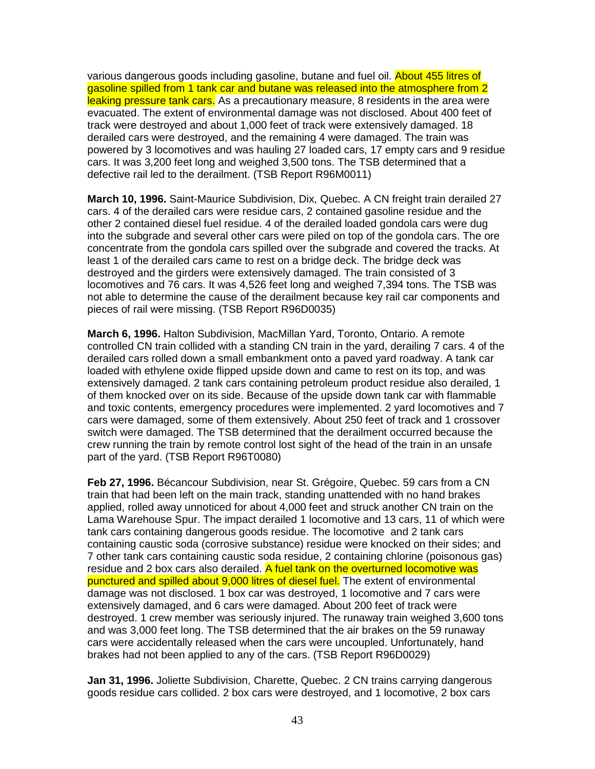various dangerous goods including gasoline, butane and fuel oil. About 455 litres of gasoline spilled from 1 tank car and butane was released into the atmosphere from 2 leaking pressure tank cars. As a precautionary measure, 8 residents in the area were evacuated. The extent of environmental damage was not disclosed. About 400 feet of track were destroyed and about 1,000 feet of track were extensively damaged. 18 derailed cars were destroyed, and the remaining 4 were damaged. The train was powered by 3 locomotives and was hauling 27 loaded cars, 17 empty cars and 9 residue cars. It was 3,200 feet long and weighed 3,500 tons. The TSB determined that a defective rail led to the derailment. (TSB Report R96M0011)

**March 10, 1996.** Saint-Maurice Subdivision, Dix, Quebec. A CN freight train derailed 27 cars. 4 of the derailed cars were residue cars, 2 contained gasoline residue and the other 2 contained diesel fuel residue. 4 of the derailed loaded gondola cars were dug into the subgrade and several other cars were piled on top of the gondola cars. The ore concentrate from the gondola cars spilled over the subgrade and covered the tracks. At least 1 of the derailed cars came to rest on a bridge deck. The bridge deck was destroyed and the girders were extensively damaged. The train consisted of 3 locomotives and 76 cars. It was 4,526 feet long and weighed 7,394 tons. The TSB was not able to determine the cause of the derailment because key rail car components and pieces of rail were missing. (TSB Report R96D0035)

**March 6, 1996.** Halton Subdivision, MacMillan Yard, Toronto, Ontario. A remote controlled CN train collided with a standing CN train in the yard, derailing 7 cars. 4 of the derailed cars rolled down a small embankment onto a paved yard roadway. A tank car loaded with ethylene oxide flipped upside down and came to rest on its top, and was extensively damaged. 2 tank cars containing petroleum product residue also derailed, 1 of them knocked over on its side. Because of the upside down tank car with flammable and toxic contents, emergency procedures were implemented. 2 yard locomotives and 7 cars were damaged, some of them extensively. About 250 feet of track and 1 crossover switch were damaged. The TSB determined that the derailment occurred because the crew running the train by remote control lost sight of the head of the train in an unsafe part of the yard. (TSB Report R96T0080)

**Feb 27, 1996.** Bécancour Subdivision, near St. Grégoire, Quebec. 59 cars from a CN train that had been left on the main track, standing unattended with no hand brakes applied, rolled away unnoticed for about 4,000 feet and struck another CN train on the Lama Warehouse Spur. The impact derailed 1 locomotive and 13 cars, 11 of which were tank cars containing dangerous goods residue. The locomotive and 2 tank cars containing caustic soda (corrosive substance) residue were knocked on their sides; and 7 other tank cars containing caustic soda residue, 2 containing chlorine (poisonous gas) residue and 2 box cars also derailed. A fuel tank on the overturned locomotive was punctured and spilled about 9,000 litres of diesel fuel. The extent of environmental damage was not disclosed. 1 box car was destroyed, 1 locomotive and 7 cars were extensively damaged, and 6 cars were damaged. About 200 feet of track were destroyed. 1 crew member was seriously injured. The runaway train weighed 3,600 tons and was 3,000 feet long. The TSB determined that the air brakes on the 59 runaway cars were accidentally released when the cars were uncoupled. Unfortunately, hand brakes had not been applied to any of the cars. (TSB Report R96D0029)

**Jan 31, 1996.** Joliette Subdivision, Charette, Quebec. 2 CN trains carrying dangerous goods residue cars collided. 2 box cars were destroyed, and 1 locomotive, 2 box cars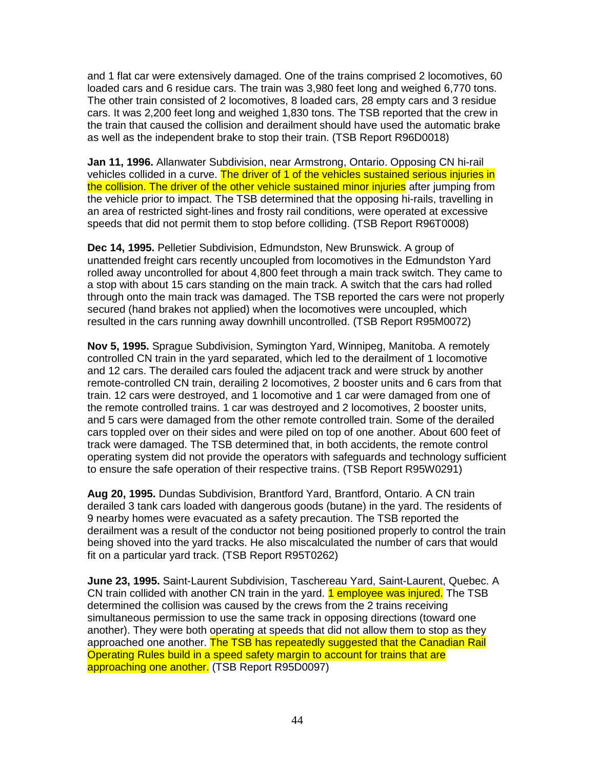and 1 flat car were extensively damaged. One of the trains comprised 2 locomotives, 60 loaded cars and 6 residue cars. The train was 3,980 feet long and weighed 6,770 tons. The other train consisted of 2 locomotives, 8 loaded cars, 28 empty cars and 3 residue cars. It was 2,200 feet long and weighed 1,830 tons. The TSB reported that the crew in the train that caused the collision and derailment should have used the automatic brake as well as the independent brake to stop their train. (TSB Report R96D0018)

**Jan 11, 1996.** Allanwater Subdivision, near Armstrong, Ontario. Opposing CN hi-rail vehicles collided in a curve. The driver of 1 of the vehicles sustained serious injuries in the collision. The driver of the other vehicle sustained minor injuries after jumping from the vehicle prior to impact. The TSB determined that the opposing hi-rails, travelling in an area of restricted sight-lines and frosty rail conditions, were operated at excessive speeds that did not permit them to stop before colliding. (TSB Report R96T0008)

**Dec 14, 1995.** Pelletier Subdivision, Edmundston, New Brunswick. A group of unattended freight cars recently uncoupled from locomotives in the Edmundston Yard rolled away uncontrolled for about 4,800 feet through a main track switch. They came to a stop with about 15 cars standing on the main track. A switch that the cars had rolled through onto the main track was damaged. The TSB reported the cars were not properly secured (hand brakes not applied) when the locomotives were uncoupled, which resulted in the cars running away downhill uncontrolled. (TSB Report R95M0072)

**Nov 5, 1995.** Sprague Subdivision, Symington Yard, Winnipeg, Manitoba. A remotely controlled CN train in the yard separated, which led to the derailment of 1 locomotive and 12 cars. The derailed cars fouled the adjacent track and were struck by another remote-controlled CN train, derailing 2 locomotives, 2 booster units and 6 cars from that train. 12 cars were destroyed, and 1 locomotive and 1 car were damaged from one of the remote controlled trains. 1 car was destroyed and 2 locomotives, 2 booster units, and 5 cars were damaged from the other remote controlled train. Some of the derailed cars toppled over on their sides and were piled on top of one another. About 600 feet of track were damaged. The TSB determined that, in both accidents, the remote control operating system did not provide the operators with safeguards and technology sufficient to ensure the safe operation of their respective trains. (TSB Report R95W0291)

**Aug 20, 1995.** Dundas Subdivision, Brantford Yard, Brantford, Ontario. A CN train derailed 3 tank cars loaded with dangerous goods (butane) in the yard. The residents of 9 nearby homes were evacuated as a safety precaution. The TSB reported the derailment was a result of the conductor not being positioned properly to control the train being shoved into the yard tracks. He also miscalculated the number of cars that would fit on a particular yard track. (TSB Report R95T0262)

**June 23, 1995.** Saint-Laurent Subdivision, Taschereau Yard, Saint-Laurent, Quebec. A CN train collided with another CN train in the yard. 1 employee was injured. The TSB determined the collision was caused by the crews from the 2 trains receiving simultaneous permission to use the same track in opposing directions (toward one another). They were both operating at speeds that did not allow them to stop as they approached one another. The TSB has repeatedly suggested that the Canadian Rail Operating Rules build in a speed safety margin to account for trains that are approaching one another. (TSB Report R95D0097)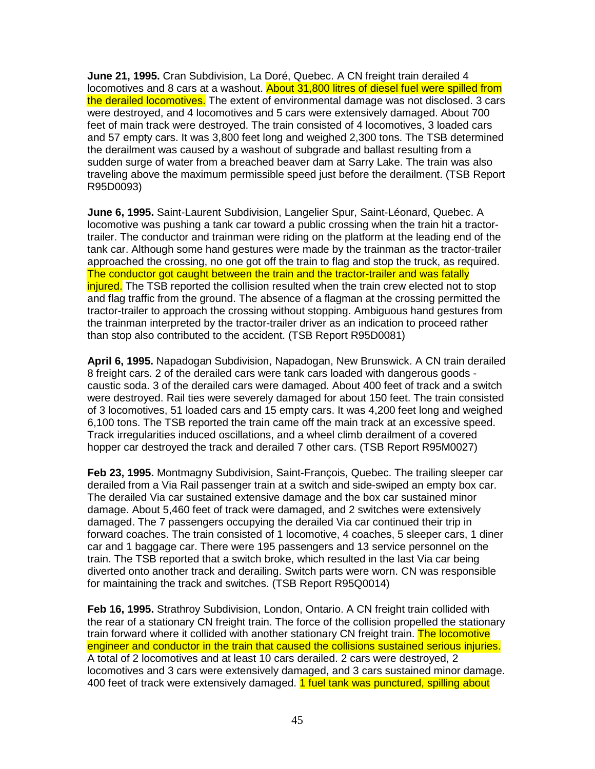**June 21, 1995.** Cran Subdivision, La Doré, Quebec. A CN freight train derailed 4 locomotives and 8 cars at a washout. About 31,800 litres of diesel fuel were spilled from the derailed locomotives. The extent of environmental damage was not disclosed. 3 cars were destroyed, and 4 locomotives and 5 cars were extensively damaged. About 700 feet of main track were destroyed. The train consisted of 4 locomotives, 3 loaded cars and 57 empty cars. It was 3,800 feet long and weighed 2,300 tons. The TSB determined the derailment was caused by a washout of subgrade and ballast resulting from a sudden surge of water from a breached beaver dam at Sarry Lake. The train was also traveling above the maximum permissible speed just before the derailment. (TSB Report R95D0093)

**June 6, 1995.** Saint-Laurent Subdivision, Langelier Spur, Saint-Léonard, Quebec. A locomotive was pushing a tank car toward a public crossing when the train hit a tractortrailer. The conductor and trainman were riding on the platform at the leading end of the tank car. Although some hand gestures were made by the trainman as the tractor-trailer approached the crossing, no one got off the train to flag and stop the truck, as required. The conductor got caught between the train and the tractor-trailer and was fatally injured. The TSB reported the collision resulted when the train crew elected not to stop and flag traffic from the ground. The absence of a flagman at the crossing permitted the tractor-trailer to approach the crossing without stopping. Ambiguous hand gestures from the trainman interpreted by the tractor-trailer driver as an indication to proceed rather than stop also contributed to the accident. (TSB Report R95D0081)

**April 6, 1995.** Napadogan Subdivision, Napadogan, New Brunswick. A CN train derailed 8 freight cars. 2 of the derailed cars were tank cars loaded with dangerous goods caustic soda. 3 of the derailed cars were damaged. About 400 feet of track and a switch were destroyed. Rail ties were severely damaged for about 150 feet. The train consisted of 3 locomotives, 51 loaded cars and 15 empty cars. It was 4,200 feet long and weighed 6,100 tons. The TSB reported the train came off the main track at an excessive speed. Track irregularities induced oscillations, and a wheel climb derailment of a covered hopper car destroyed the track and derailed 7 other cars. (TSB Report R95M0027)

**Feb 23, 1995.** Montmagny Subdivision, Saint-François, Quebec. The trailing sleeper car derailed from a Via Rail passenger train at a switch and side-swiped an empty box car. The derailed Via car sustained extensive damage and the box car sustained minor damage. About 5,460 feet of track were damaged, and 2 switches were extensively damaged. The 7 passengers occupying the derailed Via car continued their trip in forward coaches. The train consisted of 1 locomotive, 4 coaches, 5 sleeper cars, 1 diner car and 1 baggage car. There were 195 passengers and 13 service personnel on the train. The TSB reported that a switch broke, which resulted in the last Via car being diverted onto another track and derailing. Switch parts were worn. CN was responsible for maintaining the track and switches. (TSB Report R95Q0014)

**Feb 16, 1995.** Strathroy Subdivision, London, Ontario. A CN freight train collided with the rear of a stationary CN freight train. The force of the collision propelled the stationary train forward where it collided with another stationary CN freight train. The locomotive engineer and conductor in the train that caused the collisions sustained serious injuries. A total of 2 locomotives and at least 10 cars derailed. 2 cars were destroyed, 2 locomotives and 3 cars were extensively damaged, and 3 cars sustained minor damage. 400 feet of track were extensively damaged. 1 fuel tank was punctured, spilling about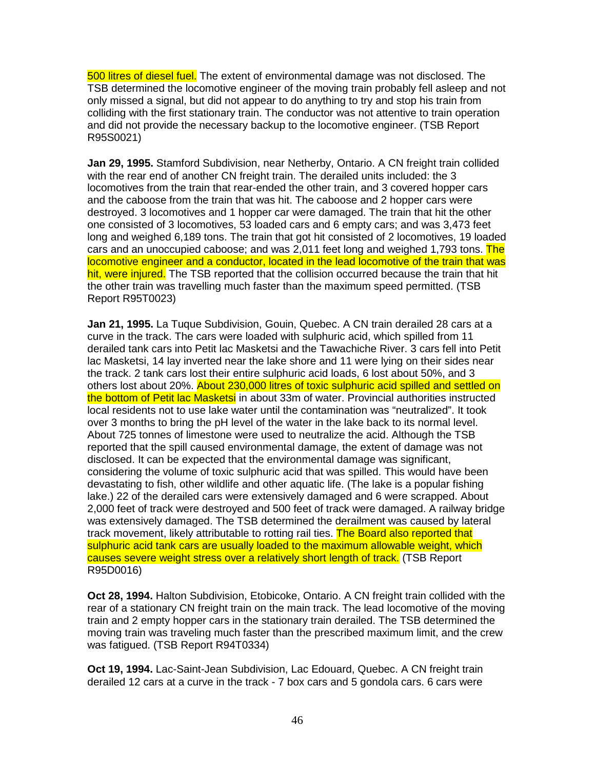500 litres of diesel fuel. The extent of environmental damage was not disclosed. The TSB determined the locomotive engineer of the moving train probably fell asleep and not only missed a signal, but did not appear to do anything to try and stop his train from colliding with the first stationary train. The conductor was not attentive to train operation and did not provide the necessary backup to the locomotive engineer. (TSB Report R95S0021)

**Jan 29, 1995.** Stamford Subdivision, near Netherby, Ontario. A CN freight train collided with the rear end of another CN freight train. The derailed units included: the 3 locomotives from the train that rear-ended the other train, and 3 covered hopper cars and the caboose from the train that was hit. The caboose and 2 hopper cars were destroyed. 3 locomotives and 1 hopper car were damaged. The train that hit the other one consisted of 3 locomotives, 53 loaded cars and 6 empty cars; and was 3,473 feet long and weighed 6,189 tons. The train that got hit consisted of 2 locomotives, 19 loaded cars and an unoccupied caboose; and was 2,011 feet long and weighed 1,793 tons. The locomotive engineer and a conductor, located in the lead locomotive of the train that was hit, were injured. The TSB reported that the collision occurred because the train that hit the other train was travelling much faster than the maximum speed permitted. (TSB Report R95T0023)

**Jan 21, 1995.** La Tuque Subdivision, Gouin, Quebec. A CN train derailed 28 cars at a curve in the track. The cars were loaded with sulphuric acid, which spilled from 11 derailed tank cars into Petit lac Masketsi and the Tawachiche River. 3 cars fell into Petit lac Masketsi, 14 lay inverted near the lake shore and 11 were lying on their sides near the track. 2 tank cars lost their entire sulphuric acid loads, 6 lost about 50%, and 3 others lost about 20%. About 230,000 litres of toxic sulphuric acid spilled and settled on the bottom of Petit lac Masketsi in about 33m of water. Provincial authorities instructed local residents not to use lake water until the contamination was "neutralized". It took over 3 months to bring the pH level of the water in the lake back to its normal level. About 725 tonnes of limestone were used to neutralize the acid. Although the TSB reported that the spill caused environmental damage, the extent of damage was not disclosed. It can be expected that the environmental damage was significant, considering the volume of toxic sulphuric acid that was spilled. This would have been devastating to fish, other wildlife and other aquatic life. (The lake is a popular fishing lake.) 22 of the derailed cars were extensively damaged and 6 were scrapped. About 2,000 feet of track were destroyed and 500 feet of track were damaged. A railway bridge was extensively damaged. The TSB determined the derailment was caused by lateral track movement, likely attributable to rotting rail ties. The Board also reported that sulphuric acid tank cars are usually loaded to the maximum allowable weight, which causes severe weight stress over a relatively short length of track. (TSB Report R95D0016)

**Oct 28, 1994.** Halton Subdivision, Etobicoke, Ontario. A CN freight train collided with the rear of a stationary CN freight train on the main track. The lead locomotive of the moving train and 2 empty hopper cars in the stationary train derailed. The TSB determined the moving train was traveling much faster than the prescribed maximum limit, and the crew was fatigued. (TSB Report R94T0334)

**Oct 19, 1994.** Lac-Saint-Jean Subdivision, Lac Edouard, Quebec. A CN freight train derailed 12 cars at a curve in the track - 7 box cars and 5 gondola cars. 6 cars were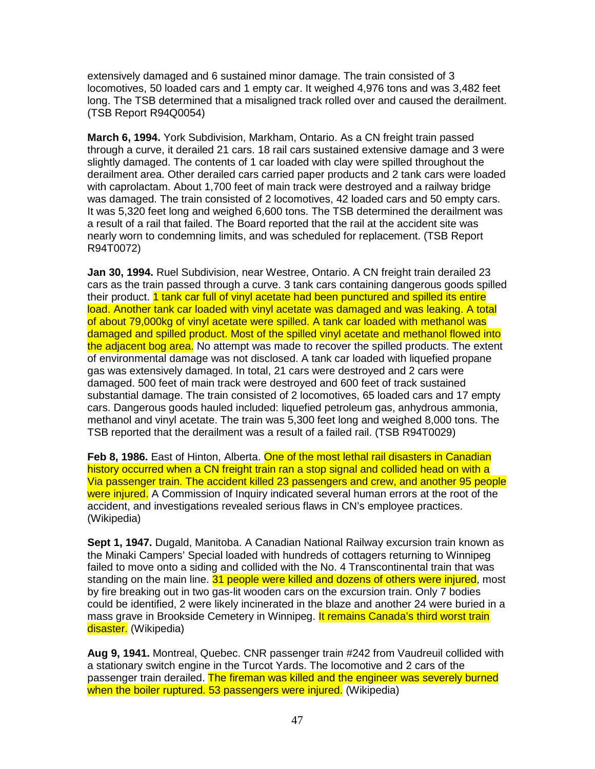extensively damaged and 6 sustained minor damage. The train consisted of 3 locomotives, 50 loaded cars and 1 empty car. It weighed 4,976 tons and was 3,482 feet long. The TSB determined that a misaligned track rolled over and caused the derailment. (TSB Report R94Q0054)

**March 6, 1994.** York Subdivision, Markham, Ontario. As a CN freight train passed through a curve, it derailed 21 cars. 18 rail cars sustained extensive damage and 3 were slightly damaged. The contents of 1 car loaded with clay were spilled throughout the derailment area. Other derailed cars carried paper products and 2 tank cars were loaded with caprolactam. About 1,700 feet of main track were destroyed and a railway bridge was damaged. The train consisted of 2 locomotives, 42 loaded cars and 50 empty cars. It was 5,320 feet long and weighed 6,600 tons. The TSB determined the derailment was a result of a rail that failed. The Board reported that the rail at the accident site was nearly worn to condemning limits, and was scheduled for replacement. (TSB Report R94T0072)

**Jan 30, 1994.** Ruel Subdivision, near Westree, Ontario. A CN freight train derailed 23 cars as the train passed through a curve. 3 tank cars containing dangerous goods spilled their product. 1 tank car full of vinyl acetate had been punctured and spilled its entire load. Another tank car loaded with vinyl acetate was damaged and was leaking. A total of about 79,000kg of vinyl acetate were spilled. A tank car loaded with methanol was damaged and spilled product. Most of the spilled vinyl acetate and methanol flowed into the adjacent bog area. No attempt was made to recover the spilled products. The extent of environmental damage was not disclosed. A tank car loaded with liquefied propane gas was extensively damaged. In total, 21 cars were destroyed and 2 cars were damaged. 500 feet of main track were destroyed and 600 feet of track sustained substantial damage. The train consisted of 2 locomotives, 65 loaded cars and 17 empty cars. Dangerous goods hauled included: liquefied petroleum gas, anhydrous ammonia, methanol and vinyl acetate. The train was 5,300 feet long and weighed 8,000 tons. The TSB reported that the derailment was a result of a failed rail. (TSB R94T0029)

**Feb 8, 1986.** East of Hinton, Alberta. One of the most lethal rail disasters in Canadian history occurred when a CN freight train ran a stop signal and collided head on with a Via passenger train. The accident killed 23 passengers and crew, and another 95 people were injured. A Commission of Inquiry indicated several human errors at the root of the accident, and investigations revealed serious flaws in CN's employee practices. (Wikipedia)

**Sept 1, 1947.** Dugald, Manitoba. A Canadian National Railway excursion train known as the Minaki Campers' Special loaded with hundreds of cottagers returning to Winnipeg failed to move onto a siding and collided with the No. 4 Transcontinental train that was standing on the main line. 31 people were killed and dozens of others were injured, most by fire breaking out in two gas-lit wooden cars on the excursion train. Only 7 bodies could be identified, 2 were likely incinerated in the blaze and another 24 were buried in a mass grave in Brookside Cemetery in Winnipeg. It remains Canada's third worst train disaster. (Wikipedia)

**Aug 9, 1941.** Montreal, Quebec. CNR passenger train #242 from Vaudreuil collided with a stationary switch engine in the Turcot Yards. The locomotive and 2 cars of the passenger train derailed. The fireman was killed and the engineer was severely burned when the boiler ruptured. 53 passengers were injured. (Wikipedia)